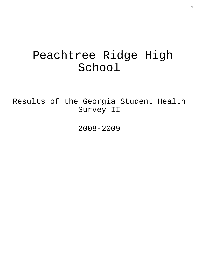# Peachtree Ridge High School

Results of the Georgia Student Health Survey II

2008-2009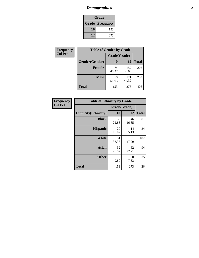# *Demographics* **2**

| Grade                    |     |  |  |  |
|--------------------------|-----|--|--|--|
| <b>Grade   Frequency</b> |     |  |  |  |
| 10                       | 153 |  |  |  |
| 12                       | 273 |  |  |  |

| <b>Frequency</b> | <b>Table of Gender by Grade</b> |              |              |              |  |
|------------------|---------------------------------|--------------|--------------|--------------|--|
| <b>Col Pct</b>   |                                 | Grade(Grade) |              |              |  |
|                  | Gender(Gender)                  | <b>10</b>    | 12           | <b>Total</b> |  |
|                  | <b>Female</b>                   | 74<br>48.37  | 152<br>55.68 | 226          |  |
|                  | <b>Male</b>                     | 79<br>51.63  | 121<br>44.32 | 200          |  |
|                  | <b>Total</b>                    | 153          | 273          | 426          |  |

| <b>Frequency</b><br>Col Pct |
|-----------------------------|

| <b>Table of Ethnicity by Grade</b> |              |              |              |  |  |  |
|------------------------------------|--------------|--------------|--------------|--|--|--|
|                                    | Grade(Grade) |              |              |  |  |  |
| <b>Ethnicity</b> (Ethnicity)       | 10           | 12           | <b>Total</b> |  |  |  |
| <b>Black</b>                       | 35<br>22.88  | 46<br>16.85  | 81           |  |  |  |
| <b>Hispanic</b>                    | 20<br>13.07  | 14<br>5.13   | 34           |  |  |  |
| White                              | 51<br>33.33  | 131<br>47.99 | 182          |  |  |  |
| <b>Asian</b>                       | 32<br>20.92  | 62<br>22.71  | 94           |  |  |  |
| <b>Other</b>                       | 15<br>9.80   | 20<br>7.33   | 35           |  |  |  |
| <b>Total</b>                       | 153          | 273          | 426          |  |  |  |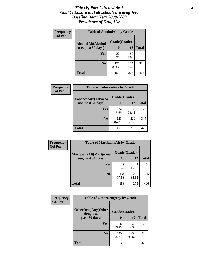### *Title IV, Part A, Schedule A* **3** *Goal 1: Ensure that all schools are drug-free Baseline Data: Year 2008-2009 Prevalence of Drug Use*

| Frequency<br><b>Col Pct</b> | <b>Table of AlcoholAlt by Grade</b> |              |              |              |  |
|-----------------------------|-------------------------------------|--------------|--------------|--------------|--|
|                             | AlcoholAlt(Alcohol                  | Grade(Grade) |              |              |  |
|                             | use, past 30 days)                  | <b>10</b>    | 12           | <b>Total</b> |  |
|                             | <b>Yes</b>                          | 22<br>14.38  | 89<br>32.60  | 111          |  |
|                             | N <sub>0</sub>                      | 131<br>85.62 | 184<br>67.40 | 315          |  |
|                             | Total                               | 153          | 273          | 426          |  |

| Frequency<br><b>Col Pct</b> | <b>Table of TobaccoAny by Grade</b> |              |              |              |  |  |
|-----------------------------|-------------------------------------|--------------|--------------|--------------|--|--|
|                             | TobaccoAny(Tobacco                  | Grade(Grade) |              |              |  |  |
|                             | use, past 30 days)                  | 10           | 12           | <b>Total</b> |  |  |
|                             | <b>Yes</b>                          | 24<br>15.69  | 53<br>19.41  | 77           |  |  |
|                             | N <sub>0</sub>                      | 129<br>84.31 | 220<br>80.59 | 349          |  |  |
|                             | <b>Total</b>                        | 153          | 273          | 426          |  |  |

| Frequency<br><b>Col Pct</b> | <b>Table of MarijuanaAlt by Grade</b> |              |              |              |  |
|-----------------------------|---------------------------------------|--------------|--------------|--------------|--|
|                             | MarijuanaAlt(Marijuana                | Grade(Grade) |              |              |  |
|                             | use, past 30 days)                    | 10           | 12           | <b>Total</b> |  |
|                             | Yes                                   | 19<br>12.42  | 42<br>15.38  | 61           |  |
|                             | N <sub>0</sub>                        | 134<br>87.58 | 231<br>84.62 | 365          |  |
|                             | <b>Total</b>                          | 153          | 273          | 426          |  |

| Frequency      | <b>Table of OtherDrugAny by Grade</b>  |              |              |              |  |  |
|----------------|----------------------------------------|--------------|--------------|--------------|--|--|
| <b>Col Pct</b> | <b>OtherDrugAny(Other</b><br>drug use, | Grade(Grade) |              |              |  |  |
|                | past 30 days)                          | 10           | 12           | <b>Total</b> |  |  |
|                | Yes                                    | 8<br>5.23    | 20<br>7.33   | 28           |  |  |
|                | N <sub>0</sub>                         | 145<br>94.77 | 253<br>92.67 | 398          |  |  |
|                | <b>Total</b>                           | 153          | 273          | 426          |  |  |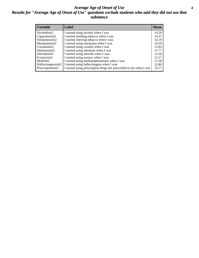### *Average Age of Onset of Use* **4** *Results for "Average Age of Onset of Use" questions exclude students who said they did not use that substance*

| <b>Variable</b>    | Label                                                              | <b>Mean</b> |
|--------------------|--------------------------------------------------------------------|-------------|
| Alcoholinit2       | I started using alcohol when I was                                 | 14.29       |
| Cigarettesinit2    | I started smoking tobacco when I was                               | 14.37       |
| Smokelessinit2     | I started chewing tobacco when I was                               | 14.19       |
| Marijuanainit2     | I started using marijuana when I was                               | 14.39       |
| Cocaineinit2       | I started using cocaine when I was                                 | 12.83       |
| Inhalantsinit2     | I started using inhalants when I was                               | 11.77       |
| Steroidsinit2      | I started using steroids when I was                                | 13.50       |
| Ecstasyinit2       | I started using ecstasy when I was                                 | 13.17       |
| Methinit2          | I started using methamphetamines when I was                        | 11.38       |
| Hallucinogensinit2 | I started using hallucinogens when I was                           | 12.80       |
| Prescriptioninit2  | I started using prescription drugs not prescribed to me when I was | 14.17       |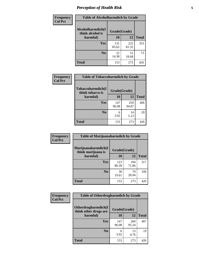# *Perception of Health Risk* **5**

| Frequency      | <b>Table of Alcoholharmdich by Grade</b> |              |              |              |  |
|----------------|------------------------------------------|--------------|--------------|--------------|--|
| <b>Col Pct</b> | Alcoholharmdich(I<br>think alcohol is    | Grade(Grade) |              |              |  |
|                | harmful)                                 | 10           | 12           | <b>Total</b> |  |
|                | <b>Yes</b>                               | 131<br>85.62 | 222<br>81.32 | 353          |  |
|                | N <sub>0</sub>                           | 22<br>14.38  | 51<br>18.68  | 73           |  |
|                | <b>Total</b>                             | 153          | 273          | 426          |  |

| <b>Frequency</b>                                                    | <b>Table of Tobaccoharmdich by Grade</b> |              |              |     |
|---------------------------------------------------------------------|------------------------------------------|--------------|--------------|-----|
| <b>Col Pct</b><br>Tobaccoharmdich(I<br>think tobacco is<br>harmful) |                                          | Grade(Grade) |              |     |
|                                                                     | 10                                       | 12           | <b>Total</b> |     |
|                                                                     | Yes                                      | 147<br>96.08 | 259<br>94.87 | 406 |
|                                                                     | N <sub>0</sub>                           | 6<br>3.92    | 14<br>5.13   | 20  |
|                                                                     | <b>Total</b>                             | 153          | 273          | 426 |

| Frequency      | <b>Table of Marijuanaharmdich by Grade</b> |              |              |              |  |  |
|----------------|--------------------------------------------|--------------|--------------|--------------|--|--|
| <b>Col Pct</b> | Marijuanaharmdich(I<br>think marijuana is  | Grade(Grade) |              |              |  |  |
|                | harmful)                                   | 10           | 12           | <b>Total</b> |  |  |
|                | Yes                                        | 123<br>80.39 | 194<br>71.06 | 317          |  |  |
|                | N <sub>0</sub>                             | 30<br>19.61  | 79<br>28.94  | 109          |  |  |
|                | <b>Total</b>                               | 153          | 273          | 426          |  |  |

| Frequency      | <b>Table of Otherdrugharmdich by Grade</b>   |              |              |              |  |  |
|----------------|----------------------------------------------|--------------|--------------|--------------|--|--|
| <b>Col Pct</b> | Otherdrugharmdich(I<br>think other drugs are | Grade(Grade) |              |              |  |  |
|                | harmful)                                     | 10           | 12           | <b>Total</b> |  |  |
|                | <b>Yes</b>                                   | 147<br>96.08 | 260<br>95.24 | 407          |  |  |
|                | N <sub>0</sub>                               | 6<br>3.92    | 13<br>4.76   | 19           |  |  |
|                | <b>Total</b>                                 | 153          | 273          | 426          |  |  |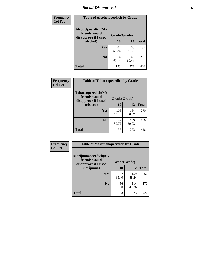# *Social Disapproval* **6**

| Frequency      | <b>Table of Alcoholpeerdich by Grade</b>                    |              |              |              |  |  |  |
|----------------|-------------------------------------------------------------|--------------|--------------|--------------|--|--|--|
| <b>Col Pct</b> | Alcoholpeerdich(My<br>friends would<br>disapprove if I used | Grade(Grade) |              |              |  |  |  |
|                | alcohol)                                                    | 10           | 12           | <b>Total</b> |  |  |  |
|                | <b>Yes</b>                                                  | 87<br>56.86  | 108<br>39.56 | 195          |  |  |  |
|                | N <sub>0</sub>                                              | 66<br>43.14  | 165<br>60.44 | 231          |  |  |  |
|                | <b>Total</b>                                                | 153          | 273          | 426          |  |  |  |

| <b>Frequency</b> |
|------------------|
| <b>Col Pct</b>   |

| <b>Table of Tobaccopeerdich by Grade</b>                    |              |              |              |  |  |  |
|-------------------------------------------------------------|--------------|--------------|--------------|--|--|--|
| Tobaccopeerdich(My<br>friends would<br>disapprove if I used |              | Grade(Grade) |              |  |  |  |
| tobacco)                                                    | 10           | 12           | <b>Total</b> |  |  |  |
| Yes                                                         | 106<br>69.28 | 164<br>60.07 | 270          |  |  |  |
| N <sub>0</sub>                                              | 47<br>30.72  | 109<br>39.93 | 156          |  |  |  |
| <b>Total</b>                                                | 153          | 273          | 426          |  |  |  |

| Frequency      | <b>Table of Marijuanapeerdich by Grade</b>                    |              |              |              |  |  |
|----------------|---------------------------------------------------------------|--------------|--------------|--------------|--|--|
| <b>Col Pct</b> | Marijuanapeerdich(My<br>friends would<br>disapprove if I used | Grade(Grade) |              |              |  |  |
|                | marijuana)                                                    | 10           | 12           | <b>Total</b> |  |  |
|                | <b>Yes</b>                                                    | 97<br>63.40  | 159<br>58.24 | 256          |  |  |
|                | N <sub>0</sub>                                                | 56<br>36.60  | 114<br>41.76 | 170          |  |  |
|                | <b>Total</b>                                                  | 153          | 273          | 426          |  |  |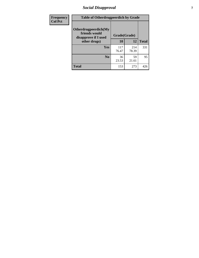# *Social Disapproval* **7**

| Frequency      | <b>Table of Otherdrugpeerdich by Grade</b>                    |              |              |              |  |  |  |
|----------------|---------------------------------------------------------------|--------------|--------------|--------------|--|--|--|
| <b>Col Pct</b> | Otherdrugpeerdich(My<br>friends would<br>disapprove if I used | Grade(Grade) |              |              |  |  |  |
|                | other drugs)                                                  | 10           | 12           | <b>Total</b> |  |  |  |
|                | Yes                                                           | 117<br>76.47 | 214<br>78.39 | 331          |  |  |  |
|                | N <sub>0</sub>                                                | 36<br>23.53  | 59<br>21.61  | 95           |  |  |  |
|                | <b>Total</b>                                                  | 153          | 273          | 426          |  |  |  |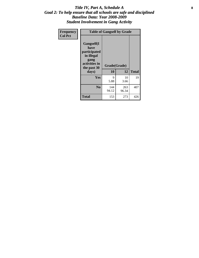### Title IV, Part A, Schedule A **8** *Goal 2: To help ensure that all schools are safe and disciplined Baseline Data: Year 2008-2009 Student Involvement in Gang Activity*

| Frequency      | <b>Table of Gangself by Grade</b>                                                                         |                    |              |              |  |  |
|----------------|-----------------------------------------------------------------------------------------------------------|--------------------|--------------|--------------|--|--|
| <b>Col Pct</b> | <b>Gangself</b> (I<br>have<br>participated<br>in illegal<br>gang<br>activities in<br>the past 30<br>days) | Grade(Grade)<br>10 | 12           | <b>Total</b> |  |  |
|                | Yes                                                                                                       | 9<br>5.88          | 10<br>3.66   | 19           |  |  |
|                | N <sub>0</sub>                                                                                            | 144<br>94.12       | 263<br>96.34 | 407          |  |  |
|                | <b>Total</b>                                                                                              | 153                | 273          | 426          |  |  |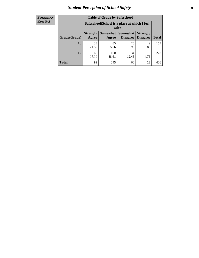# *Student Perception of School Safety* **9**

| <b>Frequency</b><br>Row Pct |
|-----------------------------|
|                             |

| <b>Table of Grade by Safeschool</b> |                                                                                                                                   |                                                        |             |            |     |  |  |
|-------------------------------------|-----------------------------------------------------------------------------------------------------------------------------------|--------------------------------------------------------|-------------|------------|-----|--|--|
|                                     |                                                                                                                                   | Safeschool (School is a place at which I feel<br>safe) |             |            |     |  |  |
| Grade(Grade)                        | <b>Somewhat   Somewhat</b><br><b>Strongly</b><br><b>Strongly</b><br><b>Disagree</b><br>Agree<br>Disagree<br><b>Total</b><br>Agree |                                                        |             |            |     |  |  |
| 10                                  | 33<br>21.57                                                                                                                       | 85<br>55.56                                            | 26<br>16.99 | 9<br>5.88  | 153 |  |  |
| 12                                  | 66<br>24.18                                                                                                                       | 160<br>58.61                                           | 34<br>12.45 | 13<br>4.76 | 273 |  |  |
| <b>Total</b>                        | 99                                                                                                                                | 245                                                    | 60          | 22         | 426 |  |  |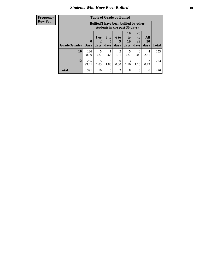### *Students Who Have Been Bullied* **10**

#### **Frequency Row Pct**

| <b>Table of Grade by Bullied</b> |                            |                                                                               |                              |                   |                        |                               |                        |              |
|----------------------------------|----------------------------|-------------------------------------------------------------------------------|------------------------------|-------------------|------------------------|-------------------------------|------------------------|--------------|
|                                  |                            | <b>Bullied</b> (I have been bullied by other<br>students in the past 30 days) |                              |                   |                        |                               |                        |              |
| Grade(Grade)                     | $\mathbf 0$<br><b>Days</b> | 1 or<br>days                                                                  | 3 <sub>to</sub><br>5<br>days | 6 to<br>9<br>days | 10<br>to<br>19<br>days | <b>20</b><br>to<br>29<br>days | All<br>30<br>days      | <b>Total</b> |
| 10                               | 136<br>88.89               | 5<br>3.27                                                                     | 0.65                         | 2<br>1.31         | 5<br>3.27              | $\theta$<br>0.00              | 4<br>2.61              | 153          |
| 12                               | 255<br>93.41               | 5<br>1.83                                                                     | 5<br>1.83                    | $\Omega$<br>0.00  | 3<br>1.10              | 3<br>1.10                     | $\mathfrak{D}$<br>0.73 | 273          |
| <b>Total</b>                     | 391                        | 10                                                                            | 6                            | $\overline{2}$    | 8                      | 3                             | 6                      | 426          |

 $\blacksquare$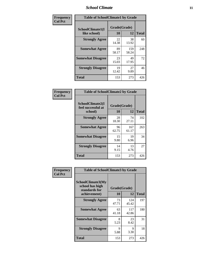### *School Climate* **11**

| <b>Frequency</b> | <b>Table of SchoolClimate1 by Grade</b> |                    |              |              |  |  |
|------------------|-----------------------------------------|--------------------|--------------|--------------|--|--|
| <b>Col Pct</b>   | SchoolClimate1(I<br>like school)        | Grade(Grade)<br>10 | 12           | <b>Total</b> |  |  |
|                  | <b>Strongly Agree</b>                   | 22<br>14.38        | 38<br>13.92  | 60           |  |  |
|                  | <b>Somewhat Agree</b>                   | 89<br>58.17        | 159<br>58.24 | 248          |  |  |
|                  | <b>Somewhat Disagree</b>                | 23<br>15.03        | 49<br>17.95  | 72           |  |  |
|                  | <b>Strongly Disagree</b>                | 19<br>12.42        | 27<br>9.89   | 46           |  |  |
|                  | <b>Total</b>                            | 153                | 273          | 426          |  |  |

| <b>Frequency</b> |
|------------------|
| <b>Col Pct</b>   |

| <b>Table of SchoolClimate2 by Grade</b>           |                    |              |              |  |
|---------------------------------------------------|--------------------|--------------|--------------|--|
| SchoolClimate2(I<br>feel successful at<br>school) | Grade(Grade)<br>10 | 12           | <b>Total</b> |  |
| <b>Strongly Agree</b>                             | 28<br>18.30        | 74<br>27.11  | 102          |  |
| <b>Somewhat Agree</b>                             | 96<br>62.75        | 167<br>61.17 | 263          |  |
| <b>Somewhat Disagree</b>                          | 15<br>9.80         | 19<br>6.96   | 34           |  |
| <b>Strongly Disagree</b>                          | 14<br>9.15         | 13<br>4.76   | 27           |  |
| <b>Total</b>                                      | 153                | 273          | 426          |  |

| Frequency      | <b>Table of SchoolClimate3 by Grade</b>                               |             |                    |              |  |
|----------------|-----------------------------------------------------------------------|-------------|--------------------|--------------|--|
| <b>Col Pct</b> | SchoolClimate3(My<br>school has high<br>standards for<br>achievement) | <b>10</b>   | Grade(Grade)<br>12 | <b>Total</b> |  |
|                | <b>Strongly Agree</b>                                                 | 73<br>47.71 | 124<br>45.42       | 197          |  |
|                | <b>Somewhat Agree</b>                                                 | 63<br>41.18 | 117<br>42.86       | 180          |  |
|                | <b>Somewhat Disagree</b>                                              | 8<br>5.23   | 23<br>8.42         | 31           |  |
|                | <b>Strongly Disagree</b>                                              | 9<br>5.88   | 9<br>3.30          | 18           |  |
|                | Total                                                                 | 153         | 273                | 426          |  |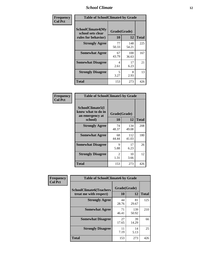### *School Climate* **12**

| Frequency      | <b>Table of SchoolClimate4 by Grade</b>                              |                    |              |              |
|----------------|----------------------------------------------------------------------|--------------------|--------------|--------------|
| <b>Col Pct</b> | <b>SchoolClimate4(My</b><br>school sets clear<br>rules for behavior) | Grade(Grade)<br>10 | 12           | <b>Total</b> |
|                | <b>Strongly Agree</b>                                                | 77<br>50.33        | 148<br>54.21 | 225          |
|                | <b>Somewhat Agree</b>                                                | 67<br>43.79        | 100<br>36.63 | 167          |
|                | <b>Somewhat Disagree</b>                                             | 4<br>2.61          | 17<br>6.23   | 21           |
|                | <b>Strongly Disagree</b>                                             | 5<br>3.27          | 8<br>2.93    | 13           |
|                | <b>Total</b>                                                         | 153                | 273          | 426          |

| <b>Table of SchoolClimate5 by Grade</b>                              |                    |              |              |  |  |
|----------------------------------------------------------------------|--------------------|--------------|--------------|--|--|
| SchoolClimate5(I<br>know what to do in<br>an emergency at<br>school) | Grade(Grade)<br>10 | 12           | <b>Total</b> |  |  |
| <b>Strongly Agree</b>                                                | 74                 | 134          | 208          |  |  |
|                                                                      | 48.37              | 49.08        |              |  |  |
| <b>Somewhat Agree</b>                                                | 68<br>44.44        | 112<br>41.03 | 180          |  |  |
| <b>Somewhat Disagree</b>                                             | 9                  | 17           | 26           |  |  |
|                                                                      | 5.88               | 6.23         |              |  |  |
| <b>Strongly Disagree</b>                                             | 2<br>1.31          | 10<br>3.66   | 12           |  |  |
| Total                                                                | 153                | 273          | 426          |  |  |

| Frequency      | <b>Table of SchoolClimate6 by Grade</b>                  |                    |              |              |
|----------------|----------------------------------------------------------|--------------------|--------------|--------------|
| <b>Col Pct</b> | <b>SchoolClimate6(Teachers</b><br>treat me with respect) | Grade(Grade)<br>10 | 12           | <b>Total</b> |
|                | <b>Strongly Agree</b>                                    | 44<br>28.76        | 81<br>29.67  | 125          |
|                | <b>Somewhat Agree</b>                                    | 71<br>46.41        | 139<br>50.92 | 210          |
|                | <b>Somewhat Disagree</b>                                 | 27<br>17.65        | 39<br>14.29  | 66           |
|                | <b>Strongly Disagree</b>                                 | 11<br>7.19         | 14<br>5.13   | 25           |
|                | <b>Total</b>                                             | 153                | 273          | 426          |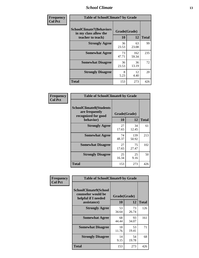### *School Climate* **13**

| Frequency      | <b>Table of SchoolClimate7 by Grade</b>                                       |                    |              |              |
|----------------|-------------------------------------------------------------------------------|--------------------|--------------|--------------|
| <b>Col Pct</b> | <b>SchoolClimate7(Behaviors</b><br>in my class allow the<br>teacher to teach) | Grade(Grade)<br>10 | 12           | <b>Total</b> |
|                | <b>Strongly Agree</b>                                                         | 36<br>23.53        | 63<br>23.08  | 99           |
|                | <b>Somewhat Agree</b>                                                         | 73<br>47.71        | 162<br>59.34 | 235          |
|                | <b>Somewhat Disagree</b>                                                      | 36<br>23.53        | 36<br>13.19  | 72           |
|                | <b>Strongly Disagree</b>                                                      | 8<br>5.23          | 12<br>4.40   | 20           |
|                | <b>Total</b>                                                                  | 153                | 273          | 426          |

| Frequency      | <b>Table of SchoolClimate8 by Grade</b>                                              |                    |              |              |
|----------------|--------------------------------------------------------------------------------------|--------------------|--------------|--------------|
| <b>Col Pct</b> | <b>SchoolClimate8(Students</b><br>are frequently<br>recognized for good<br>behavior) | Grade(Grade)<br>10 | 12           | <b>Total</b> |
|                | <b>Strongly Agree</b>                                                                | 27<br>17.65        | 34<br>12.45  | 61           |
|                | <b>Somewhat Agree</b>                                                                | 74<br>48.37        | 139<br>50.92 | 213          |
|                | <b>Somewhat Disagree</b>                                                             | 27<br>17.65        | 75<br>27.47  | 102          |
|                | <b>Strongly Disagree</b>                                                             | 25<br>16.34        | 25<br>9.16   | 50           |
|                | <b>Total</b>                                                                         | 153                | 273          | 426          |

| Frequency      | <b>Table of SchoolClimate9 by Grade</b>                                           |                    |             |              |
|----------------|-----------------------------------------------------------------------------------|--------------------|-------------|--------------|
| <b>Col Pct</b> | SchoolClimate9(School<br>counselor would be<br>helpful if I needed<br>assistance) | Grade(Grade)<br>10 | 12          | <b>Total</b> |
|                | <b>Strongly Agree</b>                                                             | 53<br>34.64        | 73<br>26.74 | 126          |
|                | <b>Somewhat Agree</b>                                                             | 68<br>44.44        | 93<br>34.07 | 161          |
|                | <b>Somewhat Disagree</b>                                                          | 18<br>11.76        | 53<br>19.41 | 71           |
|                | <b>Strongly Disagree</b>                                                          | 14<br>9.15         | 54<br>19.78 | 68           |
|                | Total                                                                             | 153                | 273         | 426          |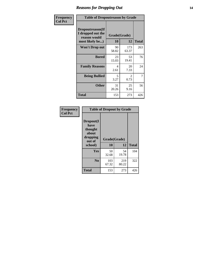### *Reasons for Dropping Out* **14**

| Frequency      | <b>Table of Dropoutreason by Grade</b>                                   |                    |                                     |              |
|----------------|--------------------------------------------------------------------------|--------------------|-------------------------------------|--------------|
| <b>Col Pct</b> | Dropoutreason(If<br>I dropped out the<br>reason would<br>most likely be) | Grade(Grade)<br>10 | 12                                  | <b>Total</b> |
|                | Won't Drop out                                                           | 90<br>58.82        | 173<br>63.37                        | 263          |
|                | <b>Bored</b>                                                             | 23<br>15.03        | 53<br>19.41                         | 76           |
|                | <b>Family Reasons</b>                                                    | 4<br>2.61          | 20<br>7.33                          | 24           |
|                | <b>Being Bullied</b>                                                     | 5<br>3.27          | $\mathcal{D}_{\mathcal{L}}$<br>0.73 | 7            |
|                | <b>Other</b>                                                             | 31<br>20.26        | 25<br>9.16                          | 56           |
|                | <b>Total</b>                                                             | 153                | 273                                 | 426          |

| Frequency      | <b>Table of Dropout by Grade</b>                                       |                          |              |              |  |
|----------------|------------------------------------------------------------------------|--------------------------|--------------|--------------|--|
| <b>Col Pct</b> | Dropout(I<br>have<br>thought<br>about<br>dropping<br>out of<br>school) | Grade(Grade)<br>10<br>12 |              | <b>Total</b> |  |
|                | Yes                                                                    | 50<br>32.68              | 54<br>19.78  | 104          |  |
|                | N <sub>0</sub>                                                         | 103<br>67.32             | 219<br>80.22 | 322          |  |
|                | <b>Total</b>                                                           | 153                      | 273          | 426          |  |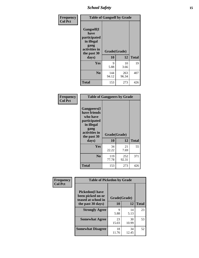*School Safety* **15**

| Frequency      | <b>Table of Gangself by Grade</b>                                                                         |                    |              |              |
|----------------|-----------------------------------------------------------------------------------------------------------|--------------------|--------------|--------------|
| <b>Col Pct</b> | <b>Gangself</b> (I<br>have<br>participated<br>in illegal<br>gang<br>activities in<br>the past 30<br>days) | Grade(Grade)<br>10 | 12           | <b>Total</b> |
|                | Yes                                                                                                       | 9<br>5.88          | 10<br>3.66   | 19           |
|                | N <sub>0</sub>                                                                                            | 144<br>94.12       | 263<br>96.34 | 407          |
|                | <b>Total</b>                                                                                              | 153                | 273          | 426          |

| Frequency<br><b>Col Pct</b> | <b>Table of Gangpeers by Grade</b>                                                                                             |                    |              |              |
|-----------------------------|--------------------------------------------------------------------------------------------------------------------------------|--------------------|--------------|--------------|
|                             | <b>Gangpeers</b> (I<br>have friends<br>who have<br>participated<br>in illegal<br>gang<br>activities in<br>the past 30<br>days) | Grade(Grade)<br>10 | 12           | <b>Total</b> |
|                             | <b>Yes</b>                                                                                                                     | 34<br>22.22        | 21<br>7.69   | 55           |
|                             | N <sub>0</sub>                                                                                                                 | 119<br>77.78       | 252<br>92.31 | 371          |
|                             | <b>Total</b>                                                                                                                   | 153                | 273          | 426          |

| Frequency      | <b>Table of Pickedon by Grade</b>                                                       |                           |                  |    |  |  |  |  |  |  |
|----------------|-----------------------------------------------------------------------------------------|---------------------------|------------------|----|--|--|--|--|--|--|
| <b>Col Pct</b> | <b>Pickedon(I have</b><br>been picked on or<br>teased at school in<br>the past 30 days) | Grade(Grade)<br><b>10</b> | <b>Total</b>     |    |  |  |  |  |  |  |
|                | <b>Strongly Agree</b>                                                                   | 9<br>5.88                 | 12<br>14<br>5.13 | 23 |  |  |  |  |  |  |
|                | <b>Somewhat Agree</b>                                                                   | 23<br>15.03               | 30<br>10.99      | 53 |  |  |  |  |  |  |
|                | <b>Somewhat Disagree</b>                                                                | 18<br>11.76               | 34<br>12.45      | 52 |  |  |  |  |  |  |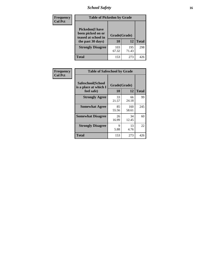# *School Safety* **16**

| <b>Frequency</b> | <b>Table of Pickedon by Grade</b>                                                        |                    |              |              |
|------------------|------------------------------------------------------------------------------------------|--------------------|--------------|--------------|
| <b>Col Pct</b>   | <b>Pickedon</b> (I have<br>been picked on or<br>teased at school in<br>the past 30 days) | Grade(Grade)<br>10 | 12           | <b>Total</b> |
|                  | <b>Strongly Disagree</b>                                                                 | 103<br>67.32       | 195<br>71.43 | 298          |
|                  | Total                                                                                    | 153                | 273          | 426          |

| Frequency      | <b>Table of Safeschool by Grade</b>                      |                    |              |     |  |  |  |  |  |
|----------------|----------------------------------------------------------|--------------------|--------------|-----|--|--|--|--|--|
| <b>Col Pct</b> | Safeschool(School<br>is a place at which I<br>feel safe) | Grade(Grade)<br>10 | <b>Total</b> |     |  |  |  |  |  |
|                | <b>Strongly Agree</b>                                    | 33<br>21.57        | 66<br>24.18  | 99  |  |  |  |  |  |
|                | <b>Somewhat Agree</b>                                    | 85<br>55.56        | 160<br>58.61 | 245 |  |  |  |  |  |
|                | <b>Somewhat Disagree</b>                                 | 26<br>16.99        | 34<br>12.45  | 60  |  |  |  |  |  |
|                | <b>Strongly Disagree</b>                                 | 9<br>5.88          | 13<br>4.76   | 22  |  |  |  |  |  |
|                | <b>Total</b>                                             | 153                | 273          | 426 |  |  |  |  |  |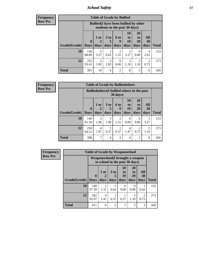*School Safety* **17**

| <b>Frequency</b> |  |
|------------------|--|
| Row Pct          |  |

| <b>Table of Grade by Bullied</b> |              |                                                                               |                              |                   |                        |                        |                        |              |  |  |
|----------------------------------|--------------|-------------------------------------------------------------------------------|------------------------------|-------------------|------------------------|------------------------|------------------------|--------------|--|--|
|                                  |              | <b>Bullied</b> (I have been bullied by other<br>students in the past 30 days) |                              |                   |                        |                        |                        |              |  |  |
| <b>Grade</b> (Grade)   Days      | $\mathbf 0$  | $1$ or<br>days                                                                | 3 <sub>to</sub><br>5<br>days | 6 to<br>9<br>days | 10<br>to<br>19<br>days | 20<br>to<br>29<br>days | All<br>30<br>days      | <b>Total</b> |  |  |
| 10                               | 136<br>88.89 | 5<br>3.27                                                                     | 0.65                         | 2<br>1.31         | 5<br>3.27              | $\theta$<br>0.00       | 4<br>2.61              | 153          |  |  |
| 12                               | 255<br>93.41 | 5<br>1.83                                                                     | 5<br>1.83                    | $\left($<br>0.00  | 3<br>1.10              | 3<br>1.10              | $\mathfrak{D}$<br>0.73 | 273          |  |  |
| Total                            | 391          | 10                                                                            | 6                            | $\overline{c}$    | 8                      | 3                      | 6                      | 426          |  |  |

| <b>Frequency</b> |
|------------------|
| <b>Row Pct</b>   |

| V | <b>Table of Grade by Bulliedothers</b> |                             |                                                                         |              |                          |                               |                               |                   |              |  |  |
|---|----------------------------------------|-----------------------------|-------------------------------------------------------------------------|--------------|--------------------------|-------------------------------|-------------------------------|-------------------|--------------|--|--|
|   |                                        |                             | <b>Bulliedothers</b> (I bullied others in the past<br>$30 \text{ days}$ |              |                          |                               |                               |                   |              |  |  |
|   | Grade(Grade)                           | $\mathbf{0}$<br><b>Days</b> | 1 or<br>$\mathbf 2$<br>days                                             | 3 to<br>days | <b>6 to</b><br>9<br>days | <b>10</b><br>to<br>19<br>days | <b>20</b><br>to<br>29<br>days | All<br>30<br>days | <b>Total</b> |  |  |
|   | 10                                     | 140<br>91.50                | 3<br>1.96                                                               | 3<br>1.96    | 2<br>1.31                | 0<br>0.00                     | 0<br>0.00                     | 5<br>3.27         | 153          |  |  |
|   | 12                                     | 258<br>94.51                | 4<br>1.47                                                               | 0.37         | 0.37                     | 4<br>1.47                     | $\mathfrak{D}$<br>0.73        | 3<br>1.10         | 273          |  |  |
|   | <b>Total</b>                           | 398                         | 7                                                                       | 4            | 3                        | 4                             | $\overline{2}$                | 8                 | 426          |  |  |

| <b>Frequency</b> | <b>Table of Grade by Weaponschool</b> |                            |                                                                   |                         |                        |                                    |                        |              |  |
|------------------|---------------------------------------|----------------------------|-------------------------------------------------------------------|-------------------------|------------------------|------------------------------------|------------------------|--------------|--|
| <b>Row Pct</b>   |                                       |                            | Weaponschool(I brought a weapon<br>to school in the past 30 days) |                         |                        |                                    |                        |              |  |
|                  | Grade(Grade)                          | $\mathbf 0$<br><b>Days</b> | 1 or<br>days                                                      | 3 <sub>to</sub><br>days | 10<br>to<br>19<br>days | 20<br>t <sub>0</sub><br>29<br>days | All<br>30<br>days      | <b>Total</b> |  |
|                  | 10                                    | 149<br>97.39               | $\mathfrak{D}$<br>1.31                                            | 0.65                    | 0<br>0.00              | $\Omega$<br>0.00                   | 0.65                   | 153          |  |
|                  | 12                                    | 262<br>95.97               | $\overline{4}$<br>1.47                                            | 0.37                    | 0.37                   | 3<br>1.10                          | $\overline{2}$<br>0.73 | 273          |  |
|                  | <b>Total</b>                          | 411                        | 6                                                                 | $\mathfrak{D}$          |                        | 3                                  | 3                      | 426          |  |

h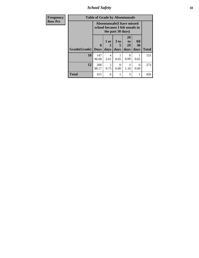*School Safety* **18**

| Frequency      | <b>Table of Grade by Absentunsafe</b> |                                                                      |                        |              |                        |                   |              |  |  |
|----------------|---------------------------------------|----------------------------------------------------------------------|------------------------|--------------|------------------------|-------------------|--------------|--|--|
| <b>Row Pct</b> |                                       | <b>Absentunsafe(I have missed</b><br>school because I felt unsafe in |                        |              |                        |                   |              |  |  |
|                | Grade(Grade)                          | $\mathbf{0}$<br><b>Days</b>                                          | 1 or<br>2<br>days      | 3 to<br>days | 20<br>to<br>29<br>days | All<br>30<br>days | <b>Total</b> |  |  |
|                | 10                                    | 147<br>96.08                                                         | 4<br>2.61              | 0.65         | 0.00                   | 0.65              | 153          |  |  |
|                | 12                                    | 268<br>98.17                                                         | $\overline{2}$<br>0.73 | 0<br>0.00    | 3<br>1.10              | 0<br>0.00         | 273          |  |  |
|                | <b>Total</b>                          | 415                                                                  | 6                      |              | 3                      |                   | 426          |  |  |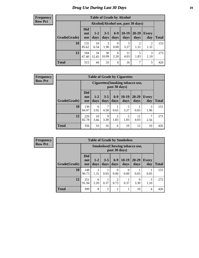# *Drug Use During Last 30 Days* **19**

#### **Frequency Row Pct**

| <b>Table of Grade by Alcohol</b> |                                 |                                     |                 |                  |                 |                       |                        |       |  |  |  |
|----------------------------------|---------------------------------|-------------------------------------|-----------------|------------------|-----------------|-----------------------|------------------------|-------|--|--|--|
|                                  |                                 | Alcohol (Alcohol use, past 30 days) |                 |                  |                 |                       |                        |       |  |  |  |
| Grade(Grade)                     | <b>Did</b><br>not<br><b>use</b> | $1 - 2$<br>days                     | $3 - 5$<br>days | $6-9$<br>days    | $10-19$<br>days | $20 - 29$<br>days     | Every<br>day           | Total |  |  |  |
| 10                               | 131<br>85.62                    | 10<br>6.54                          | 3<br>1.96       | $\Omega$<br>0.00 | 5<br>3.27       | $\mathcal{D}$<br>1.31 | $\overline{2}$<br>1.31 | 153   |  |  |  |
| 12                               | 184<br>67.40                    | 34<br>12.45                         | 30<br>10.99     | 6<br>2.20        | 11<br>4.03      | 5<br>1.83             | 3<br>1.10              | 273   |  |  |  |
| <b>Total</b>                     | 315                             | 44                                  | 33              | 6                | 16              | 7                     | 5                      | 426   |  |  |  |

#### **Frequency Row Pct**

| <b>Table of Grade by Cigarettes</b> |                                 |                                                                                                                |           |           |           |            |           |     |  |  |
|-------------------------------------|---------------------------------|----------------------------------------------------------------------------------------------------------------|-----------|-----------|-----------|------------|-----------|-----|--|--|
|                                     |                                 | Cigarettes (Smoking tobacco use,<br>past 30 days)                                                              |           |           |           |            |           |     |  |  |
| Grade(Grade)                        | <b>Did</b><br>not<br><b>use</b> | $10-19$<br>$6 - 9$<br>20-29<br>$1-2$<br>$3 - 5$<br><b>Every</b><br>days<br>days<br>days<br>day<br>days<br>days |           |           |           |            |           |     |  |  |
| 10                                  | 130<br>84.97                    | 6<br>3.92                                                                                                      | 7<br>4.58 | 0.65      | 5<br>3.27 | 0.65       | 3<br>1.96 | 153 |  |  |
| 12                                  | 226<br>82.78                    | 10<br>3.66                                                                                                     | 9<br>3.30 | 5<br>1.83 | 5<br>1.83 | 11<br>4.03 | 7<br>2.56 | 273 |  |  |
| <b>Total</b>                        | 356                             | 16                                                                                                             | 16        | 6         | 10        | 12         | 10        | 426 |  |  |

**Frequency Row Pct**

| <b>Table of Grade by Smokeless</b> |                                 |                                                        |                 |                  |                 |                   |                     |              |  |  |  |
|------------------------------------|---------------------------------|--------------------------------------------------------|-----------------|------------------|-----------------|-------------------|---------------------|--------------|--|--|--|
|                                    |                                 | <b>Smokeless</b> (Chewing tobaccouse,<br>past 30 days) |                 |                  |                 |                   |                     |              |  |  |  |
| Grade(Grade)                       | <b>Did</b><br>not<br><b>use</b> | $1 - 2$<br>days                                        | $3 - 5$<br>days | $6-9$<br>days    | $10-19$<br>days | $20 - 29$<br>days | <b>Every</b><br>day | <b>Total</b> |  |  |  |
| 10                                 | 148<br>96.73                    | $\overline{2}$<br>1.31                                 | 0.65            | $\Omega$<br>0.00 | 0<br>0.00       | 0.65              | 0.65                | 153          |  |  |  |
| 12                                 | 251<br>91.94                    | 6<br>2.20                                              | 0.37            | 2<br>0.73        | 0.37            | 9<br>3.30         | 3<br>1.10           | 273          |  |  |  |
| <b>Total</b>                       | 399                             | 8                                                      | $\overline{2}$  | $\overline{2}$   | $\mathbf{1}$    | 10                | 4                   | 426          |  |  |  |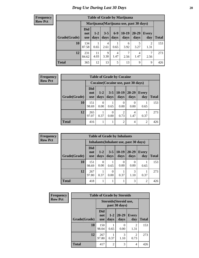#### **Frequency Row Pct**

| <b>Table of Grade by Marijuana</b> |                                 |                                         |                 |               |                 |               |              |              |
|------------------------------------|---------------------------------|-----------------------------------------|-----------------|---------------|-----------------|---------------|--------------|--------------|
|                                    |                                 | Marijuana (Marijuana use, past 30 days) |                 |               |                 |               |              |              |
| Grade(Grade)                       | <b>Did</b><br>not<br><b>use</b> | $1 - 2$<br>days                         | $3 - 5$<br>days | $6-9$<br>days | $10-19$<br>days | 20-29<br>days | Every<br>day | <b>Total</b> |
| 10                                 | 134<br>87.58                    | 0.65                                    | 4<br>2.61       | 0.65          | 6<br>3.92       | 3.27          | 2<br>1.31    | 153          |
| 12                                 | 231<br>84.62                    | 11<br>4.03                              | 9<br>3.30       | 4<br>1.47     | 7<br>2.56       | 4<br>1.47     | 7<br>2.56    | 273          |
| <b>Total</b>                       | 365                             | 12                                      | 13              | 5             | 13              | 9             | 9            | 426          |

| Frequency      |              |                                     |                  |                 | <b>Table of Grade by Cocaine</b> |                   |              |              |
|----------------|--------------|-------------------------------------|------------------|-----------------|----------------------------------|-------------------|--------------|--------------|
| <b>Row Pct</b> |              | Cocaine (Cocaine use, past 30 days) |                  |                 |                                  |                   |              |              |
|                | Grade(Grade) | <b>Did</b><br>not<br><b>use</b>     | $1 - 2$<br>days  | $3 - 5$<br>days | $10-19$<br>days                  | $20 - 29$<br>days | Every<br>day | <b>Total</b> |
|                | 10           | 151<br>98.69                        | $\Omega$<br>0.00 | 0.65            | $\theta$<br>0.00                 | 0.00              | 0.65         | 153          |
|                | 12           | 265<br>97.07                        | 0.37             | 0<br>0.00       | $\overline{2}$<br>0.73           | 4<br>1.47         | 0.37         | 273          |
|                | <b>Total</b> | 416                                 |                  |                 | $\overline{2}$                   | 4                 | 2            | 426          |

**Frequency Row Pct**

| <b>Table of Grade by Inhalants</b> |                          |                                        |                 |                 |                   |                     |              |  |  |
|------------------------------------|--------------------------|----------------------------------------|-----------------|-----------------|-------------------|---------------------|--------------|--|--|
|                                    |                          | Inhalants (Inhalant use, past 30 days) |                 |                 |                   |                     |              |  |  |
| Grade(Grade)                       | Did<br>not<br><b>use</b> | $1 - 2$<br>days                        | $3 - 5$<br>days | $10-19$<br>days | $20 - 29$<br>days | <b>Every</b><br>day | <b>Total</b> |  |  |
| 10                                 | 151<br>98.69             | 0<br>0.00                              | 0.65            | 0<br>0.00       | 0<br>0.00         | 0.65                | 153          |  |  |
| 12                                 | 267<br>97.80             | 0.37                                   | 0<br>0.00       | 0.37            | 3<br>1.10         | 0.37                | 273          |  |  |
| Total                              | 418                      |                                        |                 |                 | 3                 | 2                   | 426          |  |  |

| Frequency      | <b>Table of Grade by Steroids</b> |                                 |                                         |                   |                     |              |  |  |
|----------------|-----------------------------------|---------------------------------|-----------------------------------------|-------------------|---------------------|--------------|--|--|
| <b>Row Pct</b> |                                   |                                 | Steroids (Steroid use,<br>past 30 days) |                   |                     |              |  |  |
|                | Grade(Grade)                      | <b>Did</b><br>not<br><b>use</b> | $1-2$<br>days                           | $20 - 29$<br>days | <b>Every</b><br>day | <b>Total</b> |  |  |
|                | 10                                | 150<br>98.04                    | 0.65                                    | 0.00              | 2<br>1.31           | 153          |  |  |
|                | 12                                | 267<br>97.80                    | 0.37                                    | 3<br>1.10         | 2<br>0.73           | 273          |  |  |
|                | <b>Total</b>                      | 417                             | $\overline{2}$                          | 3                 | 4                   | 426          |  |  |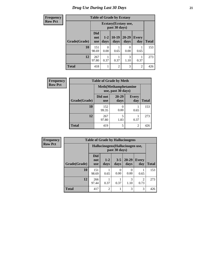### **Frequency Row**

| <b>Table of Grade by Ecstasy</b> |  |  |
|----------------------------------|--|--|
|                                  |  |  |

| quency | Table of Graue by Ecstasy |                                 |                                        |                 |                   |                     |              |  |  |  |
|--------|---------------------------|---------------------------------|----------------------------------------|-----------------|-------------------|---------------------|--------------|--|--|--|
| v Pct  |                           |                                 | Ecstasy (Ecstasy use,<br>past 30 days) |                 |                   |                     |              |  |  |  |
|        | Grade(Grade)              | <b>Did</b><br>not<br><b>use</b> | $1 - 2$<br>days                        | $10-19$<br>days | $20 - 29$<br>days | <b>Every</b><br>day | <b>Total</b> |  |  |  |
|        | 10                        | 151<br>98.69                    | 0<br>0.00                              | 0.65            | $\theta$<br>0.00  | 0.65                | 153          |  |  |  |
|        | 12                        | 267<br>97.80                    | 0.37                                   | 0.37            | 3<br>1.10         | 0.37                | 273          |  |  |  |
|        | Total                     | 418                             |                                        | $\overline{2}$  | 3                 | $\overline{2}$      | 426          |  |  |  |

| Frequency      | <b>Table of Grade by Meth</b> |                       |                   |                                                    |              |  |  |
|----------------|-------------------------------|-----------------------|-------------------|----------------------------------------------------|--------------|--|--|
| <b>Row Pct</b> |                               |                       |                   | <b>Meth</b> (Methamphetamine<br>use, past 30 days) |              |  |  |
|                | Grade(Grade)                  | Did not<br><b>use</b> | $20 - 29$<br>days | <b>Every</b><br>day                                | <b>Total</b> |  |  |
|                | 10                            | 152<br>99.35          | 0.00              | 0.65                                               | 153          |  |  |
|                | 12                            | 267<br>97.80          | 5<br>1.83         | 0.37                                               | 273          |  |  |
|                | <b>Total</b>                  | 419                   | 5                 | 2                                                  | 426          |  |  |

| <b>Frequency</b> | <b>Table of Grade by Hallucinogens</b> |                                  |                 |                  |                   |                        |              |
|------------------|----------------------------------------|----------------------------------|-----------------|------------------|-------------------|------------------------|--------------|
| <b>Row Pct</b>   |                                        | Hallucinogens (Hallucinogen use, |                 |                  |                   |                        |              |
|                  | Grade(Grade)                           | <b>Did</b><br>not<br><b>use</b>  | $1 - 2$<br>days | $3 - 5$<br>days  | $20 - 29$<br>days | <b>Every</b><br>day    | <b>Total</b> |
|                  | 10                                     | 151<br>98.69                     | 0.65            | $\Omega$<br>0.00 | 0<br>0.00         | 0.65                   | 153          |
|                  | 12                                     | 266<br>97.44                     | 0.37            | 0.37             | 3<br>1.10         | $\mathfrak{D}$<br>0.73 | 273          |
|                  | <b>Total</b>                           | 417                              | $\mathfrak{D}$  |                  | 3                 | 3                      | 426          |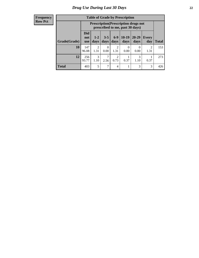#### **Frequency Row Pct**

| <b>Table of Grade by Prescription</b> |                                 |                                                                                |                  |                        |                 |                   |                        |       |
|---------------------------------------|---------------------------------|--------------------------------------------------------------------------------|------------------|------------------------|-----------------|-------------------|------------------------|-------|
|                                       |                                 | <b>Prescription</b> (Prescription drugs not<br>prescribed to me, past 30 days) |                  |                        |                 |                   |                        |       |
| Grade(Grade)                          | <b>Did</b><br>not<br><b>use</b> | $1 - 2$<br>days                                                                | $3 - 5$<br>days  | $6-9$<br>days          | $10-19$<br>days | $20 - 29$<br>days | Every<br>day           | Total |
| 10                                    | 147<br>96.08                    | $\mathcal{D}_{\mathcal{A}}$<br>1.31                                            | $\Omega$<br>0.00 | $\overline{2}$<br>1.31 | 0<br>0.00       | $\Omega$<br>0.00  | $\mathfrak{D}$<br>1.31 | 153   |
| 12                                    | 256<br>93.77                    | 3<br>1.10                                                                      | 2.56             | $\overline{c}$<br>0.73 | 0.37            | 3<br>1.10         | 0.37                   | 273   |
| <b>Total</b>                          | 403                             | 5                                                                              | 7                | 4                      |                 | 3                 | 3                      | 426   |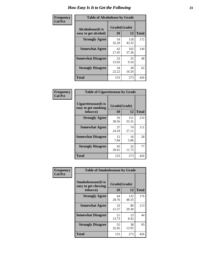| Frequency      | <b>Table of Alcoholease by Grade</b>              |                    |              |     |  |  |  |  |
|----------------|---------------------------------------------------|--------------------|--------------|-----|--|--|--|--|
| <b>Col Pct</b> | <b>Alcoholease</b> (It is<br>easy to get alcohol) | Grade(Grade)<br>10 | <b>Total</b> |     |  |  |  |  |
|                | <b>Strongly Agree</b>                             | 54<br>35.29        | 118<br>43.22 | 172 |  |  |  |  |
|                | <b>Somewhat Agree</b>                             | 42<br>27.45        | 102<br>37.36 | 144 |  |  |  |  |
|                | <b>Somewhat Disagree</b>                          | 23<br>15.03        | 25<br>9.16   | 48  |  |  |  |  |
|                | <b>Strongly Disagree</b>                          | 34<br>22.22        | 28<br>10.26  | 62  |  |  |  |  |
|                | <b>Total</b>                                      | 153                | 273          | 426 |  |  |  |  |

| Frequency      | <b>Table of Cigarettesease by Grade</b>                  |                    |              |              |  |  |  |
|----------------|----------------------------------------------------------|--------------------|--------------|--------------|--|--|--|
| <b>Col Pct</b> | Cigarettesease (It is<br>easy to get smoking<br>tobacco) | Grade(Grade)<br>10 | 12           | <b>Total</b> |  |  |  |
|                | <b>Strongly Agree</b>                                    | 59<br>38.56        | 151<br>55.31 | 210          |  |  |  |
|                | <b>Somewhat Agree</b>                                    | 37<br>24.18        | 74<br>27.11  | 111          |  |  |  |
|                | <b>Somewhat Disagree</b>                                 | 12<br>7.84         | 16<br>5.86   | 28           |  |  |  |
|                | <b>Strongly Disagree</b>                                 | 45<br>29.41        | 32<br>11.72  | 77           |  |  |  |
|                | <b>Total</b>                                             | 153                | 273          | 426          |  |  |  |

| Frequency      | <b>Table of Smokelessease by Grade</b>             |              |              |              |
|----------------|----------------------------------------------------|--------------|--------------|--------------|
| <b>Col Pct</b> | <b>Smokelessease</b> (It is<br>easy to get chewing | Grade(Grade) |              |              |
|                | tobacco)                                           | 10           | 12           | <b>Total</b> |
|                | <b>Strongly Agree</b>                              | 44<br>28.76  | 132<br>48.35 | 176          |
|                | <b>Somewhat Agree</b>                              | 33<br>21.57  | 80<br>29.30  | 113          |
|                | <b>Somewhat Disagree</b>                           | 21<br>13.73  | 23<br>8.42   | 44           |
|                | <b>Strongly Disagree</b>                           | 55<br>35.95  | 38<br>13.92  | 93           |
|                | <b>Total</b>                                       | 153          | 273          | 426          |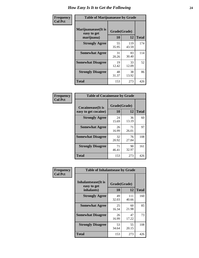| Frequency      | <b>Table of Marijuanaease by Grade</b>           |                    |              |              |  |  |  |  |
|----------------|--------------------------------------------------|--------------------|--------------|--------------|--|--|--|--|
| <b>Col Pct</b> | Marijuanaease(It is<br>easy to get<br>marijuana) | Grade(Grade)<br>10 | 12           | <b>Total</b> |  |  |  |  |
|                | <b>Strongly Agree</b>                            | 55<br>35.95        | 119<br>43.59 | 174          |  |  |  |  |
|                | <b>Somewhat Agree</b>                            | 31<br>20.26        | 83<br>30.40  | 114          |  |  |  |  |
|                | <b>Somewhat Disagree</b>                         | 19<br>12.42        | 33<br>12.09  | 52           |  |  |  |  |
|                | <b>Strongly Disagree</b>                         | 48<br>31.37        | 38<br>13.92  | 86           |  |  |  |  |
|                | <b>Total</b>                                     | 153                | 273          | 426          |  |  |  |  |

| <b>Table of Cocaineease by Grade</b> |             |              |              |  |  |  |  |  |  |
|--------------------------------------|-------------|--------------|--------------|--|--|--|--|--|--|
| Cocaineease(It is                    |             | Grade(Grade) |              |  |  |  |  |  |  |
| easy to get cocaine)                 | 10          | 12           | <b>Total</b> |  |  |  |  |  |  |
| <b>Strongly Agree</b>                | 24<br>15.69 | 36<br>13.19  | 60           |  |  |  |  |  |  |
| <b>Somewhat Agree</b>                | 26<br>16.99 | 71<br>26.01  | 97           |  |  |  |  |  |  |
| <b>Somewhat Disagree</b>             | 32<br>20.92 | 76<br>27.84  | 108          |  |  |  |  |  |  |
| <b>Strongly Disagree</b>             | 71<br>46.41 | 90<br>32.97  | 161          |  |  |  |  |  |  |
| <b>Total</b>                         | 153         | 273          | 426          |  |  |  |  |  |  |

| Frequency      | <b>Table of Inhalantsease by Grade</b>                   |                    |              |              |
|----------------|----------------------------------------------------------|--------------------|--------------|--------------|
| <b>Col Pct</b> | <b>Inhalantsease</b> (It is<br>easy to get<br>inhalants) | Grade(Grade)<br>10 | 12           | <b>Total</b> |
|                | <b>Strongly Agree</b>                                    | 49<br>32.03        | 111<br>40.66 | 160          |
|                | <b>Somewhat Agree</b>                                    | 25<br>16.34        | 60<br>21.98  | 85           |
|                | <b>Somewhat Disagree</b>                                 | 26<br>16.99        | 47<br>17.22  | 73           |
|                | <b>Strongly Disagree</b>                                 | 53<br>34.64        | 55<br>20.15  | 108          |
|                | <b>Total</b>                                             | 153                | 273          | 426          |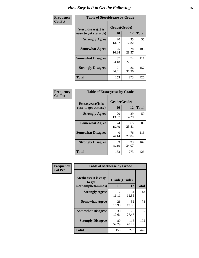| Frequency      | <b>Table of Steroidsease by Grade</b>               |                    |              |     |  |  |  |  |  |
|----------------|-----------------------------------------------------|--------------------|--------------|-----|--|--|--|--|--|
| <b>Col Pct</b> | <b>Steroidsease</b> (It is<br>easy to get steroids) | Grade(Grade)<br>10 | <b>Total</b> |     |  |  |  |  |  |
|                | <b>Strongly Agree</b>                               | 20<br>13.07        | 35<br>12.82  | 55  |  |  |  |  |  |
|                | <b>Somewhat Agree</b>                               | 25<br>16.34        | 78<br>28.57  | 103 |  |  |  |  |  |
|                | <b>Somewhat Disagree</b>                            | 37<br>24.18        | 74<br>27.11  | 111 |  |  |  |  |  |
|                | <b>Strongly Disagree</b>                            | 71<br>46.41        | 86<br>31.50  | 157 |  |  |  |  |  |
|                | <b>Total</b>                                        | 153                | 273          | 426 |  |  |  |  |  |

| Frequency      | <b>Table of Ecstasyease by Grade</b>              |                    |              |     |  |  |  |  |  |  |
|----------------|---------------------------------------------------|--------------------|--------------|-----|--|--|--|--|--|--|
| <b>Col Pct</b> | <b>Ecstasyease</b> (It is<br>easy to get ecstasy) | Grade(Grade)<br>10 | <b>Total</b> |     |  |  |  |  |  |  |
|                | <b>Strongly Agree</b>                             | 20<br>13.07        | 39<br>14.29  | 59  |  |  |  |  |  |  |
|                | <b>Somewhat Agree</b>                             | 24<br>15.69        | 65<br>23.81  | 89  |  |  |  |  |  |  |
|                | <b>Somewhat Disagree</b>                          | 40<br>26.14        | 76<br>27.84  | 116 |  |  |  |  |  |  |
|                | <b>Strongly Disagree</b>                          | 69<br>45.10        | 93<br>34.07  | 162 |  |  |  |  |  |  |
|                | <b>Total</b>                                      | 153                | 273          | 426 |  |  |  |  |  |  |

| Frequency      | <b>Table of Methease by Grade</b>                          |                    |              |              |  |  |  |  |
|----------------|------------------------------------------------------------|--------------------|--------------|--------------|--|--|--|--|
| <b>Col Pct</b> | <b>Methease</b> (It is easy<br>to get<br>methamphetamines) | Grade(Grade)<br>10 | 12           | <b>Total</b> |  |  |  |  |
|                | <b>Strongly Agree</b>                                      | 17<br>11.11        | 31<br>11.36  | 48           |  |  |  |  |
|                | <b>Somewhat Agree</b>                                      | 26<br>16.99        | 52<br>19.05  | 78           |  |  |  |  |
|                | <b>Somewhat Disagree</b>                                   | 30<br>19.61        | 75<br>27.47  | 105          |  |  |  |  |
|                | <b>Strongly Disagree</b>                                   | 80<br>52.29        | 115<br>42.12 | 195          |  |  |  |  |
|                | <b>Total</b>                                               | 153                | 273          | 426          |  |  |  |  |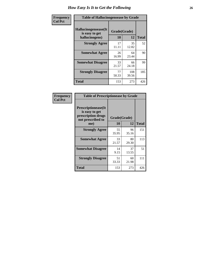| <b>Frequency</b> | <b>Table of Hallucinogensease by Grade</b>               |                    |              |              |  |  |  |  |  |  |
|------------------|----------------------------------------------------------|--------------------|--------------|--------------|--|--|--|--|--|--|
| <b>Col Pct</b>   | Hallucinogensease(It<br>is easy to get<br>hallucinogens) | Grade(Grade)<br>10 | 12           | <b>Total</b> |  |  |  |  |  |  |
|                  | <b>Strongly Agree</b>                                    | 17<br>11.11        | 35<br>12.82  | 52           |  |  |  |  |  |  |
|                  | <b>Somewhat Agree</b>                                    | 26<br>16.99        | 64<br>23.44  | 90           |  |  |  |  |  |  |
|                  | <b>Somewhat Disagree</b>                                 | 33<br>21.57        | 66<br>24.18  | 99           |  |  |  |  |  |  |
|                  | <b>Strongly Disagree</b>                                 | 77<br>50.33        | 108<br>39.56 | 185          |  |  |  |  |  |  |
|                  | <b>Total</b>                                             | 153                | 273          | 426          |  |  |  |  |  |  |

| Frequency<br>  Col Pct |
|------------------------|
|                        |

г

| <b>Table of Prescriptionease by Grade</b>                                                |             |              |              |  |  |  |  |  |
|------------------------------------------------------------------------------------------|-------------|--------------|--------------|--|--|--|--|--|
| <b>Prescriptionease</b> (It<br>is easy to get<br>prescription drugs<br>not prescribed to |             | Grade(Grade) |              |  |  |  |  |  |
| me)                                                                                      | 10          | 12           | <b>Total</b> |  |  |  |  |  |
| <b>Strongly Agree</b>                                                                    | 55<br>35.95 | 96<br>35.16  | 151          |  |  |  |  |  |
| <b>Somewhat Agree</b>                                                                    | 33<br>21.57 | 80<br>29.30  | 113          |  |  |  |  |  |
| <b>Somewhat Disagree</b>                                                                 | 14<br>9.15  | 37<br>13.55  | 51           |  |  |  |  |  |
| <b>Strongly Disagree</b>                                                                 | 51<br>33.33 | 60<br>21.98  | 111          |  |  |  |  |  |
| Total                                                                                    | 153         | 273          | 426          |  |  |  |  |  |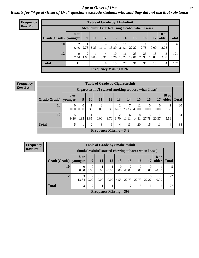*Age at Onset of Use* **27** *Results for "Age at Onset of Use" questions exclude students who said they did not use that substance*

| <b>Frequency</b> | <b>Table of Grade by Alcoholinit</b> |                                                      |           |           |            |            |                           |             |             |                  |                       |              |
|------------------|--------------------------------------|------------------------------------------------------|-----------|-----------|------------|------------|---------------------------|-------------|-------------|------------------|-----------------------|--------------|
| <b>Row Pct</b>   |                                      | Alcoholinit (I started using alcohol when I was)     |           |           |            |            |                           |             |             |                  |                       |              |
|                  | Grade(Grade)   younger               | 8 or                                                 | 9         | <b>10</b> | 12         | 13         | 14                        | 15          | <b>16</b>   | 17               | <b>18 or</b><br>older | <b>Total</b> |
|                  | 10                                   | 5.56                                                 | 2.78      | 3<br>8.33 | 4<br>11.11 | 13.89      | 11<br>30.56               | 8<br>22.22  | 2.78        | $\Omega$<br>0.00 | 2.78                  | 36           |
|                  | 12                                   | 9<br>7.44                                            | 2<br>1.65 | 0.83      | 4<br>3.31  | 10<br>8.26 | 16<br>13.22               | 23<br>19.01 | 35<br>28.93 | 18<br>14.88      | 3<br>2.48             | 121          |
|                  | <b>Total</b>                         | 27<br>3<br>8<br>31<br>36<br>15<br>18<br>11<br>4<br>4 |           |           |            |            |                           |             |             |                  |                       | 157          |
|                  |                                      |                                                      |           |           |            |            | Frequency Missing $= 269$ |             |             |                  |                       |              |

#### **Frequency Row Pct**

| <b>Table of Grade by Cigarettesinit</b> |                  |                                                                                                   |      |                  |                           |                        |            |             |             |                  |           |    |  |
|-----------------------------------------|------------------|---------------------------------------------------------------------------------------------------|------|------------------|---------------------------|------------------------|------------|-------------|-------------|------------------|-----------|----|--|
|                                         |                  | Cigarettesinit(I started smoking tobacco when I was)                                              |      |                  |                           |                        |            |             |             |                  |           |    |  |
| Grade(Grade)                            | 8 or<br>younger  | <b>18 or</b><br>13<br>older<br>12<br><b>15</b><br>9<br>10<br>11<br>14<br><b>Total</b><br>17<br>16 |      |                  |                           |                        |            |             |             |                  |           |    |  |
| 10                                      | $\Omega$<br>0.00 | 0<br>0.00                                                                                         | 3.33 | 3<br>10.00       | 4<br>13.33                | 2<br>6.67              | ⇁<br>23.33 | 12<br>40.00 | 0<br>0.00   | $\theta$<br>0.00 | 3.33      | 30 |  |
| 12                                      | 9.26             | 1.85                                                                                              | 1.85 | $\Omega$<br>0.00 | 2<br>3.70                 | $\overline{2}$<br>3.70 | 6<br>11.11 | 8<br>14.81  | 15<br>27.78 | 11<br>20.37      | 3<br>5.56 | 54 |  |
| <b>Total</b>                            | 5                |                                                                                                   | 2    | 3                | 6                         | $\overline{4}$         | 13         | 20          | 15          | 11               | 4         | 84 |  |
|                                         |                  |                                                                                                   |      |                  | Frequency Missing $=$ 342 |                        |            |             |             |                  |           |    |  |

**Frequency Row Pct**

|              | <b>Table of Grade by Smokelessinit</b> |                                                                                                            |                  |                  |           |                         |                  |            |                  |    |  |  |
|--------------|----------------------------------------|------------------------------------------------------------------------------------------------------------|------------------|------------------|-----------|-------------------------|------------------|------------|------------------|----|--|--|
|              |                                        | Smokelessinit(I started chewing tobacco when I was)                                                        |                  |                  |           |                         |                  |            |                  |    |  |  |
| Grade(Grade) | 8 or<br>younger                        | <b>18 or</b><br><b>15</b><br>9<br><b>11</b><br><b>12</b><br><b>16</b><br>older<br>13<br><b>Total</b><br>17 |                  |                  |           |                         |                  |            |                  |    |  |  |
| <b>10</b>    | $\Omega$<br>0.00                       | 0<br>0.00                                                                                                  | 20.00            | 20.00            | 0<br>0.00 | $\mathfrak{D}$<br>40.00 | $\theta$<br>0.00 | 0.00       | 20.00            |    |  |  |
| 12           | 3<br>13.64                             | $\mathfrak{D}$<br>9.09                                                                                     | $\Omega$<br>0.00 | $\Omega$<br>0.00 | 4.55      | 22.73                   | 22.73            | 6<br>27.27 | $\Omega$<br>0.00 | 22 |  |  |
| <b>Total</b> | 3                                      | $\overline{2}$                                                                                             |                  |                  |           |                         |                  | 6          |                  | 27 |  |  |
|              | <b>Frequency Missing = 399</b>         |                                                                                                            |                  |                  |           |                         |                  |            |                  |    |  |  |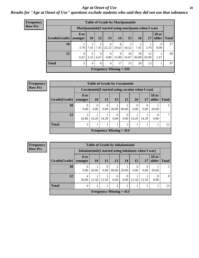#### *Age at Onset of Use* **28**

### *Results for "Age at Onset of Use" questions exclude students who said they did not use that substance*

| Frequency                 | <b>Table of Grade by Marijuanainit</b> |                        |                        |           |                  |            |                                                      |             |             |                       |              |
|---------------------------|----------------------------------------|------------------------|------------------------|-----------|------------------|------------|------------------------------------------------------|-------------|-------------|-----------------------|--------------|
| <b>Row Pct</b>            |                                        |                        |                        |           |                  |            | Marijuanainit (I started using marijuana when I was) |             |             |                       |              |
|                           | Grade(Grade)                           | <b>8 or</b><br>younger | <b>10</b>              | 12        | 13               | 14         | 15                                                   | <b>16</b>   | 17          | <b>18 or</b><br>older | <b>Total</b> |
|                           | 10                                     | 3.70                   | 2<br>7.41              | 7.41      | 6<br>22.22       | 8<br>29.63 | 5<br>18.52                                           | 7.41        | 3.70        | $\Omega$<br>0.00      | 27           |
|                           | 12                                     | $\overline{4}$<br>6.67 | $\overline{2}$<br>3.33 | 4<br>6.67 | $\Omega$<br>0.00 | 9<br>15.00 | 10<br>16.67                                          | 18<br>30.00 | 12<br>20.00 | 1.67                  | 60           |
|                           | <b>Total</b>                           | 5                      | 4                      | 6         | 6                | 17         | 15                                                   | 20          | 13          |                       | 87           |
| Frequency Missing $=$ 339 |                                        |                        |                        |           |                  |            |                                                      |             |             |                       |              |

| Frequency      | <b>Table of Grade by Cocaineinit</b> |                  |                                                  |                  |                  |                                             |           |           |                       |              |
|----------------|--------------------------------------|------------------|--------------------------------------------------|------------------|------------------|---------------------------------------------|-----------|-----------|-----------------------|--------------|
| <b>Row Pct</b> |                                      |                  | Cocaineinit (I started using cocaine when I was) |                  |                  |                                             |           |           |                       |              |
|                | $Grade(Grade)$ younger               | 8 or             | <b>10</b>                                        | <b>11</b>        | 13               | 15                                          | <b>16</b> | 17        | <b>18 or</b><br>older | <b>Total</b> |
|                | 10                                   | $\theta$<br>0.00 | $\theta$<br>0.00                                 | $\Omega$<br>0.00 | 20.00            | 3<br>60.00                                  | 0<br>0.00 | 0<br>0.00 | 20.00                 |              |
|                | 12                                   | 3<br>42.86       | 14.29                                            | 14.29            | $\theta$<br>0.00 | $\Omega$<br>0.00                            | 14.29     | 14.29     | 0.00                  | 7            |
|                | <b>Total</b>                         | 3                |                                                  |                  |                  | 3                                           |           |           |                       | 12           |
|                |                                      |                  |                                                  |                  |                  | <b>Frequency Missing <math>= 414</math></b> |           |           |                       |              |

**Frequency Row Pct**

|                           | <b>Table of Grade by Inhalantsinit</b> |                                                      |                  |                                                                                                                                                                          |                  |           |           |                       |              |
|---------------------------|----------------------------------------|------------------------------------------------------|------------------|--------------------------------------------------------------------------------------------------------------------------------------------------------------------------|------------------|-----------|-----------|-----------------------|--------------|
|                           |                                        | Inhalantsinit (I started using inhalants when I was) |                  |                                                                                                                                                                          |                  |           |           |                       |              |
| Grade(Grade)   younger    | <b>8 or</b>                            | <b>10</b>                                            | <b>11</b>        | 13 <sup>1</sup>                                                                                                                                                          | 14               | 15        | 17        | <b>18 or</b><br>older | <b>Total</b> |
| 10                        | 0.00                                   | 20.00                                                | $\Omega$<br>0.00 | $\mathcal{D}_{\mathcal{A}}^{\mathcal{A}}(\mathcal{A})=\mathcal{D}_{\mathcal{A}}^{\mathcal{A}}(\mathcal{A})\mathcal{D}_{\mathcal{A}}^{\mathcal{A}}(\mathcal{A})$<br>40.00 | 20.00            | 0<br>0.00 | 0<br>0.00 | 20.00                 |              |
| 12                        | 4<br>50.00                             | 12.50                                                | 12.50            | $\Omega$<br>0.00                                                                                                                                                         | $\theta$<br>0.00 | 12.50     | 12.50     | 0.00                  | 8            |
| <b>Total</b>              | 4                                      | $\overline{2}$                                       |                  | $\overline{2}$                                                                                                                                                           |                  |           |           |                       | 13           |
| Frequency Missing $= 413$ |                                        |                                                      |                  |                                                                                                                                                                          |                  |           |           |                       |              |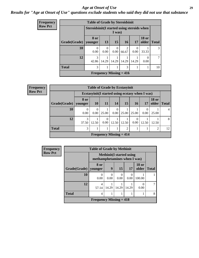#### *Age at Onset of Use* **29**

### *Results for "Age at Onset of Use" questions exclude students who said they did not use that substance*

| Frequency      |              | <b>Table of Grade by Steroidsinit</b>      |           |                                |                         |           |                       |              |
|----------------|--------------|--------------------------------------------|-----------|--------------------------------|-------------------------|-----------|-----------------------|--------------|
| <b>Row Pct</b> |              | Steroidsinit(I started using steroids when |           | I was)                         |                         |           |                       |              |
|                | Grade(Grade) | 8 or<br>younger                            | 13        | 15                             | <b>16</b>               | 17        | <b>18 or</b><br>older | <b>Total</b> |
|                | 10           | $\Omega$<br>0.00                           | 0<br>0.00 | $\Omega$<br>0.00               | $\overline{c}$<br>66.67 | 0<br>0.00 | 33.33                 | 3            |
|                | 12           | 3<br>42.86                                 | 14.29     | 14.29                          | 14.29                   | 14.29     | 0<br>0.00             | $\tau$       |
|                | <b>Total</b> | 3                                          |           |                                | 3                       | 1         |                       | 10           |
|                |              |                                            |           | <b>Frequency Missing = 416</b> |                         |           |                       |              |

| <b>Frequency</b> |              | <b>Table of Grade by Ecstasyinit</b> |                  |                           |                  |           |                      |                                                  |                       |              |
|------------------|--------------|--------------------------------------|------------------|---------------------------|------------------|-----------|----------------------|--------------------------------------------------|-----------------------|--------------|
| <b>Row Pct</b>   |              |                                      |                  |                           |                  |           |                      | Ecstasyinit (I started using ecstasy when I was) |                       |              |
|                  | Grade(Grade) | 8 or<br>younger                      | <b>10</b>        | <b>11</b>                 | <b>14</b>        | <b>15</b> | <b>16</b>            | 17                                               | <b>18 or</b><br>older | <b>Total</b> |
|                  | 10           | 0<br>0.00                            | $\theta$<br>0.00 | 25.00                     | $\theta$<br>0.00 | 25.00     | 25.00                | 0.00                                             | 25.00                 | 4            |
|                  | 12           | 3<br>37.50                           | 12.50            | $\Omega$<br>0.00          | 12.50            | 12.50     | $\Omega$<br>$0.00\,$ | 12.50                                            | 12.50                 | 8            |
|                  | <b>Total</b> | 3                                    |                  |                           |                  | 2         |                      |                                                  | 2                     | 12           |
|                  |              |                                      |                  | Frequency Missing $= 414$ |                  |           |                      |                                                  |                       |              |

| <b>Frequency</b> | <b>Table of Grade by Methinit</b> |                                                                 |       |       |       |                       |              |  |  |  |
|------------------|-----------------------------------|-----------------------------------------------------------------|-------|-------|-------|-----------------------|--------------|--|--|--|
| <b>Row Pct</b>   |                                   | <b>Methinit(I started using</b><br>methamphetamines when I was) |       |       |       |                       |              |  |  |  |
|                  | Grade(Grade)                      | 8 or<br>vounger                                                 | 9     | 15    | 17    | <b>18 or</b><br>older | <b>Total</b> |  |  |  |
|                  | <b>10</b>                         | 0<br>0.00                                                       | 0.00  | 0.00  | 0.00  | 100.00                |              |  |  |  |
|                  | 12                                | 4<br>57.14                                                      | 14.29 | 14.29 | 14.29 | 0<br>0.00             |              |  |  |  |
|                  | <b>Total</b>                      | 4                                                               |       |       |       |                       | 8            |  |  |  |
|                  |                                   | Frequency Missing $= 418$                                       |       |       |       |                       |              |  |  |  |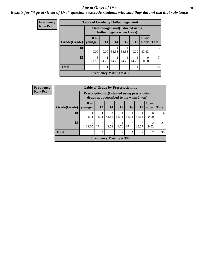#### Age at Onset of Use **30**

### *Results for "Age at Onset of Use" questions exclude students who said they did not use that substance*

| <b>Frequency</b> |              | <b>Table of Grade by Hallucinogensinit</b> |                          |                                                                 |       |           |                       |              |  |  |  |
|------------------|--------------|--------------------------------------------|--------------------------|-----------------------------------------------------------------|-------|-----------|-----------------------|--------------|--|--|--|
| <b>Row Pct</b>   |              |                                            |                          | Hallucinogensinit (I started using<br>hallucinogens when I was) |       |           |                       |              |  |  |  |
|                  | Grade(Grade) | 8 or<br>younger                            | <b>11</b>                | 14                                                              | 15    | 17        | <b>18 or</b><br>older | <b>Total</b> |  |  |  |
|                  | 10           | $\Omega$<br>0.00                           | $\theta$<br>0.00         | 33.33                                                           | 33.33 | 0<br>0.00 | 33.33                 | 3            |  |  |  |
|                  | 12           | $\mathcal{R}$<br>42.86                     | 14.29                    | 14.29                                                           | 14.29 | 14.29     | $\theta$<br>0.00      | 7            |  |  |  |
|                  | <b>Total</b> | 3                                          | 2<br>$\overline{2}$<br>1 |                                                                 |       |           |                       |              |  |  |  |
|                  |              |                                            |                          | Frequency Missing $= 416$                                       |       |           |                       |              |  |  |  |

| <b>Frequency</b> |              | <b>Table of Grade by Prescriptioninit</b>             |                |                                        |                 |            |            |                       |              |
|------------------|--------------|-------------------------------------------------------|----------------|----------------------------------------|-----------------|------------|------------|-----------------------|--------------|
| <b>Row Pct</b>   |              | <b>Prescriptioninit (I started using prescription</b> |                | drugs not prescribed to me when I was) |                 |            |            |                       |              |
|                  | Grade(Grade) | 8 or<br>younger                                       | 13             | 14                                     | 15 <sup>1</sup> | 16         | 17         | <b>18 or</b><br>older | <b>Total</b> |
|                  | 10           | 11.11                                                 | 11.11          | $\overline{4}$<br>44.44                | 11.11           | 11.11      | 11.11      | $\theta$<br>0.00      | $\mathbf Q$  |
|                  | 12           | 4<br>19.05                                            | 3<br>14.29     | $\overline{2}$<br>9.52                 | 4.76            | 3<br>14.29 | 6<br>28.57 | 2<br>9.52             | 21           |
|                  | <b>Total</b> | 5                                                     | $\overline{4}$ | 6                                      | $\overline{2}$  | 4          |            | 2                     | 30           |
|                  |              |                                                       |                | Frequency Missing $=$ 396              |                 |            |            |                       |              |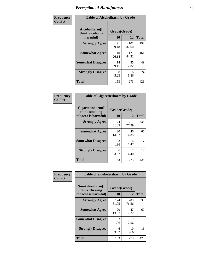| Frequency      |                                               | <b>Table of Alcoholharm by Grade</b> |              |              |  |  |  |  |  |
|----------------|-----------------------------------------------|--------------------------------------|--------------|--------------|--|--|--|--|--|
| <b>Col Pct</b> | Alcoholharm(I<br>think alcohol is<br>harmful) | Grade(Grade)<br>10                   | 12           | <b>Total</b> |  |  |  |  |  |
|                | <b>Strongly Agree</b>                         | 91<br>59.48                          | 101<br>37.00 | 192          |  |  |  |  |  |
|                | <b>Somewhat Agree</b>                         | 40<br>26.14                          | 121<br>44.32 | 161          |  |  |  |  |  |
|                | <b>Somewhat Disagree</b>                      | 14<br>9.15                           | 35<br>12.82  | 49           |  |  |  |  |  |
|                | <b>Strongly Disagree</b>                      | 8<br>5.23                            | 16<br>5.86   | 24           |  |  |  |  |  |
|                | <b>Total</b>                                  | 153                                  | 273          | 426          |  |  |  |  |  |

| <b>Table of Cigarettesharm by Grade</b>                  |                    |              |              |  |  |  |  |  |
|----------------------------------------------------------|--------------------|--------------|--------------|--|--|--|--|--|
| Cigarettesharm(I<br>think smoking<br>tobacco is harmful) | Grade(Grade)<br>10 | 12           | <b>Total</b> |  |  |  |  |  |
| <b>Strongly Agree</b>                                    | 124<br>81.05       | 211<br>77.29 | 335          |  |  |  |  |  |
| <b>Somewhat Agree</b>                                    | 20<br>13.07        | 46<br>16.85  | 66           |  |  |  |  |  |
| <b>Somewhat Disagree</b>                                 | 3<br>1.96          | 4<br>1.47    | 7            |  |  |  |  |  |
| <b>Strongly Disagree</b>                                 | 6<br>3.92          | 12<br>4.40   | 18           |  |  |  |  |  |
| <b>Total</b>                                             | 153                | 273          | 426          |  |  |  |  |  |

| Frequency      | <b>Table of Smokelessharm by Grade</b>                  |                    |              |              |
|----------------|---------------------------------------------------------|--------------------|--------------|--------------|
| <b>Col Pct</b> | Smokelessharm(I<br>think chewing<br>tobacco is harmful) | Grade(Grade)<br>10 | 12           | <b>Total</b> |
|                | <b>Strongly Agree</b>                                   | 124<br>81.05       | 209<br>76.56 | 333          |
|                | <b>Somewhat Agree</b>                                   | 20<br>13.07        | 47<br>17.22  | 67           |
|                | <b>Somewhat Disagree</b>                                | 3<br>1.96          | 2.56         | 10           |
|                | <b>Strongly Disagree</b>                                | 6<br>3.92          | 10<br>3.66   | 16           |
|                | <b>Total</b>                                            | 153                | 273          | 426          |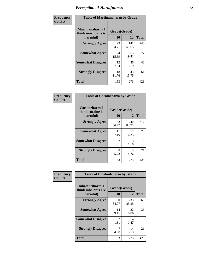| Frequency      |                                                   | <b>Table of Marijuanaharm by Grade</b> |              |              |  |  |  |  |  |
|----------------|---------------------------------------------------|----------------------------------------|--------------|--------------|--|--|--|--|--|
| <b>Col Pct</b> | Marijuanaharm(I<br>think marijuana is<br>harmful) | Grade(Grade)<br>10                     | 12           | <b>Total</b> |  |  |  |  |  |
|                | <b>Strongly Agree</b>                             | 99<br>64.71                            | 141<br>51.65 | 240          |  |  |  |  |  |
|                | <b>Somewhat Agree</b>                             | 24<br>15.69                            | 53<br>19.41  | 77           |  |  |  |  |  |
|                | <b>Somewhat Disagree</b>                          | 12<br>7.84                             | 36<br>13.19  | 48           |  |  |  |  |  |
|                | <b>Strongly Disagree</b>                          | 18<br>11.76                            | 43<br>15.75  | 61           |  |  |  |  |  |
|                | <b>Total</b>                                      | 153                                    | 273          | 426          |  |  |  |  |  |

| <b>Table of Cocaineharm by Grade</b>          |                    |              |     |  |  |
|-----------------------------------------------|--------------------|--------------|-----|--|--|
| Cocaineharm(I<br>think cocaine is<br>harmful) | Grade(Grade)<br>10 | <b>Total</b> |     |  |  |
| <b>Strongly Agree</b>                         | 132<br>86.27       | 240<br>87.91 | 372 |  |  |
| <b>Somewhat Agree</b>                         | 11<br>7.19         | 17<br>6.23   | 28  |  |  |
| <b>Somewhat Disagree</b>                      | 2<br>1.31          | 3<br>1.10    | 5   |  |  |
| <b>Strongly Disagree</b>                      | 8<br>5.23          | 13<br>4.76   | 21  |  |  |
| <b>Total</b>                                  | 153                | 273          | 426 |  |  |

| Frequency      | <b>Table of Inhalantsharm by Grade</b>             |                        |              |              |  |
|----------------|----------------------------------------------------|------------------------|--------------|--------------|--|
| <b>Col Pct</b> | Inhalantsharm(I<br>think inhalants are<br>harmful) | Grade(Grade)<br>10     | 12           | <b>Total</b> |  |
|                | <b>Strongly Agree</b>                              | 130<br>84.97           | 233<br>85.35 | 363          |  |
|                | <b>Somewhat Agree</b>                              | 14<br>9.15             | 22<br>8.06   | 36           |  |
|                | <b>Somewhat Disagree</b>                           | $\mathfrak{D}$<br>1.31 | 4<br>1.47    | 6            |  |
|                | <b>Strongly Disagree</b>                           | 7<br>4.58              | 14<br>5.13   | 21           |  |
|                | <b>Total</b>                                       | 153                    | 273          | 426          |  |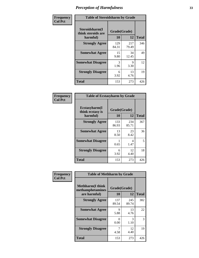| Frequency      | <b>Table of Steroidsharm by Grade</b>            |                    |              |              |  |
|----------------|--------------------------------------------------|--------------------|--------------|--------------|--|
| <b>Col Pct</b> | Steroidsharm(I<br>think steroids are<br>harmful) | Grade(Grade)<br>10 | 12           | <b>Total</b> |  |
|                | <b>Strongly Agree</b>                            | 129<br>84.31       | 217<br>79.49 | 346          |  |
|                | <b>Somewhat Agree</b>                            | 15<br>9.80         | 34<br>12.45  | 49           |  |
|                | <b>Somewhat Disagree</b>                         | 3<br>1.96          | 9<br>3.30    | 12           |  |
|                | <b>Strongly Disagree</b>                         | 6<br>3.92          | 13<br>4.76   | 19           |  |
|                | <b>Total</b>                                     | 153                | 273          | 426          |  |

| <b>Table of Ecstasyharm by Grade</b>          |                    |              |              |  |  |
|-----------------------------------------------|--------------------|--------------|--------------|--|--|
| Ecstasyharm(I<br>think ecstasy is<br>harmful) | Grade(Grade)<br>10 | 12           | <b>Total</b> |  |  |
| <b>Strongly Agree</b>                         | 133<br>86.93       | 234<br>85.71 | 367          |  |  |
| <b>Somewhat Agree</b>                         | 13<br>8.50         | 23<br>8.42   | 36           |  |  |
| <b>Somewhat Disagree</b>                      | 1<br>0.65          | 4<br>1.47    | 5            |  |  |
| <b>Strongly Disagree</b>                      | 6<br>3.92          | 12<br>4.40   | 18           |  |  |
| Total                                         | 153                | 273          | 426          |  |  |

| Frequency      | <b>Table of Methharm by Grade</b>                            |                    |              |              |
|----------------|--------------------------------------------------------------|--------------------|--------------|--------------|
| <b>Col Pct</b> | <b>Methharm</b> (I think<br>methamphetamines<br>are harmful) | Grade(Grade)<br>10 | 12           | <b>Total</b> |
|                | <b>Strongly Agree</b>                                        | 137<br>89.54       | 245<br>89.74 | 382          |
|                | <b>Somewhat Agree</b>                                        | 9<br>5.88          | 13<br>4.76   | 22           |
|                | <b>Somewhat Disagree</b>                                     | 0<br>0.00          | 3<br>1.10    | 3            |
|                | <b>Strongly Disagree</b>                                     | 4.58               | 12<br>4.40   | 19           |
|                | <b>Total</b>                                                 | 153                | 273          | 426          |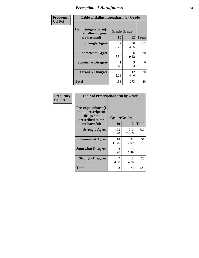| Frequency      | <b>Table of Hallucinogensharm by Grade</b>                 |                    |                                  |              |
|----------------|------------------------------------------------------------|--------------------|----------------------------------|--------------|
| <b>Col Pct</b> | Hallucinogensharm(I<br>think hallucinogens<br>are harmful) | Grade(Grade)<br>10 | 12                               | <b>Total</b> |
|                | <b>Strongly Agree</b>                                      | 132<br>86.27       | 230<br>84.25                     | 362          |
|                | <b>Somewhat Agree</b>                                      | 12<br>7.84         | 26<br>9.52                       | 38           |
|                | <b>Somewhat Disagree</b>                                   | 0.65               | $\overline{\phantom{0}}$<br>1.83 | 6            |
|                | <b>Strongly Disagree</b>                                   | 8<br>5.23          | 12<br>4.40                       | 20           |
|                | <b>Total</b>                                               | 153                | 273                              | 426          |

| <b>Table of Prescriptionharm by Grade</b>                                         |                    |              |              |  |  |
|-----------------------------------------------------------------------------------|--------------------|--------------|--------------|--|--|
| <b>Prescriptionharm</b> (I<br>think prescription<br>drugs not<br>prescribed to me | Grade(Grade)<br>10 | 12           | <b>Total</b> |  |  |
| are harmful)                                                                      |                    |              |              |  |  |
| <b>Strongly Agree</b>                                                             | 125<br>81.70       | 212<br>77.66 | 337          |  |  |
| <b>Somewhat Agree</b>                                                             | 18<br>11.76        | 33<br>12.09  | 51           |  |  |
| <b>Somewhat Disagree</b>                                                          | 3<br>1.96          | 15<br>5.49   | 18           |  |  |
| <b>Strongly Disagree</b>                                                          | 7<br>4.58          | 13<br>4.76   | 20           |  |  |
| <b>Total</b>                                                                      | 153                | 273          | 426          |  |  |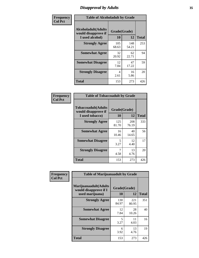# *Disapproval by Adults* **35**

| Frequency      | <b>Table of Alcoholadult by Grade</b>                                 |                    |              |              |  |
|----------------|-----------------------------------------------------------------------|--------------------|--------------|--------------|--|
| <b>Col Pct</b> | <b>Alcoholadult</b> (Adults<br>would disapprove if<br>I used alcohol) | Grade(Grade)<br>10 | 12           | <b>Total</b> |  |
|                | <b>Strongly Agree</b>                                                 | 105<br>68.63       | 148<br>54.21 | 253          |  |
|                | <b>Somewhat Agree</b>                                                 | 32<br>20.92        | 62<br>22.71  | 94           |  |
|                | <b>Somewhat Disagree</b>                                              | 12<br>7.84         | 47<br>17.22  | 59           |  |
|                | <b>Strongly Disagree</b>                                              | 4<br>2.61          | 16<br>5.86   | 20           |  |
|                | <b>Total</b>                                                          | 153                | 273          | 426          |  |

| <b>Table of Tobaccoadult by Grade</b>                                 |                    |              |              |  |  |
|-----------------------------------------------------------------------|--------------------|--------------|--------------|--|--|
| <b>Tobaccoadult</b> (Adults<br>would disapprove if<br>I used tobacco) | Grade(Grade)<br>10 | 12           | <b>Total</b> |  |  |
| <b>Strongly Agree</b>                                                 | 125<br>81.70       | 208<br>76.19 | 333          |  |  |
| <b>Somewhat Agree</b>                                                 | 16<br>10.46        | 40<br>14.65  | 56           |  |  |
| <b>Somewhat Disagree</b>                                              | 5<br>3.27          | 12<br>4.40   | 17           |  |  |
| <b>Strongly Disagree</b>                                              | 7<br>4.58          | 13<br>4.76   | 20           |  |  |
| <b>Total</b>                                                          | 153                | 273          | 426          |  |  |

| Frequency      | <b>Table of Marijuanaadult by Grade</b>                           |                    |              |              |  |
|----------------|-------------------------------------------------------------------|--------------------|--------------|--------------|--|
| <b>Col Pct</b> | Marijuanaadult(Adults<br>would disapprove if I<br>used marijuana) | Grade(Grade)<br>10 | 12           | <b>Total</b> |  |
|                | <b>Strongly Agree</b>                                             | 130<br>84.97       | 221<br>80.95 | 351          |  |
|                | <b>Somewhat Agree</b>                                             | 12<br>7.84         | 28<br>10.26  | 40           |  |
|                | <b>Somewhat Disagree</b>                                          | 5<br>3.27          | 11<br>4.03   | 16           |  |
|                | <b>Strongly Disagree</b>                                          | 6<br>3.92          | 13<br>4.76   | 19           |  |
|                | <b>Total</b>                                                      | 153                | 273          | 426          |  |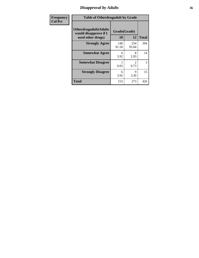# *Disapproval by Adults* **36**

| <b>Frequency</b> | <b>Table of Otherdrugadult by Grade</b>                                     |                    |                        |              |
|------------------|-----------------------------------------------------------------------------|--------------------|------------------------|--------------|
| <b>Col Pct</b>   | <b>Otherdrugadult</b> (Adults<br>would disapprove if I<br>used other drugs) | Grade(Grade)<br>10 | 12                     | <b>Total</b> |
|                  | <b>Strongly Agree</b>                                                       | 140<br>91.50       | 254<br>93.04           | 394          |
|                  | <b>Somewhat Agree</b>                                                       | 6<br>3.92          | 8<br>2.93              | 14           |
|                  | <b>Somewhat Disagree</b>                                                    | 0.65               | $\mathfrak{D}$<br>0.73 | 3            |
|                  | <b>Strongly Disagree</b>                                                    | 6<br>3.92          | 9<br>3.30              | 15           |
|                  | <b>Total</b>                                                                | 153                | 273                    | 426          |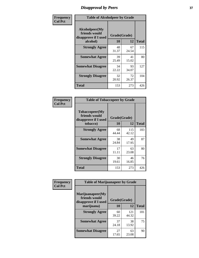# *Disapproval by Peers* **37**

| Frequency      | <b>Table of Alcoholpeer by Grade</b>                    |              |             |              |  |
|----------------|---------------------------------------------------------|--------------|-------------|--------------|--|
| <b>Col Pct</b> | Alcoholpeer(My<br>friends would<br>disapprove if I used | Grade(Grade) |             |              |  |
|                | alcohol)                                                | 10           | 12          | <b>Total</b> |  |
|                | <b>Strongly Agree</b>                                   | 48<br>31.37  | 67<br>24.54 | 115          |  |
|                | <b>Somewhat Agree</b>                                   | 39<br>25.49  | 41<br>15.02 | 80           |  |
|                | <b>Somewhat Disagree</b>                                | 34<br>22.22  | 93<br>34.07 | 127          |  |
|                | <b>Strongly Disagree</b>                                | 32<br>20.92  | 72<br>26.37 | 104          |  |
|                | Total                                                   | 153          | 273         | 426          |  |

| Frequency      | <b>Table of Tobaccopeer by Grade</b>                                |                           |              |              |
|----------------|---------------------------------------------------------------------|---------------------------|--------------|--------------|
| <b>Col Pct</b> | Tobaccopeer(My<br>friends would<br>disapprove if I used<br>tobacco) | Grade(Grade)<br><b>10</b> | 12           | <b>Total</b> |
|                | <b>Strongly Agree</b>                                               | 68<br>44.44               | 115<br>42.12 | 183          |
|                | <b>Somewhat Agree</b>                                               | 38<br>24.84               | 49<br>17.95  | 87           |
|                | <b>Somewhat Disagree</b>                                            | 17<br>11.11               | 63<br>23.08  | 80           |
|                | <b>Strongly Disagree</b>                                            | 30<br>19.61               | 46<br>16.85  | 76           |
|                | Total                                                               | 153                       | 273          | 426          |

| Frequency      | <b>Table of Marijuanapeer by Grade</b>                    |              |              |              |
|----------------|-----------------------------------------------------------|--------------|--------------|--------------|
| <b>Col Pct</b> | Marijuanapeer(My<br>friends would<br>disapprove if I used | Grade(Grade) |              |              |
|                | marijuana)                                                | <b>10</b>    | 12           | <b>Total</b> |
|                | <b>Strongly Agree</b>                                     | 60<br>39.22  | 121<br>44.32 | 181          |
|                | <b>Somewhat Agree</b>                                     | 37<br>24.18  | 38<br>13.92  | 75           |
|                | <b>Somewhat Disagree</b>                                  | 27<br>17.65  | 63<br>23.08  | 90           |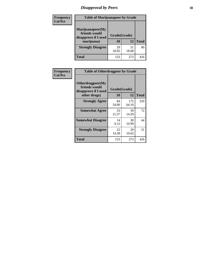# *Disapproval by Peers* **38**

| <b>Frequency</b> | <b>Table of Marijuanapeer by Grade</b>                                  |                           |             |              |  |
|------------------|-------------------------------------------------------------------------|---------------------------|-------------|--------------|--|
| <b>Col Pct</b>   | Marijuanapeer(My<br>friends would<br>disapprove if I used<br>marijuana) | Grade(Grade)<br><b>10</b> | 12          | <b>Total</b> |  |
|                  | <b>Strongly Disagree</b>                                                | 29<br>18.95               | 51<br>18.68 | 80           |  |
|                  | <b>Total</b>                                                            | 153                       | 273         | 426          |  |

| Frequency      | <b>Table of Otherdrugpeer by Grade</b>                                    |                    |              |              |
|----------------|---------------------------------------------------------------------------|--------------------|--------------|--------------|
| <b>Col Pct</b> | Otherdrugpeer(My<br>friends would<br>disapprove if I used<br>other drugs) | Grade(Grade)<br>10 | 12           | <b>Total</b> |
|                | <b>Strongly Agree</b>                                                     | 84<br>54.90        | 175<br>64.10 | 259          |
|                | <b>Somewhat Agree</b>                                                     | 33<br>21.57        | 39<br>14.29  | 72           |
|                | <b>Somewhat Disagree</b>                                                  | 14<br>9.15         | 30<br>10.99  | 44           |
|                | <b>Strongly Disagree</b>                                                  | 22<br>14.38        | 29<br>10.62  | 51           |
|                | <b>Total</b>                                                              | 153                | 273          | 426          |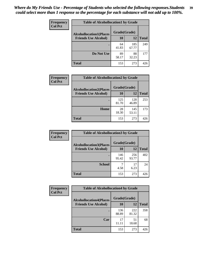| Frequency      | <b>Table of Alcohollocation1 by Grade</b> |              |              |              |  |
|----------------|-------------------------------------------|--------------|--------------|--------------|--|
| <b>Col Pct</b> | <b>Alcohollocation1(Places</b>            | Grade(Grade) |              |              |  |
|                | <b>Friends Use Alcohol)</b>               | 10           | 12           | <b>Total</b> |  |
|                |                                           | 64<br>41.83  | 185<br>67.77 | 249          |  |
|                | Do Not Use                                | 89<br>58.17  | 88<br>32.23  | 177          |  |
|                | <b>Total</b>                              | 153          | 273          | 426          |  |

| Frequency      | <b>Table of Alcohollocation2 by Grade</b>                     |                    |              |              |
|----------------|---------------------------------------------------------------|--------------------|--------------|--------------|
| <b>Col Pct</b> | <b>Alcohollocation2(Places</b><br><b>Friends Use Alcohol)</b> | Grade(Grade)<br>10 | <b>12</b>    | <b>Total</b> |
|                |                                                               | 125<br>81.70       | 128<br>46.89 | 253          |
|                | Home                                                          | 28<br>18.30        | 145<br>53.11 | 173          |
|                | <b>Total</b>                                                  | 153                | 273          | 426          |

| Frequency<br><b>Col Pct</b> | <b>Table of Alcohollocation 3 by Grade</b>                    |                    |              |              |  |
|-----------------------------|---------------------------------------------------------------|--------------------|--------------|--------------|--|
|                             | <b>Alcohollocation3(Places</b><br><b>Friends Use Alcohol)</b> | Grade(Grade)<br>10 | 12           | <b>Total</b> |  |
|                             |                                                               | 146<br>95.42       | 256<br>93.77 | 402          |  |
|                             | <b>School</b>                                                 | 4.58               | 17<br>6.23   | 24           |  |
|                             | <b>Total</b>                                                  | 153                | 273          | 426          |  |

| <b>Frequency</b> | <b>Table of Alcohollocation4 by Grade</b> |              |              |              |
|------------------|-------------------------------------------|--------------|--------------|--------------|
| <b>Col Pct</b>   | <b>Alcohollocation4(Places</b>            | Grade(Grade) |              |              |
|                  | <b>Friends Use Alcohol)</b>               | 10           | 12           | <b>Total</b> |
|                  |                                           | 136<br>88.89 | 222<br>81.32 | 358          |
|                  | Car                                       | 17           | 51<br>18.68  | 68           |
|                  | <b>Total</b>                              | 153          | 273          | 426          |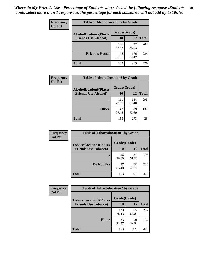| Frequency<br><b>Col Pct</b> | <b>Table of Alcohollocation5 by Grade</b><br>Grade(Grade)<br><b>Alcohollocation5(Places</b> |              |              |              |
|-----------------------------|---------------------------------------------------------------------------------------------|--------------|--------------|--------------|
|                             |                                                                                             |              |              |              |
|                             | <b>Friends Use Alcohol)</b>                                                                 | 10           | 12           | <b>Total</b> |
|                             |                                                                                             | 105<br>68.63 | 97<br>35.53  | 202          |
|                             | <b>Friend's House</b>                                                                       | 48<br>31.37  | 176<br>64.47 | 224          |
|                             | <b>Total</b>                                                                                | 153          | 273          | 426          |

| <b>Frequency</b> | <b>Table of Alcohollocation6 by Grade</b>                     |                           |              |              |
|------------------|---------------------------------------------------------------|---------------------------|--------------|--------------|
| <b>Col Pct</b>   | <b>Alcohollocation6(Places</b><br><b>Friends Use Alcohol)</b> | Grade(Grade)<br><b>10</b> | 12           | <b>Total</b> |
|                  |                                                               |                           |              |              |
|                  |                                                               | 111<br>72.55              | 184<br>67.40 | 295          |
|                  | <b>Other</b>                                                  | 42<br>27.45               | 89<br>32.60  | 131          |
|                  | <b>Total</b>                                                  | 153                       | 273          | 426          |

| Frequency      | <b>Table of Tobaccolocation1 by Grade</b>                     |                    |              |              |
|----------------|---------------------------------------------------------------|--------------------|--------------|--------------|
| <b>Col Pct</b> | <b>Tobaccolocation1(Places</b><br><b>Friends Use Tobacco)</b> | Grade(Grade)<br>10 | 12           | <b>Total</b> |
|                |                                                               |                    |              |              |
|                |                                                               | 56<br>36.60        | 140<br>51.28 | 196          |
|                | Do Not Use                                                    | 97<br>63.40        | 133<br>48.72 | 230          |
|                | <b>Total</b>                                                  | 153                | 273          | 426          |

| <b>Frequency</b> | <b>Table of Tobaccolocation2 by Grade</b> |              |              |              |  |
|------------------|-------------------------------------------|--------------|--------------|--------------|--|
| <b>Col Pct</b>   | <b>Tobaccolocation2(Places</b>            | Grade(Grade) |              |              |  |
|                  | <b>Friends Use Tobacco)</b>               | 10           | 12           | <b>Total</b> |  |
|                  |                                           | 120<br>78.43 | 172<br>63.00 | 292          |  |
|                  | Home                                      | 33<br>21.57  | 101<br>37.00 | 134          |  |
|                  | <b>Total</b>                              | 153          | 273          | 426          |  |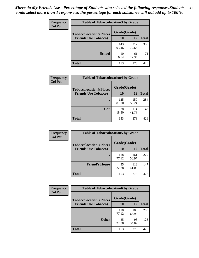| Frequency      | <b>Table of Tobaccolocation 3 by Grade</b> |              |              |              |  |
|----------------|--------------------------------------------|--------------|--------------|--------------|--|
| <b>Col Pct</b> | <b>Tobaccolocation3(Places</b>             | Grade(Grade) |              |              |  |
|                | <b>Friends Use Tobacco)</b>                | 10           | 12           | <b>Total</b> |  |
|                |                                            | 143<br>93.46 | 212<br>77.66 | 355          |  |
|                | <b>School</b>                              | 10<br>6.54   | 61<br>22.34  | 71           |  |
|                | <b>Total</b>                               | 153          | 273          | 426          |  |

| <b>Frequency</b> | <b>Table of Tobaccolocation4 by Grade</b> |              |              |              |
|------------------|-------------------------------------------|--------------|--------------|--------------|
| <b>Col Pct</b>   | <b>Tobaccolocation4(Places</b>            | Grade(Grade) |              |              |
|                  | <b>Friends Use Tobacco)</b>               | 10           | 12           | <b>Total</b> |
|                  |                                           | 125<br>81.70 | 159<br>58.24 | 284          |
|                  | Car                                       | 28<br>18.30  | 114<br>41.76 | 142          |
|                  | <b>Total</b>                              | 153          | 273          | 426          |

| <b>Frequency</b> | <b>Table of Tobaccolocation5 by Grade</b> |              |              |              |
|------------------|-------------------------------------------|--------------|--------------|--------------|
| <b>Col Pct</b>   | <b>Tobaccolocation5(Places</b>            | Grade(Grade) |              |              |
|                  | <b>Friends Use Tobacco)</b>               | 10           | 12           | <b>Total</b> |
|                  |                                           | 118<br>77.12 | 161<br>58.97 | 279          |
|                  | <b>Friend's House</b>                     | 35<br>22.88  | 112<br>41.03 | 147          |
|                  | Total                                     | 153          | 273          | 426          |

| <b>Frequency</b> | <b>Table of Tobaccolocation6 by Grade</b> |              |              |              |
|------------------|-------------------------------------------|--------------|--------------|--------------|
| <b>Col Pct</b>   | <b>Tobaccolocation6(Places</b>            | Grade(Grade) |              |              |
|                  | <b>Friends Use Tobacco)</b>               | 10           | 12           | <b>Total</b> |
|                  |                                           | 118<br>77.12 | 180<br>65.93 | 298          |
|                  | <b>Other</b>                              | 35<br>22.88  | 93<br>34.07  | 128          |
|                  | <b>Total</b>                              | 153          | 273          | 426          |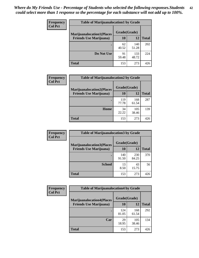| <b>Frequency</b> | <b>Table of Marijuanalocation1 by Grade</b> |              |              |              |
|------------------|---------------------------------------------|--------------|--------------|--------------|
| <b>Col Pct</b>   | <b>Marijuanalocation1(Places</b>            | Grade(Grade) |              |              |
|                  | <b>Friends Use Marijuana</b> )              | 10           | 12           | <b>Total</b> |
|                  |                                             | 62<br>40.52  | 140<br>51.28 | 202          |
|                  | Do Not Use                                  | 91<br>59.48  | 133<br>48.72 | 224          |
|                  | <b>Total</b>                                | 153          | 273          | 426          |

| <b>Frequency</b> | <b>Table of Marijuanalocation2 by Grade</b>                        |                           |              |              |
|------------------|--------------------------------------------------------------------|---------------------------|--------------|--------------|
| <b>Col Pct</b>   | <b>Marijuanalocation2(Places</b><br><b>Friends Use Marijuana</b> ) | Grade(Grade)<br><b>10</b> | 12           | <b>Total</b> |
|                  |                                                                    | 119<br>77.78              | 168<br>61.54 | 287          |
|                  | Home                                                               | 34<br>22.22               | 105<br>38.46 | 139          |
|                  | <b>Total</b>                                                       | 153                       | 273          | 426          |

| Frequency<br><b>Col Pct</b> | <b>Table of Marijuanalocation3 by Grade</b> |              |              |              |
|-----------------------------|---------------------------------------------|--------------|--------------|--------------|
|                             | <b>Marijuanalocation3</b> (Places           | Grade(Grade) |              |              |
|                             | <b>Friends Use Marijuana</b> )              | 10           | 12           | <b>Total</b> |
|                             |                                             | 140<br>91.50 | 230<br>84.25 | 370          |
|                             | <b>School</b>                               | 13<br>8.50   | 43<br>15.75  | 56           |
|                             | <b>Total</b>                                | 153          | 273          | 426          |

| <b>Frequency</b> | <b>Table of Marijuanalocation4 by Grade</b> |              |              |              |  |
|------------------|---------------------------------------------|--------------|--------------|--------------|--|
| <b>Col Pct</b>   | <b>Marijuanalocation4(Places</b>            | Grade(Grade) |              |              |  |
|                  | <b>Friends Use Marijuana</b> )              | <b>10</b>    | 12           | <b>Total</b> |  |
|                  |                                             | 124<br>81.05 | 168<br>61.54 | 292          |  |
|                  | Car                                         | 29<br>18.95  | 105<br>38.46 | 134          |  |
|                  | <b>Total</b>                                | 153          | 273          | 426          |  |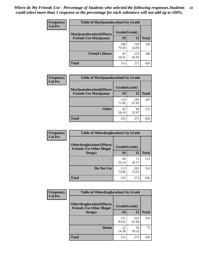| <b>Frequency</b> | <b>Table of Marijuanalocation5 by Grade</b> |              |              |              |
|------------------|---------------------------------------------|--------------|--------------|--------------|
| <b>Col Pct</b>   | <b>Marijuanalocation5</b> (Places           | Grade(Grade) |              |              |
|                  | <b>Friends Use Marijuana</b> )              | 10           | 12           | <b>Total</b> |
|                  |                                             | 108<br>70.59 | 150<br>54.95 | 258          |
|                  | <b>Friend's House</b>                       | 45<br>29.41  | 123<br>45.05 | 168          |
|                  | <b>Total</b>                                | 153          | 273          | 426          |

| <b>Frequency</b> | <b>Table of Marijuanalocation6 by Grade</b>                        |                    |              |              |
|------------------|--------------------------------------------------------------------|--------------------|--------------|--------------|
| <b>Col Pct</b>   | <b>Marijuanalocation6(Places</b><br><b>Friends Use Marijuana</b> ) | Grade(Grade)<br>10 | 12           | <b>Total</b> |
|                  |                                                                    | 110<br>71.90       | 183<br>67.03 | 293          |
|                  | <b>Other</b>                                                       | 43<br>28.10        | 90<br>32.97  | 133          |
|                  | <b>Total</b>                                                       | 153                | 273          | 426          |

| <b>Frequency</b> | <b>Table of Otherdruglocation1 by Grade</b>                          |              |              |              |
|------------------|----------------------------------------------------------------------|--------------|--------------|--------------|
| <b>Col Pct</b>   | <b>Otherdruglocation1(Places</b><br><b>Friends Use Other Illegal</b> | Grade(Grade) |              |              |
|                  | Drugs)                                                               | 10           | 12           | <b>Total</b> |
|                  |                                                                      | 40<br>26.14  | 72<br>26.37  | 112          |
|                  | Do Not Use                                                           | 113<br>73.86 | 201<br>73.63 | 314          |
|                  | <b>Total</b>                                                         | 153          | 273          | 426          |

| Frequency      | <b>Table of Otherdruglocation2 by Grade</b>                          |              |              |              |
|----------------|----------------------------------------------------------------------|--------------|--------------|--------------|
| <b>Col Pct</b> | <b>Otherdruglocation2(Places</b><br><b>Friends Use Other Illegal</b> | Grade(Grade) |              |              |
|                | Drugs)                                                               | 10           | 12           | <b>Total</b> |
|                |                                                                      | 131<br>85.62 | 223<br>81.68 | 354          |
|                | Home                                                                 | 22<br>14.38  | 50<br>18.32  | 72           |
|                | <b>Total</b>                                                         | 153          | 273          | 426          |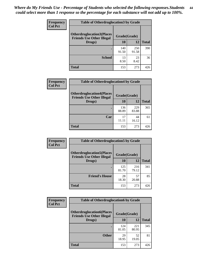| <b>Frequency</b> | <b>Table of Otherdruglocation 3 by Grade</b>                          |              |              |              |
|------------------|-----------------------------------------------------------------------|--------------|--------------|--------------|
| <b>Col Pct</b>   | <b>Otherdruglocation3(Places)</b><br><b>Friends Use Other Illegal</b> | Grade(Grade) |              |              |
|                  | Drugs)                                                                | 10           | 12           | <b>Total</b> |
|                  |                                                                       | 140<br>91.50 | 250<br>91.58 | 390          |
|                  | <b>School</b>                                                         | 13<br>8.50   | 23<br>8.42   | 36           |
|                  | <b>Total</b>                                                          | 153          | 273          | 426          |

| Frequency      | <b>Table of Otherdruglocation4 by Grade</b>                          |              |              |              |
|----------------|----------------------------------------------------------------------|--------------|--------------|--------------|
| <b>Col Pct</b> | <b>Otherdruglocation4(Places</b><br><b>Friends Use Other Illegal</b> | Grade(Grade) |              |              |
|                | Drugs)                                                               | 10           | 12           | <b>Total</b> |
|                |                                                                      | 136<br>88.89 | 229<br>83.88 | 365          |
|                | Car                                                                  | 17<br>11.11  | 44<br>16.12  | 61           |
|                | <b>Total</b>                                                         | 153          | 273          | 426          |

| <b>Frequency</b> | <b>Table of Otherdruglocation5 by Grade</b>                          |              |              |              |
|------------------|----------------------------------------------------------------------|--------------|--------------|--------------|
| <b>Col Pct</b>   | <b>Otherdruglocation5(Places</b><br><b>Friends Use Other Illegal</b> | Grade(Grade) |              |              |
|                  | Drugs)                                                               | <b>10</b>    | 12           | <b>Total</b> |
|                  |                                                                      | 125<br>81.70 | 216<br>79.12 | 341          |
|                  | <b>Friend's House</b>                                                | 28<br>18.30  | 57<br>20.88  | 85           |
|                  | <b>Total</b>                                                         | 153          | 273          | 426          |

| <b>Frequency</b> | <b>Table of Otherdruglocation6 by Grade</b>                          |              |              |              |
|------------------|----------------------------------------------------------------------|--------------|--------------|--------------|
| <b>Col Pct</b>   | <b>Otherdruglocation6(Places</b><br><b>Friends Use Other Illegal</b> | Grade(Grade) |              |              |
|                  | Drugs)                                                               | <b>10</b>    | 12           | <b>Total</b> |
|                  |                                                                      | 124<br>81.05 | 221<br>80.95 | 345          |
|                  | <b>Other</b>                                                         | 29<br>18.95  | 52<br>19.05  | 81           |
|                  | <b>Total</b>                                                         | 153          | 273          | 426          |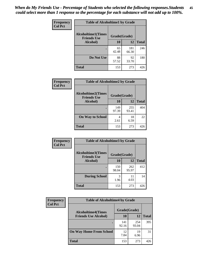| Frequency      | <b>Table of Alcoholtime1 by Grade</b>                           |             |              |              |
|----------------|-----------------------------------------------------------------|-------------|--------------|--------------|
| <b>Col Pct</b> | <b>Alcoholtime1(Times</b><br>Grade(Grade)<br><b>Friends Use</b> |             |              |              |
|                | Alcohol)                                                        | <b>10</b>   | 12           | <b>Total</b> |
|                |                                                                 | 65<br>42.48 | 181<br>66.30 | 246          |
|                | Do Not Use                                                      | 88<br>57.52 | 92<br>33.70  | 180          |
|                | <b>Total</b>                                                    | 153         | 273          | 426          |

| Frequency      | <b>Table of Alcoholtime2 by Grade</b>           |              |              |              |
|----------------|-------------------------------------------------|--------------|--------------|--------------|
| <b>Col Pct</b> | <b>Alcoholtime2(Times</b><br><b>Friends Use</b> | Grade(Grade) |              |              |
|                | Alcohol)                                        | 10           | 12           | <b>Total</b> |
|                |                                                 | 149<br>97.39 | 255<br>93.41 | 404          |
|                | <b>On Way to School</b>                         | 4<br>2.61    | 18<br>6.59   | 22           |
|                | <b>Total</b>                                    | 153          | 273          | 426          |

| Frequency<br><b>Col Pct</b> | <b>Table of Alcoholtime3 by Grade</b>                           |              |              |              |
|-----------------------------|-----------------------------------------------------------------|--------------|--------------|--------------|
|                             | <b>Alcoholtime3(Times</b><br>Grade(Grade)<br><b>Friends Use</b> |              |              |              |
|                             | Alcohol)                                                        | 10           | 12           | <b>Total</b> |
|                             |                                                                 | 150<br>98.04 | 262<br>95.97 | 412          |
|                             | <b>During School</b>                                            | 3<br>1.96    | 11<br>4.03   | 14           |
|                             | Total                                                           | 153          | 273          | 426          |

| <b>Frequency</b> | <b>Table of Alcoholtime4 by Grade</b> |              |              |              |
|------------------|---------------------------------------|--------------|--------------|--------------|
| <b>Col Pct</b>   | <b>Alcoholtime4(Times</b>             | Grade(Grade) |              |              |
|                  | <b>Friends Use Alcohol)</b>           | 10           | 12           | <b>Total</b> |
|                  |                                       | 141<br>92.16 | 254<br>93.04 | 395          |
|                  | <b>On Way Home From School</b>        | 12<br>7.84   | 19<br>6.96   | 31           |
|                  | <b>Total</b>                          | 153          | 273          | 426          |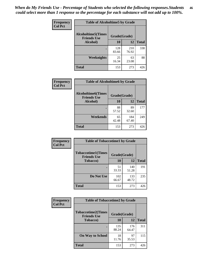*When do My Friends Use - Percentage of Students who selected the following responses.Students could select more than 1 response so the percentage for each substance will not add up to 100%.* **46**

| Frequency      | <b>Table of Alcoholtime5 by Grade</b>            |              |              |              |
|----------------|--------------------------------------------------|--------------|--------------|--------------|
| <b>Col Pct</b> | <b>Alcoholtime5</b> (Times<br><b>Friends Use</b> | Grade(Grade) |              |              |
|                | Alcohol)                                         | 10           | 12           | <b>Total</b> |
|                |                                                  | 128<br>83.66 | 210<br>76.92 | 338          |
|                | Weeknights                                       | 25<br>16.34  | 63<br>23.08  | 88           |
|                | <b>Total</b>                                     | 153          | 273          | 426          |

| <b>Frequency</b> |                                                 | <b>Table of Alcoholtime6 by Grade</b> |              |              |  |  |
|------------------|-------------------------------------------------|---------------------------------------|--------------|--------------|--|--|
| <b>Col Pct</b>   | <b>Alcoholtime6(Times</b><br><b>Friends Use</b> | Grade(Grade)                          |              |              |  |  |
|                  | Alcohol)                                        | 10                                    | 12           | <b>Total</b> |  |  |
|                  |                                                 | 88<br>57.52                           | 89<br>32.60  | 177          |  |  |
|                  | Weekends                                        | 65<br>42.48                           | 184<br>67.40 | 249          |  |  |
|                  | <b>Total</b>                                    | 153                                   | 273          | 426          |  |  |

| <b>Frequency</b> | <b>Table of Tobaccotime1 by Grade</b>           |              |              |              |
|------------------|-------------------------------------------------|--------------|--------------|--------------|
| <b>Col Pct</b>   | <b>Tobaccotime1(Times</b><br><b>Friends Use</b> | Grade(Grade) |              |              |
|                  | <b>Tobacco</b> )                                | 10           | 12           | <b>Total</b> |
|                  |                                                 | 51<br>33.33  | 140<br>51.28 | 191          |
|                  | Do Not Use                                      | 102<br>66.67 | 133<br>48.72 | 235          |
|                  | <b>Total</b>                                    | 153          | 273          | 426          |

| <b>Frequency</b> | <b>Table of Tobaccotime2 by Grade</b>           |              |              |              |
|------------------|-------------------------------------------------|--------------|--------------|--------------|
| <b>Col Pct</b>   | <b>Tobaccotime2(Times</b><br><b>Friends Use</b> | Grade(Grade) |              |              |
|                  | <b>Tobacco</b> )                                | 10           | 12           | <b>Total</b> |
|                  |                                                 | 135<br>88.24 | 176<br>64.47 | 311          |
|                  | <b>On Way to School</b>                         | 18<br>11.76  | 97<br>35.53  | 115          |
|                  | <b>Total</b>                                    | 153          | 273          | 426          |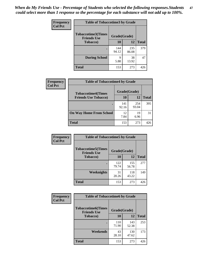*When do My Friends Use - Percentage of Students who selected the following responses.Students could select more than 1 response so the percentage for each substance will not add up to 100%.* **47**

| <b>Frequency</b> | <b>Table of Tobaccotime3 by Grade</b>           |              |              |              |  |
|------------------|-------------------------------------------------|--------------|--------------|--------------|--|
| <b>Col Pct</b>   | <b>Tobaccotime3(Times</b><br><b>Friends Use</b> | Grade(Grade) |              |              |  |
|                  | <b>Tobacco</b> )                                | 10           | 12           | <b>Total</b> |  |
|                  |                                                 | 144<br>94.12 | 235<br>86.08 | 379          |  |
|                  | <b>During School</b>                            | Q<br>5.88    | 38<br>13.92  | 47           |  |
|                  | <b>Total</b>                                    | 153          | 273          | 426          |  |

| Frequency<br><b>Col Pct</b> | <b>Table of Tobaccotime4 by Grade</b> |              |              |              |
|-----------------------------|---------------------------------------|--------------|--------------|--------------|
|                             | <b>Tobaccotime4(Times</b>             | Grade(Grade) |              |              |
|                             | <b>Friends Use Tobacco)</b>           | 10           | 12           | <b>Total</b> |
|                             |                                       | 141<br>92.16 | 254<br>93.04 | 395          |
|                             | <b>On Way Home From School</b>        | 12<br>7.84   | 19<br>6.96   | 31           |
|                             | Total                                 | 153          | 273          | 426          |

| <b>Frequency</b> | <b>Table of Tobaccotime5 by Grade</b>            |              |              |              |  |
|------------------|--------------------------------------------------|--------------|--------------|--------------|--|
| <b>Col Pct</b>   | <b>Tobaccotime5</b> (Times<br><b>Friends Use</b> | Grade(Grade) |              |              |  |
|                  | <b>Tobacco</b> )                                 | 10           | 12           | <b>Total</b> |  |
|                  |                                                  | 122<br>79.74 | 155<br>56.78 | 277          |  |
|                  | Weeknights                                       | 31<br>20.26  | 118<br>43.22 | 149          |  |
|                  | <b>Total</b>                                     | 153          | 273          | 426          |  |

| Frequency<br><b>Col Pct</b> | <b>Table of Tobaccotime6 by Grade</b>           |              |              |              |
|-----------------------------|-------------------------------------------------|--------------|--------------|--------------|
|                             | <b>Tobaccotime6(Times</b><br><b>Friends Use</b> | Grade(Grade) |              |              |
|                             | <b>Tobacco</b> )                                | 10           | 12           | <b>Total</b> |
|                             |                                                 | 110<br>71.90 | 143<br>52.38 | 253          |
|                             | Weekends                                        | 43<br>28.10  | 130<br>47.62 | 173          |
|                             | <b>Total</b>                                    | 153          | 273          | 426          |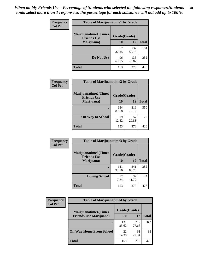| Frequency      | <b>Table of Marijuanatime1 by Grade</b>           |              |              |              |  |
|----------------|---------------------------------------------------|--------------|--------------|--------------|--|
| <b>Col Pct</b> | <b>Marijuanatime1(Times</b><br><b>Friends Use</b> | Grade(Grade) |              |              |  |
|                | Marijuana)                                        | 10           | 12           | <b>Total</b> |  |
|                |                                                   | 57<br>37.25  | 137<br>50.18 | 194          |  |
|                | Do Not Use                                        | 96<br>62.75  | 136<br>49.82 | 232          |  |
|                | <b>Total</b>                                      | 153          | 273          | 426          |  |

| Frequency      |                                            | <b>Table of Marijuanatime2 by Grade</b> |              |              |  |
|----------------|--------------------------------------------|-----------------------------------------|--------------|--------------|--|
| <b>Col Pct</b> | Marijuanatime2(Times<br><b>Friends Use</b> | Grade(Grade)                            |              |              |  |
|                | Marijuana)                                 | 10                                      | 12           | <b>Total</b> |  |
|                |                                            | 134<br>87.58                            | 216<br>79.12 | 350          |  |
|                | <b>On Way to School</b>                    | 19<br>12.42                             | 57<br>20.88  | 76           |  |
|                | <b>Total</b>                               | 153                                     | 273          | 426          |  |

| <b>Frequency</b> | <b>Table of Marijuanatime3 by Grade</b>    |              |              |              |  |
|------------------|--------------------------------------------|--------------|--------------|--------------|--|
| <b>Col Pct</b>   | Marijuanatime3(Times<br><b>Friends Use</b> | Grade(Grade) |              |              |  |
|                  | Marijuana)                                 | 10           | 12           | <b>Total</b> |  |
|                  |                                            | 141<br>92.16 | 241<br>88.28 | 382          |  |
|                  | <b>During School</b>                       | 12<br>7.84   | 32<br>11.72  | 44           |  |
|                  | <b>Total</b>                               | 153          | 273          | 426          |  |

| <b>Frequency</b> | <b>Table of Marijuanatime4 by Grade</b> |              |              |              |
|------------------|-----------------------------------------|--------------|--------------|--------------|
| <b>Col Pct</b>   | <b>Marijuanatime4</b> (Times            | Grade(Grade) |              |              |
|                  | <b>Friends Use Marijuana</b> )          | 10           | 12           | <b>Total</b> |
|                  |                                         | 131<br>85.62 | 212<br>77.66 | 343          |
|                  | <b>On Way Home From School</b>          | 22<br>14.38  | 61<br>22.34  | 83           |
|                  | <b>Total</b>                            | 153          | 273          | 426          |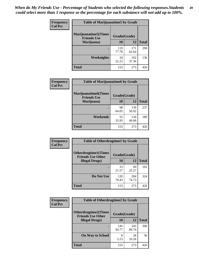| Frequency      | <b>Table of Marijuanatime5 by Grade</b>            |              |              |              |
|----------------|----------------------------------------------------|--------------|--------------|--------------|
| <b>Col Pct</b> | <b>Marijuanatime5</b> (Times<br><b>Friends Use</b> | Grade(Grade) |              |              |
|                | Marijuana)                                         | 10           | 12           | <b>Total</b> |
|                |                                                    | 119<br>77.78 | 171<br>62.64 | 290          |
|                | Weeknights                                         | 34<br>22.22  | 102<br>37.36 | 136          |
|                | <b>Total</b>                                       | 153          | 273          | 426          |

| Frequency      | <b>Table of Marijuanatime6 by Grade</b>            |              |              |              |
|----------------|----------------------------------------------------|--------------|--------------|--------------|
| <b>Col Pct</b> | <b>Marijuanatime6</b> (Times<br><b>Friends Use</b> | Grade(Grade) |              |              |
|                | Marijuana)                                         | 10           | 12           | <b>Total</b> |
|                |                                                    | 98<br>64.05  | 139<br>50.92 | 237          |
|                | Weekends                                           | 55<br>35.95  | 134<br>49.08 | 189          |
|                | <b>Total</b>                                       | 153          | 273          | 426          |

| <b>Frequency</b> | <b>Table of Otherdrugtime1 by Grade</b>                  |              |              |              |
|------------------|----------------------------------------------------------|--------------|--------------|--------------|
| <b>Col Pct</b>   | <b>Otherdrugtime1</b> (Times<br><b>Friends Use Other</b> | Grade(Grade) |              |              |
|                  | <b>Illegal Drugs</b> )                                   | 10           | 12           | <b>Total</b> |
|                  |                                                          | 33<br>21.57  | 69<br>25.27  | 102          |
|                  | Do Not Use                                               | 120<br>78.43 | 204<br>74.73 | 324          |
|                  | <b>Total</b>                                             | 153          | 273          | 426          |

| <b>Frequency</b> | <b>Table of Otherdrugtime2 by Grade</b>                 |              |              |              |  |  |  |
|------------------|---------------------------------------------------------|--------------|--------------|--------------|--|--|--|
| <b>Col Pct</b>   | <b>Otherdrugtime2(Times</b><br><b>Friends Use Other</b> | Grade(Grade) |              |              |  |  |  |
|                  | <b>Illegal Drugs</b> )                                  | 10           | 12           | <b>Total</b> |  |  |  |
|                  |                                                         | 145<br>94.77 | 245<br>89.74 | 390          |  |  |  |
|                  | <b>On Way to School</b>                                 | 8<br>5.23    | 28<br>10.26  | 36           |  |  |  |
|                  | <b>Total</b>                                            | 153          | 273          | 426          |  |  |  |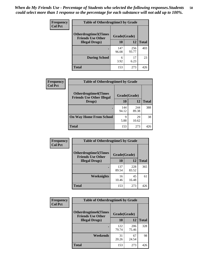| <b>Frequency</b> | <b>Table of Otherdrugtime3 by Grade</b>                 |              |              |              |  |  |  |
|------------------|---------------------------------------------------------|--------------|--------------|--------------|--|--|--|
| <b>Col Pct</b>   | <b>Otherdrugtime3(Times</b><br><b>Friends Use Other</b> | Grade(Grade) |              |              |  |  |  |
|                  | <b>Illegal Drugs</b> )                                  | 10           | 12           | <b>Total</b> |  |  |  |
|                  |                                                         | 147<br>96.08 | 256<br>93.77 | 403          |  |  |  |
|                  | <b>During School</b>                                    | 6<br>3.92    | 17<br>6.23   | 23           |  |  |  |
|                  | Total                                                   | 153          | 273          | 426          |  |  |  |

| Frequency      | <b>Table of Otherdrugtime4 by Grade</b>                         |              |              |              |  |  |  |
|----------------|-----------------------------------------------------------------|--------------|--------------|--------------|--|--|--|
| <b>Col Pct</b> | <b>Otherdrugtime4(Times</b><br><b>Friends Use Other Illegal</b> | Grade(Grade) |              |              |  |  |  |
|                | Drugs)                                                          | 10           | 12           | <b>Total</b> |  |  |  |
|                | ٠                                                               | 144<br>94.12 | 244<br>89.38 | 388          |  |  |  |
|                | <b>On Way Home From School</b>                                  | 9<br>5.88    | 29<br>10.62  | 38           |  |  |  |
|                | <b>Total</b>                                                    | 153          | 273          | 426          |  |  |  |

| <b>Frequency</b> | <b>Table of Otherdrugtime5 by Grade</b>                  |              |              |              |  |  |  |
|------------------|----------------------------------------------------------|--------------|--------------|--------------|--|--|--|
| <b>Col Pct</b>   | <b>Otherdrugtime5</b> (Times<br><b>Friends Use Other</b> | Grade(Grade) |              |              |  |  |  |
|                  | <b>Illegal Drugs</b> )                                   | 10           | 12           | <b>Total</b> |  |  |  |
|                  |                                                          | 137<br>89.54 | 228<br>83.52 | 365          |  |  |  |
|                  | <b>Weeknights</b>                                        | 16<br>10.46  | 45<br>16.48  | 61           |  |  |  |
|                  | Total                                                    | 153          | 273          | 426          |  |  |  |

| <b>Frequency</b> | <b>Table of Otherdrugtime6 by Grade</b>                 |              |              |              |  |  |  |
|------------------|---------------------------------------------------------|--------------|--------------|--------------|--|--|--|
| <b>Col Pct</b>   | <b>Otherdrugtime6(Times</b><br><b>Friends Use Other</b> | Grade(Grade) |              |              |  |  |  |
|                  | <b>Illegal Drugs</b> )                                  | 10           | 12           | <b>Total</b> |  |  |  |
|                  |                                                         | 122<br>79.74 | 206<br>75.46 | 328          |  |  |  |
|                  | Weekends                                                | 31<br>20.26  | 67<br>24.54  | 98           |  |  |  |
|                  | Total                                                   | 153          | 273          | 426          |  |  |  |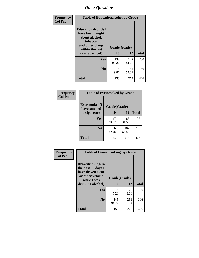| Frequency      | <b>Table of Educationalcohol by Grade</b>                                                                  |              |              |              |  |  |
|----------------|------------------------------------------------------------------------------------------------------------|--------------|--------------|--------------|--|--|
| <b>Col Pct</b> | Educationalcohol(I<br>have been taught<br>about alcohol,<br>tobacco,<br>and other drugs<br>within the last | Grade(Grade) |              |              |  |  |
|                | year at school)                                                                                            | 10           | 12           | <b>Total</b> |  |  |
|                | <b>Yes</b>                                                                                                 | 138<br>90.20 | 122<br>44.69 | 260          |  |  |
|                | N <sub>0</sub>                                                                                             | 15<br>9.80   | 151<br>55.31 | 166          |  |  |
|                | <b>Total</b>                                                                                               | 153          | 273          | 426          |  |  |

| Frequency      | <b>Table of Eversmoked by Grade</b> |              |              |              |  |  |  |
|----------------|-------------------------------------|--------------|--------------|--------------|--|--|--|
| <b>Col Pct</b> | Eversmoked(I<br>have smoked         | Grade(Grade) |              |              |  |  |  |
|                | a cigarette)                        | 10           | 12           | <b>Total</b> |  |  |  |
|                | Yes                                 | 47<br>30.72  | 86<br>31.50  | 133          |  |  |  |
|                | N <sub>0</sub>                      | 106<br>69.28 | 187<br>68.50 | 293          |  |  |  |
|                | <b>Total</b>                        | 153          | 273          | 426          |  |  |  |

| Frequency      | <b>Table of Drovedrinking by Grade</b>                                                                              |                    |              |              |  |  |  |
|----------------|---------------------------------------------------------------------------------------------------------------------|--------------------|--------------|--------------|--|--|--|
| <b>Col Pct</b> | Drovedrinking(In<br>the past 30 days I<br>have driven a car<br>or other vehicle<br>while I was<br>drinking alcohol) | Grade(Grade)<br>10 | 12           | <b>Total</b> |  |  |  |
|                | <b>Yes</b>                                                                                                          | 8<br>5.23          | 22<br>8.06   | 30           |  |  |  |
|                | N <sub>0</sub>                                                                                                      | 145<br>94.77       | 251<br>91.94 | 396          |  |  |  |
|                | <b>Total</b>                                                                                                        | 153                | 273          | 426          |  |  |  |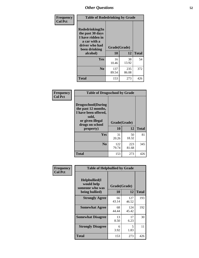| Frequency<br><b>Col Pct</b> | <b>Table of Rodedrinking by Grade</b>                                                                      |              |              |              |  |  |  |
|-----------------------------|------------------------------------------------------------------------------------------------------------|--------------|--------------|--------------|--|--|--|
|                             | Rodedrinking(In<br>the past 30 days<br>I have ridden in<br>a car with a<br>driver who had<br>been drinking | Grade(Grade) |              |              |  |  |  |
|                             | alcohol)                                                                                                   | 10           | 12           | <b>Total</b> |  |  |  |
|                             | <b>Yes</b>                                                                                                 | 16<br>10.46  | 38<br>13.92  | 54           |  |  |  |
|                             | N <sub>0</sub>                                                                                             | 137<br>89.54 | 235<br>86.08 | 372          |  |  |  |
|                             | <b>Total</b>                                                                                               | 153          | 273          | 426          |  |  |  |

#### **Frequency Col Pct**

| <b>Table of Drugsschool by Grade</b>                                                                                      |              |              |              |  |  |  |
|---------------------------------------------------------------------------------------------------------------------------|--------------|--------------|--------------|--|--|--|
| <b>Drugsschool</b> (During<br>the past 12 months,<br>I have been offered,<br>sold,<br>or given illegal<br>drugs on school | Grade(Grade) |              |              |  |  |  |
| property)                                                                                                                 | 10           | 12           | <b>Total</b> |  |  |  |
| Yes                                                                                                                       | 31<br>20.26  | 50<br>18.32  | 81           |  |  |  |
| N <sub>0</sub>                                                                                                            | 122<br>79.74 | 223<br>81.68 | 345          |  |  |  |
| <b>Total</b>                                                                                                              | 153          | 273          | 426          |  |  |  |

| Frequency      | <b>Table of Helpbullied by Grade</b>           |              |              |              |  |  |  |
|----------------|------------------------------------------------|--------------|--------------|--------------|--|--|--|
| <b>Col Pct</b> | Helpbullied(I<br>would help<br>someone who was | Grade(Grade) |              |              |  |  |  |
|                | being bullied)                                 | 10           | 12           | <b>Total</b> |  |  |  |
|                | <b>Strongly Agree</b>                          | 66<br>43.14  | 127<br>46.52 | 193          |  |  |  |
|                | <b>Somewhat Agree</b>                          | 68<br>44.44  | 124<br>45.42 | 192          |  |  |  |
|                | <b>Somewhat Disagree</b>                       | 13<br>8.50   | 17<br>6.23   | 30           |  |  |  |
|                | <b>Strongly Disagree</b>                       | 6<br>3.92    | 5<br>1.83    | 11           |  |  |  |
|                | <b>Total</b>                                   | 153          | 273          | 426          |  |  |  |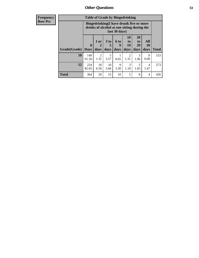| <b>Frequency</b> |              | <b>Table of Grade by Bingedrinking</b>                                                                  |                        |                     |                          |                               |                        |                          |              |
|------------------|--------------|---------------------------------------------------------------------------------------------------------|------------------------|---------------------|--------------------------|-------------------------------|------------------------|--------------------------|--------------|
| <b>Row Pct</b>   |              | Bingedrinking(I have drunk five or more<br>drinks of alcohol at one sitting during the<br>last 30 days) |                        |                     |                          |                               |                        |                          |              |
|                  | Grade(Grade) | $\mathbf{0}$<br><b>Days</b>                                                                             | 1 or<br>2<br>days      | $3$ to<br>5<br>days | <b>6 to</b><br>9<br>days | <b>10</b><br>to<br>19<br>days | 20<br>to<br>29<br>days | All<br><b>30</b><br>days | <b>Total</b> |
|                  | 10           | 140<br>91.50                                                                                            | $\overline{2}$<br>1.31 | 5<br>3.27           | 0.65                     | $\mathfrak{D}$<br>1.31        | 3<br>1.96              | $\Omega$<br>0.00         | 153          |
|                  | 12           | 224<br>82.05                                                                                            | 18<br>6.59             | 10<br>3.66          | 9<br>3.30                | 1.10                          | 1.83                   | 4<br>1.47                | 273          |
|                  | <b>Total</b> | 364                                                                                                     | 20                     | 15                  | 10                       | 5                             | 8                      | 4                        | 426          |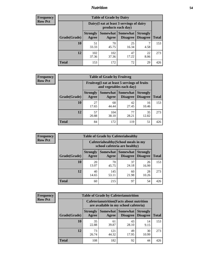### *Nutrition* **54**

| <b>Frequency</b><br>Row Pct |
|-----------------------------|
|                             |

| <b>Table of Grade by Dairy</b> |                          |                                                                 |                             |                                    |              |  |
|--------------------------------|--------------------------|-----------------------------------------------------------------|-----------------------------|------------------------------------|--------------|--|
|                                |                          | Dairy (I eat at least 3 servings of dairy<br>products each day) |                             |                                    |              |  |
| Grade(Grade)                   | <b>Strongly</b><br>Agree | <b>Somewhat</b><br>Agree                                        | <b>Somewhat</b><br>Disagree | <b>Strongly</b><br><b>Disagree</b> | <b>Total</b> |  |
| 10                             | 51<br>33.33              | 70<br>45.75                                                     | 25<br>16.34                 | 4.58                               | 153          |  |
| 12                             | 102<br>37.36             | 102<br>37.36                                                    | 47<br>17.22                 | 22<br>8.06                         | 273          |  |
| <b>Total</b>                   | 153                      | 172                                                             | 72                          | 29                                 | 426          |  |

| <b>Frequency</b> |  |
|------------------|--|
| <b>Row Pct</b>   |  |

| <b>Table of Grade by Fruitveg</b>                                        |                          |                   |                                    |                                    |              |
|--------------------------------------------------------------------------|--------------------------|-------------------|------------------------------------|------------------------------------|--------------|
| Fruitveg(I eat at least 5 servings of fruits<br>and vegetables each day) |                          |                   |                                    |                                    |              |
| Grade(Grade)                                                             | <b>Strongly</b><br>Agree | Somewhat<br>Agree | <b>Somewhat</b><br><b>Disagree</b> | <b>Strongly</b><br><b>Disagree</b> | <b>Total</b> |
| 10                                                                       | 27<br>17.65              | 68<br>44.44       | 42<br>27.45                        | 16<br>10.46                        | 153          |
| 12                                                                       | 57<br>20.88              | 104<br>38.10      | 77<br>28.21                        | 35<br>12.82                        | 273          |
| <b>Total</b>                                                             | 84                       | 172               | 119                                | 51                                 | 426          |

| <b>Frequency</b> |
|------------------|
| <b>Row Pct</b>   |

| <b>Table of Grade by Cafeteriahealthy</b> |                                                                       |              |                                 |                                    |              |  |
|-------------------------------------------|-----------------------------------------------------------------------|--------------|---------------------------------|------------------------------------|--------------|--|
|                                           | Cafeteriahealthy (School meals in my<br>school cafeteria are healthy) |              |                                 |                                    |              |  |
| Grade(Grade)                              | <b>Strongly</b><br>Agree                                              | Agree        | Somewhat   Somewhat<br>Disagree | <b>Strongly</b><br><b>Disagree</b> | <b>Total</b> |  |
| 10                                        | 20<br>13.07                                                           | 70<br>45.75  | 37<br>24.18                     | 26<br>16.99                        | 153          |  |
| 12                                        | 40<br>14.65                                                           | 145<br>53.11 | 60<br>21.98                     | 28<br>10.26                        | 273          |  |
| <b>Total</b>                              | 60                                                                    | 215          | 97                              | 54                                 | 426          |  |

| <b>Frequency</b> |
|------------------|
| <b>Row Pct</b>   |

| <b>Table of Grade by Cafeterianutrition</b>                                               |                          |                     |                      |                                    |              |
|-------------------------------------------------------------------------------------------|--------------------------|---------------------|----------------------|------------------------------------|--------------|
| <b>Cafeterianutrition</b> (Facts about nutrition<br>are available in my school cafeteria) |                          |                     |                      |                                    |              |
| Grade(Grade)                                                                              | <b>Strongly</b><br>Agree | Somewhat  <br>Agree | Somewhat<br>Disagree | <b>Strongly</b><br><b>Disagree</b> | <b>Total</b> |
| 10                                                                                        | 35<br>22.88              | 61<br>39.87         | 43<br>28.10          | 14<br>9.15                         | 153          |
| 12                                                                                        | 73<br>26.74              | 121<br>44.32        | 49<br>17.95          | 30<br>10.99                        | 273          |
| <b>Total</b>                                                                              | 108                      | 182                 | 92                   | 44                                 | 426          |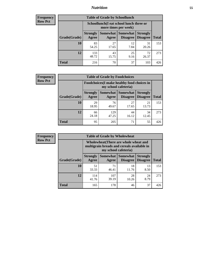### *Nutrition* **55**

| <b>Frequency</b> |
|------------------|
| <b>Row Pct</b>   |

| <b>Table of Grade by Schoollunch</b> |                                                                 |                     |                                    |                                    |              |  |
|--------------------------------------|-----------------------------------------------------------------|---------------------|------------------------------------|------------------------------------|--------------|--|
|                                      | Schoollunch(I eat school lunch three or<br>more times per week) |                     |                                    |                                    |              |  |
| Grade(Grade)                         | <b>Strongly</b><br>Agree                                        | Somewhat  <br>Agree | <b>Somewhat</b><br><b>Disagree</b> | <b>Strongly</b><br><b>Disagree</b> | <b>Total</b> |  |
| 10                                   | 83<br>54.25                                                     | 27<br>17.65         | 12<br>7.84                         | 31<br>20.26                        | 153          |  |
| 12                                   | 133<br>48.72                                                    | 43<br>15.75         | 25<br>9.16                         | 72<br>26.37                        | 273          |  |
| <b>Total</b>                         | 216                                                             | 70                  | 37                                 | 103                                | 426          |  |

| <b>Frequency</b> |  |
|------------------|--|
| <b>Row Pct</b>   |  |

| <b>Table of Grade by Foodchoices</b>                                       |                          |              |                   |                                        |              |
|----------------------------------------------------------------------------|--------------------------|--------------|-------------------|----------------------------------------|--------------|
| <b>Foodchoices</b> (I make healthy food choices in<br>my school cafeteria) |                          |              |                   |                                        |              |
| Grade(Grade)                                                               | <b>Strongly</b><br>Agree | Agree        | Somewhat Somewhat | <b>Strongly</b><br>Disagree   Disagree | <b>Total</b> |
| 10                                                                         | 29<br>18.95              | 76<br>49.67  | 27<br>17.65       | 21<br>13.73                            | 153          |
| 12                                                                         | 66<br>24.18              | 129<br>47.25 | 44<br>16.12       | 34<br>12.45                            | 273          |
| <b>Total</b>                                                               | 95                       | 205          | 71                | 55                                     | 426          |

| <b>Frequency</b> |
|------------------|
| Row Pct          |

 $\mathbf{r}$ 

| <b>Table of Grade by Wholewheat</b> |                                                                                                             |              |                                          |                                    |              |  |
|-------------------------------------|-------------------------------------------------------------------------------------------------------------|--------------|------------------------------------------|------------------------------------|--------------|--|
|                                     | Wholewheat (There are whole wheat and<br>multigrain breads and cereals available in<br>my school cafeteria) |              |                                          |                                    |              |  |
| Grade(Grade)                        | <b>Strongly</b><br>Agree                                                                                    | Agree        | Somewhat   Somewhat  <br><b>Disagree</b> | <b>Strongly</b><br><b>Disagree</b> | <b>Total</b> |  |
| 10                                  | 51<br>33.33                                                                                                 | 71<br>46.41  | 18<br>11.76                              | 13<br>8.50                         | 153          |  |
| 12                                  | 114<br>41.76                                                                                                | 107<br>39.19 | 28<br>10.26                              | 24<br>8.79                         | 273          |  |
| Total                               | 165                                                                                                         | 178          | 46                                       | 37                                 | 426          |  |

E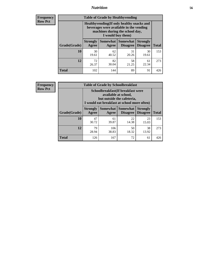### *Nutrition* **56**

**Frequency Row Pct**

| <b>Table of Grade by Healthyvending</b> |                                                                                                                                               |                          |                                    |                                    |              |  |
|-----------------------------------------|-----------------------------------------------------------------------------------------------------------------------------------------------|--------------------------|------------------------------------|------------------------------------|--------------|--|
|                                         | Healthyvending (If only healthy snacks and<br>beverages were available in the vending<br>machines during the school day,<br>I would buy them) |                          |                                    |                                    |              |  |
| Grade(Grade)                            | <b>Strongly</b><br>Agree                                                                                                                      | <b>Somewhat</b><br>Agree | <b>Somewhat</b><br><b>Disagree</b> | <b>Strongly</b><br><b>Disagree</b> | <b>Total</b> |  |
| 10                                      | 30<br>19.61                                                                                                                                   | 62<br>40.52              | 31<br>20.26                        | 30<br>19.61                        | 153          |  |
| 12                                      | 72<br>26.37                                                                                                                                   | 82<br>30.04              | 58<br>21.25                        | 61<br>22.34                        | 273          |  |
| Total                                   | 102                                                                                                                                           | 144                      | 89                                 | 91                                 | 426          |  |

**Frequency Row Pct**

| <b>Table of Grade by Schoolbreakfast</b> |                          |                                                                                                                                         |                                        |                                    |              |  |
|------------------------------------------|--------------------------|-----------------------------------------------------------------------------------------------------------------------------------------|----------------------------------------|------------------------------------|--------------|--|
|                                          |                          | Schoolbreakfast (If breakfast were<br>available at school,<br>but outside the cafeteria,<br>I would eat breakfast at school more often) |                                        |                                    |              |  |
| Grade(Grade)                             | <b>Strongly</b><br>Agree | Agree                                                                                                                                   | Somewhat   Somewhat<br><b>Disagree</b> | <b>Strongly</b><br><b>Disagree</b> | <b>Total</b> |  |
| 10                                       | 47<br>30.72              | 61<br>39.87                                                                                                                             | 22<br>14.38                            | 23<br>15.03                        | 153          |  |
| 12                                       | 79<br>28.94              | 106<br>38.83                                                                                                                            | 50<br>18.32                            | 38<br>13.92                        | 273          |  |
| <b>Total</b>                             | 126                      | 167                                                                                                                                     | 72                                     | 61                                 | 426          |  |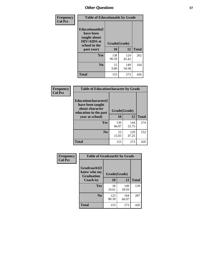| Frequency<br><b>Col Pct</b> | <b>Table of Educationaids by Grade</b>                                                                    |                    |              |              |
|-----------------------------|-----------------------------------------------------------------------------------------------------------|--------------------|--------------|--------------|
|                             | <b>Educationaids</b> (I<br>have been<br>taught about<br><b>HIV/AIDS</b> at<br>school in the<br>past year) | Grade(Grade)<br>10 | 12           | <b>Total</b> |
|                             | Yes                                                                                                       | 138<br>90.20       | 124<br>45.42 | 262          |
|                             | N <sub>0</sub>                                                                                            | 15<br>9.80         | 149<br>54.58 | 164          |
|                             | <b>Total</b>                                                                                              | 153                | 273          | 426          |

| <b>Frequency</b> | <b>Table of Educationcharacter by Grade</b>                                          |              |              |              |  |
|------------------|--------------------------------------------------------------------------------------|--------------|--------------|--------------|--|
| <b>Col Pct</b>   | Educationcharacter(I<br>have been taught<br>about character<br>education in the past | Grade(Grade) |              |              |  |
|                  | year at school)                                                                      | 10           | 12           | <b>Total</b> |  |
|                  | Yes                                                                                  | 130<br>84.97 | 144<br>52.75 | 274          |  |
|                  | N <sub>0</sub>                                                                       | 23<br>15.03  | 129<br>47.25 | 152          |  |
|                  | <b>Total</b>                                                                         | 153          | 273          | 426          |  |

| Frequency      | <b>Table of Gradcoach1 by Grade</b> |              |              |              |
|----------------|-------------------------------------|--------------|--------------|--------------|
| <b>Col Pct</b> | Gradcoach1(I<br>know who my         | Grade(Grade) |              |              |
|                | <b>Graduation</b><br>Coach is)      | 10           | 12           | <b>Total</b> |
|                | Yes                                 | 30<br>19.61  | 109<br>39.93 | 139          |
|                | N <sub>0</sub>                      | 123<br>80.39 | 164<br>60.07 | 287          |
|                | <b>Total</b>                        | 153          | 273          | 426          |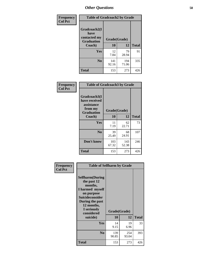| Frequency      | <b>Table of Gradcoach2 by Grade</b> |              |              |              |
|----------------|-------------------------------------|--------------|--------------|--------------|
| <b>Col Pct</b> | Gradcoach2(I<br>have                |              |              |              |
|                | contacted my<br><b>Graduation</b>   | Grade(Grade) |              |              |
|                | Coach)                              | 10           | 12           | <b>Total</b> |
|                | Yes                                 | 12<br>7.84   | 79<br>28.94  | 91           |
|                | N <sub>0</sub>                      | 141<br>92.16 | 194<br>71.06 | 335          |
|                | <b>Total</b>                        | 153          | 273          | 426          |

| <b>Frequency</b><br><b>Col Pct</b> | <b>Table of Gradcoach3 by Grade</b>                                         |              |              |              |
|------------------------------------|-----------------------------------------------------------------------------|--------------|--------------|--------------|
|                                    | Gradcoach3(I<br>have received<br>assistance<br>from my<br><b>Graduation</b> | Grade(Grade) |              |              |
|                                    | Coach)                                                                      | 10           | 12           | <b>Total</b> |
|                                    | Yes                                                                         | 11<br>7.19   | 62<br>22.71  | 73           |
|                                    | N <sub>0</sub>                                                              | 39<br>25.49  | 68<br>24.91  | 107          |
|                                    | Don't know                                                                  | 103<br>67.32 | 143<br>52.38 | 246          |
|                                    | <b>Total</b>                                                                | 153          | 273          | 426          |

| Frequency      |                                                                                                                                                                            | <b>Table of Selfharm by Grade</b> |              |              |  |
|----------------|----------------------------------------------------------------------------------------------------------------------------------------------------------------------------|-----------------------------------|--------------|--------------|--|
| <b>Col Pct</b> | <b>Selfharm</b> (During<br>the past 12<br>months,<br>I harmed myself<br>on purpose<br><b>Suicideconsider</b><br>During the past<br>12 months,<br>I seriously<br>considered | Grade(Grade)                      |              |              |  |
|                | suicide)                                                                                                                                                                   | 10                                | 12           | <b>Total</b> |  |
|                | Yes                                                                                                                                                                        | 14<br>9.15                        | 19<br>6.96   | 33           |  |
|                | N <sub>0</sub>                                                                                                                                                             | 139<br>90.85                      | 254<br>93.04 | 393          |  |
|                | Total                                                                                                                                                                      | 153                               | 273          | 426          |  |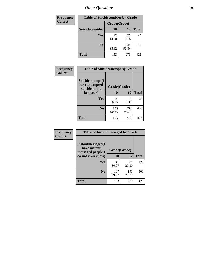| <b>Frequency</b> | <b>Table of Suicideconsider by Grade</b> |              |              |              |
|------------------|------------------------------------------|--------------|--------------|--------------|
| <b>Col Pct</b>   |                                          | Grade(Grade) |              |              |
|                  | Suicideconsider                          | <b>10</b>    | 12           | <b>Total</b> |
|                  | Yes                                      | 22<br>14.38  | 25<br>9.16   | 47           |
|                  | N <sub>0</sub>                           | 131<br>85.62 | 248<br>90.84 | 379          |
|                  | <b>Total</b>                             | 153          | 273          | 426          |

| Frequency      | <b>Table of Suicideattempt by Grade</b>              |              |              |              |
|----------------|------------------------------------------------------|--------------|--------------|--------------|
| <b>Col Pct</b> | Suicideattempt(I<br>have attempted<br>suicide in the | Grade(Grade) |              |              |
|                | last year)                                           | 10           | 12           | <b>Total</b> |
|                | Yes                                                  | 14<br>9.15   | Q<br>3.30    | 23           |
|                | N <sub>0</sub>                                       | 139<br>90.85 | 264<br>96.70 | 403          |
|                | <b>Total</b>                                         | 153          | 273          | 426          |

| Frequency      | <b>Table of Instantmessaged by Grade</b>               |              |              |              |
|----------------|--------------------------------------------------------|--------------|--------------|--------------|
| <b>Col Pct</b> | Instantmessaged(I<br>have instant<br>messaged people I | Grade(Grade) |              |              |
|                | do not even know)                                      | 10           | 12           | <b>Total</b> |
|                | Yes                                                    | 46<br>30.07  | 80<br>29.30  | 126          |
|                | N <sub>0</sub>                                         | 107<br>69.93 | 193<br>70.70 | 300          |
|                | <b>Total</b>                                           | 153          | 273          | 426          |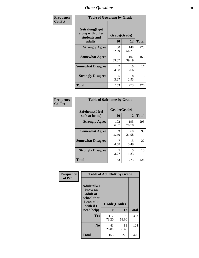| Frequency      | <b>Table of Getsalong by Grade</b>                          |             |              |              |  |  |  |  |  |
|----------------|-------------------------------------------------------------|-------------|--------------|--------------|--|--|--|--|--|
| <b>Col Pct</b> | <b>Getsalong</b> (I get<br>along with other<br>students and |             |              |              |  |  |  |  |  |
|                | adults)                                                     | 10          | 12           | <b>Total</b> |  |  |  |  |  |
|                | <b>Strongly Agree</b>                                       | 80<br>52.29 | 148<br>54.21 | 228          |  |  |  |  |  |
|                | <b>Somewhat Agree</b>                                       | 61<br>39.87 | 107<br>39.19 | 168          |  |  |  |  |  |
|                | <b>Somewhat Disagree</b>                                    | 7<br>4.58   | 10<br>3.66   | 17           |  |  |  |  |  |
|                | <b>Strongly Disagree</b>                                    | 5<br>3.27   | 8<br>2.93    | 13           |  |  |  |  |  |
|                | Total                                                       | 153         | 273          | 426          |  |  |  |  |  |

| Frequency      | <b>Table of Safehome by Grade</b> |                    |              |              |  |  |  |  |
|----------------|-----------------------------------|--------------------|--------------|--------------|--|--|--|--|
| <b>Col Pct</b> | Safehome(I feel<br>safe at home)  | Grade(Grade)<br>10 | 12           | <b>Total</b> |  |  |  |  |
|                | <b>Strongly Agree</b>             | 102<br>66.67       | 193<br>70.70 | 295          |  |  |  |  |
|                | <b>Somewhat Agree</b>             | 39<br>25.49        | 60<br>21.98  | 99           |  |  |  |  |
|                | <b>Somewhat Disagree</b>          | 4.58               | 15<br>5.49   | 22           |  |  |  |  |
|                | <b>Strongly Disagree</b>          | 5<br>3.27          | 5<br>1.83    | 10           |  |  |  |  |
|                | <b>Total</b>                      | 153                | 273          | 426          |  |  |  |  |

| Frequency      |                                                                                                   | <b>Table of Adulttalk by Grade</b> |              |              |
|----------------|---------------------------------------------------------------------------------------------------|------------------------------------|--------------|--------------|
| <b>Col Pct</b> | <b>Adulttalk(I</b><br>know an<br>adult at<br>school that<br>I can talk<br>with if I<br>need help) | Grade(Grade)<br>10                 | 12           | <b>Total</b> |
|                | <b>Yes</b>                                                                                        | 112<br>73.20                       | 190<br>69.60 | 302          |
|                | N <sub>0</sub>                                                                                    | 41<br>26.80                        | 83<br>30.40  | 124          |
|                | <b>Total</b>                                                                                      | 153                                | 273          | 426          |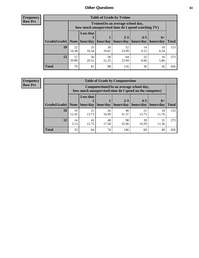**Frequency Row Pct**

| <b>Table of Grade by Tytime</b> |             |                                                                                        |             |             |            |            |              |  |  |  |  |
|---------------------------------|-------------|----------------------------------------------------------------------------------------|-------------|-------------|------------|------------|--------------|--|--|--|--|
|                                 |             | Tvtime(On an average school day,<br>how much unsupervised time do I spend watching TV) |             |             |            |            |              |  |  |  |  |
|                                 |             | <b>Less that</b><br>$2 - 3$<br>$4 - 5$<br>$6+$                                         |             |             |            |            |              |  |  |  |  |
| Grade(Grade)   None             |             | hour/day                                                                               | hour/day    | hours/day   | hours/day  | hours/day  | <b>Total</b> |  |  |  |  |
| 10                              | 22<br>14.38 | 25<br>16.34                                                                            | 30<br>19.61 | 52<br>33.99 | 14<br>9.15 | 10<br>6.54 | 153          |  |  |  |  |
| 12                              | 57<br>20.88 | 56<br>20.51                                                                            | 58<br>21.25 | 64<br>23.44 | 22<br>8.06 | 16<br>5.86 | 273          |  |  |  |  |
| <b>Total</b>                    | 79          | 81                                                                                     | 88          | 116         | 36         | 26         | 426          |  |  |  |  |

**Frequency Row Pct**

| <b>Table of Grade by Computertime</b> |             |                                                                                                                               |             |             |             |             |     |  |  |  |
|---------------------------------------|-------------|-------------------------------------------------------------------------------------------------------------------------------|-------------|-------------|-------------|-------------|-----|--|--|--|
|                                       |             | Computertime (On an average school day,<br>how much unsupervised time do I spend on the computer)                             |             |             |             |             |     |  |  |  |
| Grade(Grade)                          | None        | <b>Less that</b><br>$4 - 5$<br>$2 - 3$<br>$6+$<br>hour/day<br>hours/day<br>hour/day<br>hours/day<br>hours/day<br><b>Total</b> |             |             |             |             |     |  |  |  |
| 10                                    | 19<br>12.42 | 21<br>13.73                                                                                                                   | 26<br>16.99 | 48<br>31.37 | 21<br>13.73 | 18<br>11.76 | 153 |  |  |  |
| 12                                    | 14<br>5.13  | 43<br>15.75                                                                                                                   | 48<br>17.58 | 98<br>35.90 | 39<br>14.29 | 31<br>11.36 | 273 |  |  |  |
| <b>Total</b>                          | 33          | 64                                                                                                                            | 74          | 146         | 60          | 49          | 426 |  |  |  |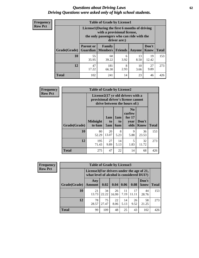#### *Questions about Driving Laws* **62** *Driving Questions were asked only of high school students.*

| <b>Frequency</b> |
|------------------|
| <b>Row Pct</b>   |

| <b>Table of Grade by License1</b> |                                                                      |                                                                                                                                           |           |            |             |     |  |  |  |  |
|-----------------------------------|----------------------------------------------------------------------|-------------------------------------------------------------------------------------------------------------------------------------------|-----------|------------|-------------|-----|--|--|--|--|
|                                   |                                                                      | License1(During the first 6 months of driving<br>with a provisional license,<br>the only passengers who can ride with the<br>driver are:) |           |            |             |     |  |  |  |  |
| Grade(Grade)                      | <b>Parent or</b><br><b>Guardian</b>                                  | Don't<br>Family<br><b>Members</b><br><b>Friends</b><br>Know<br><b>Total</b><br>Anyone                                                     |           |            |             |     |  |  |  |  |
| 10                                | 55<br>35.95                                                          | 60<br>39.22                                                                                                                               | 6<br>3.92 | 13<br>8.50 | 19<br>12.42 | 153 |  |  |  |  |
| 12                                | 47<br>27<br>181<br>8<br>10<br>17.22<br>9.89<br>2.93<br>66.30<br>3.66 |                                                                                                                                           |           |            |             |     |  |  |  |  |
| <b>Total</b>                      | 102                                                                  | 241                                                                                                                                       | 14        | 23         | 46          | 426 |  |  |  |  |

| Frequency      |              | <b>Table of Grade by License2</b>                                                                        |                  |                         |                                                      |                      |              |  |  |  |  |
|----------------|--------------|----------------------------------------------------------------------------------------------------------|------------------|-------------------------|------------------------------------------------------|----------------------|--------------|--|--|--|--|
| <b>Row Pct</b> |              | License2(17 yr old drivers with a<br>provisional driver's license cannot<br>drive between the hours of:) |                  |                         |                                                      |                      |              |  |  |  |  |
|                | Grade(Grade) | <b>Midnight</b><br>to 6am                                                                                | 1am<br>to<br>5am | 1am<br>to<br><b>6am</b> | N <sub>0</sub><br>curfew<br>for $17$<br>year<br>olds | Don't<br><b>Know</b> | <b>Total</b> |  |  |  |  |
|                | 10           | 80<br>52.29                                                                                              | 20<br>13.07      | 8<br>5.23               | 9<br>5.88                                            | 36<br>23.53          | 153          |  |  |  |  |
|                | 12           | 195<br>71.43                                                                                             | 27<br>9.89       | 14<br>5.13              | 5<br>1.83                                            | 32<br>11.72          | 273          |  |  |  |  |
|                | <b>Total</b> | 275                                                                                                      | 47               | 22                      | 14                                                   | 68                   | 426          |  |  |  |  |

| Frequency      | <b>Table of Grade by License3</b> |                                                                                        |             |             |            |             |               |              |  |
|----------------|-----------------------------------|----------------------------------------------------------------------------------------|-------------|-------------|------------|-------------|---------------|--------------|--|
| <b>Row Pct</b> |                                   | License3(For drivers under the age of 21,<br>what level of alcohol is considered DUI?) |             |             |            |             |               |              |  |
|                | Grade(Grade)                      | Any<br><b>Amount</b>                                                                   | 0.02        | 0.04        | 0.06       | 0.08        | Don't<br>know | <b>Total</b> |  |
|                | <b>10</b>                         | 21<br>13.73                                                                            | 34<br>22.22 | 26<br>16.99 | 11<br>7.19 | 17<br>11.11 | 44<br>28.76   | 153          |  |
|                | 12                                | 78<br>28.57                                                                            | 75<br>27.47 | 22<br>8.06  | 14<br>5.13 | 26<br>9.52  | 58<br>21.25   | 273          |  |
|                | <b>Total</b>                      | 99                                                                                     | 109         | 48          | 25         | 43          | 102           | 426          |  |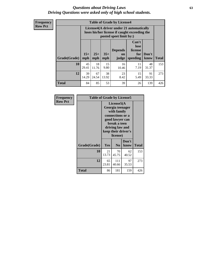#### *Questions about Driving Laws* **63** *Driving Questions were asked only of high school students.*

**Frequency Row Pct**

| <b>Table of Grade by License4</b> |              |                                                                                                                                                      |             |             |            |             |     |  |  |  |
|-----------------------------------|--------------|------------------------------------------------------------------------------------------------------------------------------------------------------|-------------|-------------|------------|-------------|-----|--|--|--|
|                                   |              | License4(A driver under 21 automatically<br>loses his/her license if caught exceeding the<br>posted speet limit by:)                                 |             |             |            |             |     |  |  |  |
| Grade(Grade)                      | $15+$<br>mph | Can't<br>lose<br><b>Depends</b><br>license<br>$25+$<br>$35+$<br>Don't<br>for<br><b>on</b><br>speeding<br><b>Total</b><br>mph<br>know<br>mph<br>judge |             |             |            |             |     |  |  |  |
| 10                                | 45<br>29.41  | 18<br>11.76                                                                                                                                          | 15<br>9.80  | 16<br>10.46 | 11<br>7.19 | 48<br>31.37 | 153 |  |  |  |
| 12                                | 39<br>14.29  | 67<br>24.54                                                                                                                                          | 38<br>13.92 | 23<br>8.42  | 15<br>5.49 | 91<br>33.33 | 273 |  |  |  |
| <b>Total</b>                      | 84           | 85                                                                                                                                                   | 53          | 39          | 26         | 139         | 426 |  |  |  |

| Frequency      | <b>Table of Grade by License5</b> |                                                                                                                                                             |                |               |       |
|----------------|-----------------------------------|-------------------------------------------------------------------------------------------------------------------------------------------------------------|----------------|---------------|-------|
| <b>Row Pct</b> |                                   | License5(A)<br>Georgia teenager<br>with family<br>connections or a<br>good lawyer can<br>break a teen<br>driving law and<br>keep their driver's<br>license) |                |               |       |
|                | Grade(Grade)                      | <b>Yes</b>                                                                                                                                                  | N <sub>0</sub> | Don't<br>know | Total |
|                | 10                                | 21<br>13.73                                                                                                                                                 | 70<br>45.75    | 62<br>40.52   | 153   |
|                | 12                                | 65<br>23.81                                                                                                                                                 | 111<br>40.66   | 97<br>35.53   | 273   |
|                | <b>Total</b>                      | 86                                                                                                                                                          | 181            | 159           | 426   |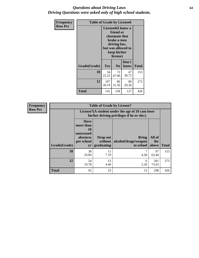#### *Questions about Driving Laws* **64** *Driving Questions were asked only of high school students.*

| <b>Frequency</b> | <b>Table of Grade by License6</b> |                                                                                                                                                 |                |               |              |
|------------------|-----------------------------------|-------------------------------------------------------------------------------------------------------------------------------------------------|----------------|---------------|--------------|
| <b>Row Pct</b>   |                                   | License <sub>6</sub> (I know a<br>friend or<br>classmate that<br>broke a teen<br>driving law,<br>but was allowed to<br>keep his/her<br>license) |                |               |              |
|                  | Grade(Grade)                      | Yes                                                                                                                                             | N <sub>0</sub> | Don't<br>know | <b>Total</b> |
|                  | 10                                | 34<br>22.22                                                                                                                                     | 72<br>47.06    | 47<br>30.72   | 153          |
|                  | 12                                | 107<br>39.19                                                                                                                                    | 86<br>31.50    | 80<br>29.30   | 273          |
|                  | <b>Total</b>                      | 141                                                                                                                                             | 158            | 127           | 426          |

| <b>Frequency</b> | <b>Table of Grade by License7</b> |                                                                             |                                                                                               |                                                   |                        |              |  |
|------------------|-----------------------------------|-----------------------------------------------------------------------------|-----------------------------------------------------------------------------------------------|---------------------------------------------------|------------------------|--------------|--|
| <b>Row Pct</b>   |                                   |                                                                             | License7(A student under the age of 18 cam loser<br>his/her driving privileges if he or she:) |                                                   |                        |              |  |
|                  | Grade(Grade)                      | <b>Have</b><br>more than<br>10<br>unexcused<br>absences<br>per school<br>yr | Drop out<br>without  <br>graduating                                                           | <b>Bring</b><br>alcohol/drugs/weapon<br>to school | All of<br>the<br>above | <b>Total</b> |  |
|                  | 10                                | 38<br>24.84                                                                 | 11<br>7.19                                                                                    | 4.58                                              | 97<br>63.40            | 153          |  |
|                  | 12                                | 54<br>19.78                                                                 | 12<br>4.40                                                                                    | 6<br>2.20                                         | 201<br>73.63           | 273          |  |
|                  | <b>Total</b>                      | 92                                                                          | 23                                                                                            | 13                                                | 298                    | 426          |  |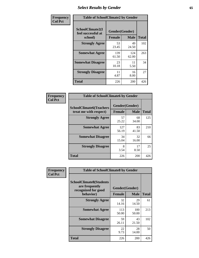## *Select Results by Gender* **65**

| Frequency      | <b>Table of SchoolClimate2 by Gender</b> |                              |                            |                     |  |
|----------------|------------------------------------------|------------------------------|----------------------------|---------------------|--|
| <b>Col Pct</b> | SchoolClimate2(I<br>feel successful at   | Gender(Gender)               |                            |                     |  |
|                | school)<br><b>Strongly Agree</b>         | <b>Female</b><br>53<br>23.45 | <b>Male</b><br>49<br>24.50 | <b>Total</b><br>102 |  |
|                | <b>Somewhat Agree</b>                    | 139<br>61.50                 | 124<br>62.00               | 263                 |  |
|                | <b>Somewhat Disagree</b>                 | 23<br>10.18                  | 11<br>5.50                 | 34                  |  |
|                | <b>Strongly Disagree</b>                 | 11<br>4.87                   | 16<br>8.00                 | 27                  |  |
|                | <b>Total</b>                             | 226                          | 200                        | 426                 |  |

| Frequency      | <b>Table of SchoolClimate6 by Gender</b>                 |                                                |             |              |  |
|----------------|----------------------------------------------------------|------------------------------------------------|-------------|--------------|--|
| <b>Col Pct</b> | <b>SchoolClimate6(Teachers</b><br>treat me with respect) | Gender(Gender)<br><b>Male</b><br><b>Female</b> |             | <b>Total</b> |  |
|                | <b>Strongly Agree</b>                                    | 57<br>25.22                                    | 68<br>34.00 | 125          |  |
|                | <b>Somewhat Agree</b>                                    | 127<br>56.19                                   | 83<br>41.50 | 210          |  |
|                | <b>Somewhat Disagree</b>                                 | 34<br>15.04                                    | 32<br>16.00 | 66           |  |
|                | <b>Strongly Disagree</b>                                 | 8<br>3.54                                      | 17<br>8.50  | 25           |  |
|                | Total                                                    | 226                                            | 200         | 426          |  |

| Frequency      | <b>Table of SchoolClimate8 by Gender</b>                                |                |              |              |  |
|----------------|-------------------------------------------------------------------------|----------------|--------------|--------------|--|
| <b>Col Pct</b> | <b>SchoolClimate8(Students</b><br>are frequently<br>recognized for good | Gender(Gender) |              |              |  |
|                | behavior)                                                               | <b>Female</b>  | <b>Male</b>  | <b>Total</b> |  |
|                | <b>Strongly Agree</b>                                                   | 32<br>14.16    | 29<br>14.50  | 61           |  |
|                | <b>Somewhat Agree</b>                                                   | 113<br>50.00   | 100<br>50.00 | 213          |  |
|                | <b>Somewhat Disagree</b>                                                | 59<br>26.11    | 43<br>21.50  | 102          |  |
|                | <b>Strongly Disagree</b>                                                | 22<br>9.73     | 28<br>14.00  | 50           |  |
|                | Total                                                                   | 226            | 200          | 426          |  |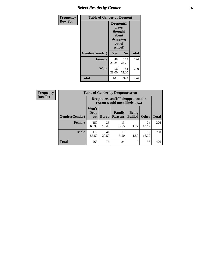## *Select Results by Gender* **66**

| <b>Frequency</b> | <b>Table of Gender by Dropout</b> |                                                                        |              |              |
|------------------|-----------------------------------|------------------------------------------------------------------------|--------------|--------------|
| <b>Row Pct</b>   |                                   | Dropout(I<br>have<br>thought<br>about<br>dropping<br>out of<br>school) |              |              |
|                  | Gender(Gender)                    | Yes                                                                    | No           | <b>Total</b> |
|                  | <b>Female</b>                     | 48<br>21.24                                                            | 178<br>78.76 | 226          |
|                  | <b>Male</b>                       | 56<br>28.00                                                            | 144<br>72.00 | 200          |
|                  | <b>Total</b>                      | 104                                                                    | 322          | 426          |

| <b>Frequency</b> | <b>Table of Gender by Dropoutreason</b> |                                                                    |              |                          |                                |              |              |
|------------------|-----------------------------------------|--------------------------------------------------------------------|--------------|--------------------------|--------------------------------|--------------|--------------|
| <b>Row Pct</b>   |                                         | Dropoutreason(If I dropped out the<br>reason would most likely be) |              |                          |                                |              |              |
|                  | Gender(Gender)                          | Won't<br>Drop<br>out                                               | <b>Bored</b> | Family<br><b>Reasons</b> | <b>Being</b><br><b>Bullied</b> | <b>Other</b> | <b>Total</b> |
|                  | <b>Female</b>                           | 150<br>66.37                                                       | 35<br>15.49  | 13<br>5.75               | 4<br>1.77                      | 24<br>10.62  | 226          |
|                  | <b>Male</b>                             | 113<br>56.50                                                       | 41<br>20.50  | 11<br>5.50               | 3<br>1.50                      | 32<br>16.00  | 200          |
|                  | <b>Total</b>                            | 263                                                                | 76           | 24                       |                                | 56           | 426          |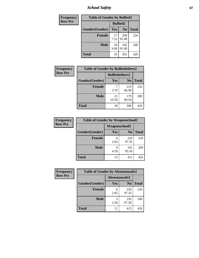*School Safety* **67**

| Frequency      | <b>Table of Gender by Bullied2</b> |                 |                |              |  |
|----------------|------------------------------------|-----------------|----------------|--------------|--|
| <b>Row Pct</b> |                                    | <b>Bullied2</b> |                |              |  |
|                | Gender(Gender)                     | Yes             | N <sub>0</sub> | <b>Total</b> |  |
|                | <b>Female</b>                      | 17<br>7.52      | 209<br>92.48   | 226          |  |
|                | <b>Male</b>                        | 18<br>9.00      | 182<br>91.00   | 200          |  |
|                | <b>Total</b>                       | 35              | 391            | 426          |  |

| Frequency      | <b>Table of Gender by Bulliedothers2</b> |                       |                |              |  |
|----------------|------------------------------------------|-----------------------|----------------|--------------|--|
| <b>Row Pct</b> |                                          | <b>Bulliedothers2</b> |                |              |  |
|                | Gender(Gender)                           | Yes                   | N <sub>0</sub> | <b>Total</b> |  |
|                | <b>Female</b>                            | 3.10                  | 219<br>96.90   | 226          |  |
|                | <b>Male</b>                              | 21<br>10.50           | 179<br>89.50   | 200          |  |
|                | <b>Total</b>                             | 28                    | 398            | 426          |  |

| Frequency      | <b>Table of Gender by Weaponschool2</b> |                      |                |              |  |
|----------------|-----------------------------------------|----------------------|----------------|--------------|--|
| <b>Row Pct</b> |                                         | <b>Weaponschool2</b> |                |              |  |
|                | Gender(Gender)                          | Yes                  | N <sub>0</sub> | <b>Total</b> |  |
|                | <b>Female</b>                           | 6<br>2.65            | 220<br>97.35   | 226          |  |
|                | <b>Male</b>                             | q<br>4.50            | 191<br>95.50   | 200          |  |
|                | <b>Total</b>                            | 15                   | 411            | 426          |  |

| Frequency      | <b>Table of Gender by Absentunsafe2</b> |               |                |              |
|----------------|-----------------------------------------|---------------|----------------|--------------|
| <b>Row Pct</b> |                                         | Absentunsafe2 |                |              |
|                | Gender(Gender)                          | Yes           | N <sub>0</sub> | <b>Total</b> |
|                | <b>Female</b>                           | 6<br>2.65     | 220<br>97.35   | 226          |
|                | <b>Male</b>                             | 2.50          | 195<br>97.50   | 200          |
|                | <b>Total</b>                            | 11            | 415            | 426          |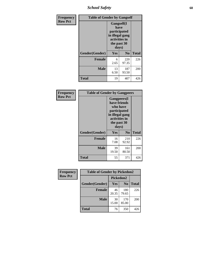*School Safety* **68**

| Frequency      | <b>Table of Gender by Gangself</b> |                                                                                                |                |              |  |
|----------------|------------------------------------|------------------------------------------------------------------------------------------------|----------------|--------------|--|
| <b>Row Pct</b> |                                    | Gangself(I<br>have<br>participated<br>in illegal gang<br>activities in<br>the past 30<br>days) |                |              |  |
|                | Gender(Gender)                     | Yes                                                                                            | N <sub>0</sub> | <b>Total</b> |  |
|                | <b>Female</b>                      | 6<br>2.65                                                                                      | 220<br>97.35   | 226          |  |
|                | <b>Male</b>                        | 13<br>6.50                                                                                     | 187<br>93.50   | 200          |  |
|                | <b>Total</b>                       | 19                                                                                             | 407            | 426          |  |

| Frequency      | <b>Table of Gender by Gangpeers</b> |                                                                                                                             |                |              |
|----------------|-------------------------------------|-----------------------------------------------------------------------------------------------------------------------------|----------------|--------------|
| <b>Row Pct</b> |                                     | <b>Gangpeers</b> (I<br>have friends<br>who have<br>participated<br>in illegal gang<br>activities in<br>the past 30<br>days) |                |              |
|                | Gender(Gender)                      | Yes                                                                                                                         | N <sub>0</sub> | <b>Total</b> |
|                | <b>Female</b>                       | 16<br>7.08                                                                                                                  | 210<br>92.92   | 226          |
|                | <b>Male</b>                         | 39<br>19.50                                                                                                                 | 161<br>80.50   | 200          |
|                | Total                               | 55                                                                                                                          | 371            | 426          |

| Frequency      | <b>Table of Gender by Pickedon2</b> |             |                |              |
|----------------|-------------------------------------|-------------|----------------|--------------|
| <b>Row Pct</b> |                                     | Pickedon2   |                |              |
|                | Gender(Gender)                      | Yes         | N <sub>0</sub> | <b>Total</b> |
|                | <b>Female</b>                       | 46<br>20.35 | 180<br>79.65   | 226          |
|                | <b>Male</b>                         | 30<br>15.00 | 170<br>85.00   | 200          |
|                | <b>Total</b>                        | 76          | 350            | 426          |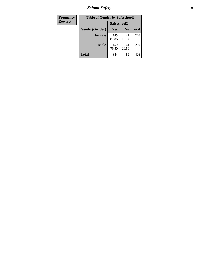*School Safety* **69**

| Frequency      | <b>Table of Gender by Safeschool2</b> |              |                |              |
|----------------|---------------------------------------|--------------|----------------|--------------|
| <b>Row Pct</b> |                                       | Safeschool2  |                |              |
|                | Gender(Gender)                        | <b>Yes</b>   | N <sub>0</sub> | <b>Total</b> |
|                | <b>Female</b>                         | 185<br>81.86 | 41<br>18.14    | 226          |
|                | <b>Male</b>                           | 159<br>79.50 | 41<br>20.50    | 200          |
|                | <b>Total</b>                          | 344          | 82             | 426          |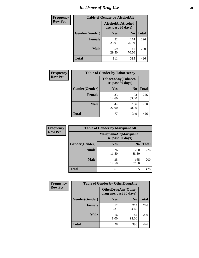# *Incidence of Drug Use* **70**

| <b>Frequency</b> | <b>Table of Gender by AlcoholAlt</b> |                                          |                |              |  |
|------------------|--------------------------------------|------------------------------------------|----------------|--------------|--|
| <b>Row Pct</b>   |                                      | AlcoholAlt(Alcohol<br>use, past 30 days) |                |              |  |
|                  | Gender(Gender)                       | <b>Yes</b>                               | N <sub>0</sub> | <b>Total</b> |  |
|                  | <b>Female</b>                        | 52<br>23.01                              | 174<br>76.99   | 226          |  |
|                  | <b>Male</b>                          | 59<br>29.50                              | 141<br>70.50   | 200          |  |
|                  | <b>Total</b>                         | 111                                      | 315            | 426          |  |

| Frequency      | <b>Table of Gender by TobaccoAny</b> |                                          |                |              |  |
|----------------|--------------------------------------|------------------------------------------|----------------|--------------|--|
| <b>Row Pct</b> |                                      | TobaccoAny(Tobacco<br>use, past 30 days) |                |              |  |
|                | Gender(Gender)                       | Yes                                      | N <sub>0</sub> | <b>Total</b> |  |
|                | <b>Female</b>                        | 33<br>14.60                              | 193<br>85.40   | 226          |  |
|                | <b>Male</b>                          | 44<br>22.00                              | 156<br>78.00   | 200          |  |
|                | <b>Total</b>                         | 77                                       | 349            | 426          |  |

| <b>Frequency</b> | <b>Table of Gender by MarijuanaAlt</b> |                                              |                |              |
|------------------|----------------------------------------|----------------------------------------------|----------------|--------------|
| <b>Row Pct</b>   |                                        | MarijuanaAlt(Marijuana<br>use, past 30 days) |                |              |
|                  | Gender(Gender)                         | <b>Yes</b>                                   | N <sub>0</sub> | <b>Total</b> |
|                  | Female                                 | 26<br>11.50                                  | 200<br>88.50   | 226          |
|                  | <b>Male</b>                            | 35<br>17.50                                  | 165<br>82.50   | 200          |
|                  | <b>Total</b>                           | 61                                           | 365            | 426          |

| <b>Frequency</b> | <b>Table of Gender by OtherDrugAny</b> |                                                       |                |              |  |
|------------------|----------------------------------------|-------------------------------------------------------|----------------|--------------|--|
| <b>Row Pct</b>   |                                        | <b>OtherDrugAny</b> (Other<br>drug use, past 30 days) |                |              |  |
|                  | Gender(Gender)                         | <b>Yes</b>                                            | N <sub>0</sub> | <b>Total</b> |  |
|                  | <b>Female</b>                          | 12<br>5.31                                            | 214<br>94.69   | 226          |  |
|                  | <b>Male</b>                            | 16<br>8.00                                            | 184<br>92.00   | 200          |  |
|                  | <b>Total</b>                           | 28                                                    | 398            | 426          |  |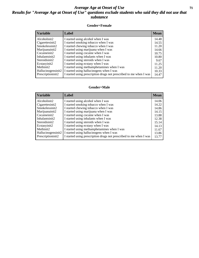#### *Average Age at Onset of Use* **71** *Results for "Average Age at Onset of Use" questions exclude students who said they did not use that substance*

#### **Gender=Female**

| <b>Variable</b>    | <b>Label</b>                                                       | <b>Mean</b> |
|--------------------|--------------------------------------------------------------------|-------------|
| Alcoholinit2       | I started using alcohol when I was                                 | 14.48       |
| Cigarettesinit2    | I started smoking tobacco when I was                               | 14.55       |
| Smokelessinit2     | I started chewing tobacco when I was                               | 11.20       |
| Marijuanainit2     | I started using marijuana when I was                               | 14.66       |
| Cocaineinit2       | I started using cocaine when I was                                 | 10.75       |
| Inhalantsinit2     | I started using inhalants when I was                               | 10.80       |
| Steroidsinit2      | I started using steroids when I was                                | 9.67        |
| Ecstasyinit2       | I started using ecstasy when I was                                 | 11.25       |
| Methinit2          | I started using methamphetamines when I was                        | 11.20       |
| Hallucinogensinit2 | I started using hallucinogens when I was                           | 10.33       |
| Prescription in t2 | I started using prescription drugs not prescribed to me when I was | 14.47       |

#### **Gender=Male**

| <b>Variable</b>                 | Label                                                              | <b>Mean</b> |
|---------------------------------|--------------------------------------------------------------------|-------------|
| Alcoholinit2                    | I started using alcohol when I was                                 | 14.06       |
| Cigarettesinit2                 | I started smoking tobacco when I was                               | 14.22       |
| Smokelessinit2                  | I started chewing tobacco when I was                               | 14.86       |
| Marijuanainit2                  | I started using marijuana when I was                               | 14.15       |
| Cocaineinit2                    | I started using cocaine when I was                                 | 13.88       |
| Inhalantsinit2                  | I started using inhalants when I was                               | 12.38       |
| Steroidsinit2                   | I started using steroids when I was                                | 15.14       |
| Ecstasyinit2                    | I started using ecstasy when I was                                 | 14.13       |
| Methinit2                       | I started using methamphetamines when I was                        | 11.67       |
| Hallucinogensinit2              | I started using hallucinogens when I was                           | 13.86       |
| Prescription in it <sub>2</sub> | I started using prescription drugs not prescribed to me when I was | 13.77       |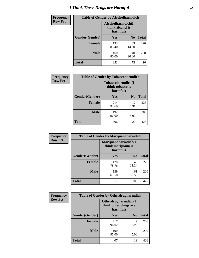# *I Think These Drugs are Harmful* **72**

| <b>Frequency</b> | <b>Table of Gender by Alcoholharmdich</b> |                                                   |                |              |
|------------------|-------------------------------------------|---------------------------------------------------|----------------|--------------|
| <b>Row Pct</b>   |                                           | Alcoholharmdich(I<br>think alcohol is<br>harmful) |                |              |
|                  | Gender(Gender)                            | <b>Yes</b>                                        | N <sub>0</sub> | <b>Total</b> |
|                  | <b>Female</b>                             | 193<br>85.40                                      | 33<br>14.60    | 226          |
|                  | <b>Male</b>                               | 160<br>80.00                                      | 40<br>20.00    | <b>200</b>   |
|                  | Total                                     | 353                                               | 73             | 426          |

| Frequency      | <b>Table of Gender by Tobaccoharmdich</b> |              |                |                                                   |  |  |
|----------------|-------------------------------------------|--------------|----------------|---------------------------------------------------|--|--|
| <b>Row Pct</b> |                                           |              |                | Tobaccoharmdich(I<br>think tobacco is<br>harmful) |  |  |
|                | Gender(Gender)                            | <b>Yes</b>   | N <sub>0</sub> | <b>Total</b>                                      |  |  |
|                | <b>Female</b>                             | 214<br>94.69 | 12<br>5.31     | 226                                               |  |  |
|                | <b>Male</b>                               | 192<br>96.00 | 8<br>4.00      | 200                                               |  |  |
|                | <b>Total</b>                              | 406          | 20             | 426                                               |  |  |

| Frequency      | <b>Table of Gender by Marijuanaharmdich</b> |                                                       |                |              |  |
|----------------|---------------------------------------------|-------------------------------------------------------|----------------|--------------|--|
| <b>Row Pct</b> |                                             | Marijuanaharmdich(I<br>think marijuana is<br>harmful) |                |              |  |
|                | Gender(Gender)                              | <b>Yes</b>                                            | N <sub>0</sub> | <b>Total</b> |  |
|                | <b>Female</b>                               | 178<br>78.76                                          | 48<br>21.24    | 226          |  |
|                | <b>Male</b>                                 | 139<br>69.50                                          | 61<br>30.50    | 200          |  |
|                | <b>Total</b>                                | 317                                                   | 109            | 426          |  |

| Frequency      | <b>Table of Gender by Otherdrugharmdich</b> |                                                          |                |              |
|----------------|---------------------------------------------|----------------------------------------------------------|----------------|--------------|
| <b>Row Pct</b> |                                             | Otherdrugharmdich(I<br>think other drugs are<br>harmful) |                |              |
|                | Gender(Gender)                              | <b>Yes</b>                                               | N <sub>0</sub> | <b>Total</b> |
|                | <b>Female</b>                               | 217<br>96.02                                             | 9<br>3.98      | 226          |
|                | <b>Male</b>                                 | 190<br>95.00                                             | 10<br>5.00     | 200          |
|                | <b>Total</b>                                | 407                                                      | 19             | 426          |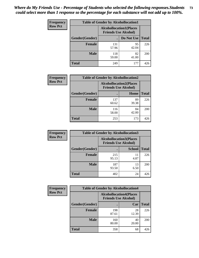| <b>Frequency</b> | <b>Table of Gender by Alcohollocation1</b> |                                                               |             |              |
|------------------|--------------------------------------------|---------------------------------------------------------------|-------------|--------------|
| <b>Row Pct</b>   |                                            | <b>Alcohollocation1(Places</b><br><b>Friends Use Alcohol)</b> |             |              |
|                  | Gender(Gender)                             |                                                               | Do Not Use  | <b>Total</b> |
|                  | <b>Female</b>                              | 131<br>57.96                                                  | 95<br>42.04 | 226          |
|                  | <b>Male</b>                                | 118<br>59.00                                                  | 82<br>41.00 | 200          |
|                  | <b>Total</b>                               | 249                                                           | 177         | 426          |

| <b>Frequency</b> | <b>Table of Gender by Alcohollocation2</b> |                                                               |             |              |
|------------------|--------------------------------------------|---------------------------------------------------------------|-------------|--------------|
| <b>Row Pct</b>   |                                            | <b>Alcohollocation2(Places</b><br><b>Friends Use Alcohol)</b> |             |              |
|                  | Gender(Gender)                             |                                                               | Home        | <b>Total</b> |
|                  | <b>Female</b>                              | 137<br>60.62                                                  | 89<br>39.38 | 226          |
|                  | <b>Male</b>                                | 116<br>58.00                                                  | 84<br>42.00 | 200          |
|                  | <b>Total</b>                               | 253                                                           | 173         | 426          |

| Frequency      | <b>Table of Gender by Alcohollocation3</b> |                                                               |               |              |
|----------------|--------------------------------------------|---------------------------------------------------------------|---------------|--------------|
| <b>Row Pct</b> |                                            | <b>Alcohollocation3(Places</b><br><b>Friends Use Alcohol)</b> |               |              |
|                | Gender(Gender)                             |                                                               | <b>School</b> | <b>Total</b> |
|                | <b>Female</b>                              | 215<br>95.13                                                  | 11<br>4.87    | 226          |
|                | <b>Male</b>                                | 187<br>93.50                                                  | 13<br>6.50    | 200          |
|                | <b>Total</b>                               | 402                                                           | 24            | 426          |

| Frequency      | <b>Table of Gender by Alcohollocation4</b> |                                                               |             |              |
|----------------|--------------------------------------------|---------------------------------------------------------------|-------------|--------------|
| <b>Row Pct</b> |                                            | <b>Alcohollocation4(Places</b><br><b>Friends Use Alcohol)</b> |             |              |
|                | <b>Gender</b> (Gender)                     |                                                               | Car         | <b>Total</b> |
|                | <b>Female</b>                              | 198<br>87.61                                                  | 28<br>12.39 | 226          |
|                | <b>Male</b>                                | 160<br>80.00                                                  | 40<br>20.00 | 200          |
|                | <b>Total</b>                               | 358                                                           | 68          | 426          |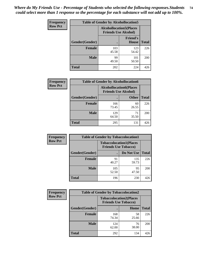| <b>Frequency</b> | <b>Table of Gender by Alcohollocation5</b> |                                 |                                 |              |
|------------------|--------------------------------------------|---------------------------------|---------------------------------|--------------|
| <b>Row Pct</b>   |                                            | <b>Alcohollocation5</b> (Places | <b>Friends Use Alcohol)</b>     |              |
|                  | Gender(Gender)                             | $\bullet$                       | <b>Friend's</b><br><b>House</b> | <b>Total</b> |
|                  | <b>Female</b>                              | 103<br>45.58                    | 123<br>54.42                    | 226          |
|                  | <b>Male</b>                                | 99<br>49.50                     | 101<br>50.50                    | 200          |
|                  | <b>Total</b>                               | 202                             | 224                             | 426          |

| Frequency      | <b>Table of Gender by Alcohollocation6</b> |                                                               |              |              |  |
|----------------|--------------------------------------------|---------------------------------------------------------------|--------------|--------------|--|
| <b>Row Pct</b> |                                            | <b>Alcohollocation6(Places</b><br><b>Friends Use Alcohol)</b> |              |              |  |
|                | <b>Gender</b> (Gender)                     |                                                               | <b>Other</b> | <b>Total</b> |  |
|                | <b>Female</b>                              | 166<br>73.45                                                  | 60<br>26.55  | 226          |  |
|                | <b>Male</b>                                | 129<br>64.50                                                  | 71<br>35.50  | 200          |  |
|                | <b>Total</b>                               | 295                                                           | 131          | 426          |  |

| Frequency      | <b>Table of Gender by Tobaccolocation1</b> |                                                               |              |              |  |
|----------------|--------------------------------------------|---------------------------------------------------------------|--------------|--------------|--|
| <b>Row Pct</b> |                                            | <b>Tobaccolocation1(Places</b><br><b>Friends Use Tobacco)</b> |              |              |  |
|                | Gender(Gender)                             |                                                               | Do Not Use   | <b>Total</b> |  |
|                | <b>Female</b>                              | 91<br>40.27                                                   | 135<br>59.73 | 226          |  |
|                | <b>Male</b>                                | 105<br>52.50                                                  | 95<br>47.50  | 200          |  |
|                | <b>Total</b>                               | 196                                                           | 230          | 426          |  |

| <b>Frequency</b> | <b>Table of Gender by Tobaccolocation2</b> |                             |                                |              |
|------------------|--------------------------------------------|-----------------------------|--------------------------------|--------------|
| <b>Row Pct</b>   |                                            | <b>Friends Use Tobacco)</b> | <b>Tobaccolocation2(Places</b> |              |
|                  | Gender(Gender)                             |                             | Home                           | <b>Total</b> |
|                  | Female                                     | 168<br>74.34                | 58<br>25.66                    | 226          |
|                  | <b>Male</b>                                | 124<br>62.00                | 76<br>38.00                    | 200          |
|                  | <b>Total</b>                               | 292                         | 134                            | 426          |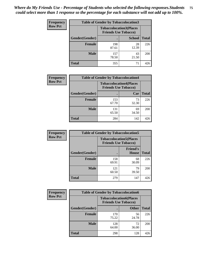| <b>Frequency</b> | <b>Table of Gender by Tobaccolocation3</b> |                                                               |               |              |
|------------------|--------------------------------------------|---------------------------------------------------------------|---------------|--------------|
| <b>Row Pct</b>   |                                            | <b>Tobaccolocation3(Places</b><br><b>Friends Use Tobacco)</b> |               |              |
|                  | Gender(Gender)                             |                                                               | <b>School</b> | <b>Total</b> |
|                  | <b>Female</b>                              | 198<br>87.61                                                  | 28<br>12.39   | 226          |
|                  | <b>Male</b>                                | 157<br>78.50                                                  | 43<br>21.50   | 200          |
|                  | Total                                      | 355                                                           | 71            | 426          |

| <b>Frequency</b> | <b>Table of Gender by Tobaccolocation4</b> |              |                                                               |              |
|------------------|--------------------------------------------|--------------|---------------------------------------------------------------|--------------|
| <b>Row Pct</b>   |                                            |              | <b>Tobaccolocation4(Places</b><br><b>Friends Use Tobacco)</b> |              |
|                  | Gender(Gender)                             |              | Car                                                           | <b>Total</b> |
|                  | <b>Female</b>                              | 153<br>67.70 | 73<br>32.30                                                   | 226          |
|                  | <b>Male</b>                                | 131<br>65.50 | 69<br>34.50                                                   | 200          |
|                  | <b>Total</b>                               | 284          | 142                                                           | 426          |

| <b>Frequency</b> | <b>Table of Gender by Tobaccolocation5</b> |                             |                                 |              |
|------------------|--------------------------------------------|-----------------------------|---------------------------------|--------------|
| <b>Row Pct</b>   |                                            | <b>Friends Use Tobacco)</b> | <b>Tobaccolocation5(Places</b>  |              |
|                  | Gender(Gender)                             |                             | <b>Friend's</b><br><b>House</b> | <b>Total</b> |
|                  | <b>Female</b>                              | 158<br>69.91                | 68<br>30.09                     | 226          |
|                  | <b>Male</b>                                | 121<br>60.50                | 79<br>39.50                     | 200          |
|                  | <b>Total</b>                               | 279                         | 147                             | 426          |

| <b>Frequency</b> | <b>Table of Gender by Tobaccolocation6</b> |                                                               |              |              |
|------------------|--------------------------------------------|---------------------------------------------------------------|--------------|--------------|
| <b>Row Pct</b>   |                                            | <b>Tobaccolocation6(Places</b><br><b>Friends Use Tobacco)</b> |              |              |
|                  | Gender(Gender)                             |                                                               | <b>Other</b> | <b>Total</b> |
|                  | <b>Female</b>                              | 170<br>75.22                                                  | 56<br>24.78  | 226          |
|                  | <b>Male</b>                                | 128<br>64.00                                                  | 72<br>36.00  | 200          |
|                  | <b>Total</b>                               | 298                                                           | 128          | 426          |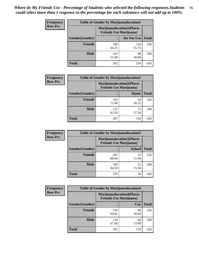| <b>Frequency</b> | <b>Table of Gender by Marijuanalocation1</b> |              |                                                                    |              |
|------------------|----------------------------------------------|--------------|--------------------------------------------------------------------|--------------|
| <b>Row Pct</b>   |                                              |              | <b>Marijuanalocation1(Places</b><br><b>Friends Use Marijuana</b> ) |              |
|                  | Gender(Gender)                               |              | Do Not Use                                                         | <b>Total</b> |
|                  | <b>Female</b>                                | 100<br>44.25 | 126<br>55.75                                                       | 226          |
|                  | <b>Male</b>                                  | 102<br>51.00 | 98<br>49.00                                                        | <b>200</b>   |
|                  | <b>Total</b>                                 | 202          | 224                                                                | 426          |

| <b>Frequency</b> | <b>Table of Gender by Marijuanalocation2</b> |                                                                    |             |              |
|------------------|----------------------------------------------|--------------------------------------------------------------------|-------------|--------------|
| <b>Row Pct</b>   |                                              | <b>Marijuanalocation2(Places</b><br><b>Friends Use Marijuana</b> ) |             |              |
|                  | Gender(Gender)                               |                                                                    | Home        | <b>Total</b> |
|                  | Female                                       | 162<br>71.68                                                       | 64<br>28.32 | 226          |
|                  | <b>Male</b>                                  | 125<br>62.50                                                       | 75<br>37.50 | 200          |
|                  | <b>Total</b>                                 | 287                                                                | 139         | 426          |

| Frequency      | <b>Table of Gender by Marijuanalocation3</b> |                                                                    |               |              |
|----------------|----------------------------------------------|--------------------------------------------------------------------|---------------|--------------|
| <b>Row Pct</b> |                                              | <b>Marijuanalocation3(Places</b><br><b>Friends Use Marijuana</b> ) |               |              |
|                | Gender(Gender)                               |                                                                    | <b>School</b> | <b>Total</b> |
|                | Female                                       | 201<br>88.94                                                       | 25<br>11.06   | 226          |
|                | <b>Male</b>                                  | 169<br>84.50                                                       | 31<br>15.50   | 200          |
|                | <b>Total</b>                                 | 370                                                                | 56            | 426          |

| Frequency      | <b>Table of Gender by Marijuanalocation4</b> |                                                                    |             |              |  |
|----------------|----------------------------------------------|--------------------------------------------------------------------|-------------|--------------|--|
| <b>Row Pct</b> |                                              | <b>Marijuanalocation4(Places</b><br><b>Friends Use Marijuana</b> ) |             |              |  |
|                | Gender(Gender)                               |                                                                    | Car         | <b>Total</b> |  |
|                | <b>Female</b>                                | 158<br>69.91                                                       | 68<br>30.09 | 226          |  |
|                | <b>Male</b>                                  | 134<br>67.00                                                       | 66<br>33.00 | 200          |  |
|                | <b>Total</b>                                 | 292                                                                | 134         | 426          |  |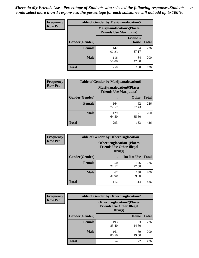| Frequency      | <b>Table of Gender by Marijuanalocation5</b> |                                                                    |                                 |              |
|----------------|----------------------------------------------|--------------------------------------------------------------------|---------------------------------|--------------|
| <b>Row Pct</b> |                                              | <b>Marijuanalocation5(Places</b><br><b>Friends Use Marijuana</b> ) |                                 |              |
|                | Gender(Gender)                               |                                                                    | <b>Friend's</b><br><b>House</b> | <b>Total</b> |
|                | <b>Female</b>                                | 142<br>62.83                                                       | 84<br>37.17                     | 226          |
|                | <b>Male</b>                                  | 116<br>58.00                                                       | 84<br>42.00                     | 200          |
|                | <b>Total</b>                                 | 258                                                                | 168                             | 426          |

| <b>Frequency</b> | <b>Table of Gender by Marijuanalocation6</b> |                                                                     |              |              |  |
|------------------|----------------------------------------------|---------------------------------------------------------------------|--------------|--------------|--|
| <b>Row Pct</b>   |                                              | <b>Marijuanalocation6(Places)</b><br><b>Friends Use Marijuana</b> ) |              |              |  |
|                  | Gender(Gender)                               |                                                                     | <b>Other</b> | <b>Total</b> |  |
|                  | <b>Female</b>                                | 164<br>72.57                                                        | 62<br>27.43  | 226          |  |
|                  | <b>Male</b>                                  | 129<br>64.50                                                        | 71<br>35.50  | 200          |  |
|                  | <b>Total</b>                                 | 293                                                                 | 133          | 426          |  |

| <b>Frequency</b> | <b>Table of Gender by Otherdruglocation1</b> |                                            |                                  |              |
|------------------|----------------------------------------------|--------------------------------------------|----------------------------------|--------------|
| <b>Row Pct</b>   |                                              | <b>Friends Use Other Illegal</b><br>Drugs) | <b>Otherdruglocation1(Places</b> |              |
|                  | Gender(Gender)                               |                                            | Do Not Use                       | <b>Total</b> |
|                  | Female                                       | 50<br>22.12                                | 176<br>77.88                     | 226          |
|                  | <b>Male</b>                                  | 62<br>31.00                                | 138<br>69.00                     | 200          |
|                  | <b>Total</b>                                 | 112                                        | 314                              | 426          |

| <b>Frequency</b> | <b>Table of Gender by Otherdruglocation2</b> |                                                                                |             |              |
|------------------|----------------------------------------------|--------------------------------------------------------------------------------|-------------|--------------|
| <b>Row Pct</b>   |                                              | <b>Otherdruglocation2(Places</b><br><b>Friends Use Other Illegal</b><br>Drugs) |             |              |
|                  | Gender(Gender)                               |                                                                                | Home        | <b>Total</b> |
|                  | <b>Female</b>                                | 193<br>85.40                                                                   | 33<br>14.60 | 226          |
|                  | <b>Male</b>                                  | 161<br>80.50                                                                   | 39<br>19.50 | 200          |
|                  | <b>Total</b>                                 | 354                                                                            | 72          | 426          |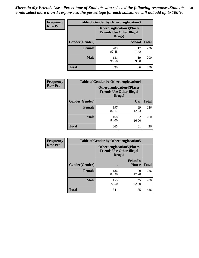| Frequency      | <b>Table of Gender by Otherdruglocation3</b> |                                                                                |               |              |
|----------------|----------------------------------------------|--------------------------------------------------------------------------------|---------------|--------------|
| <b>Row Pct</b> |                                              | <b>Otherdruglocation3(Places</b><br><b>Friends Use Other Illegal</b><br>Drugs) |               |              |
|                | Gender(Gender)                               |                                                                                | <b>School</b> | <b>Total</b> |
|                | Female                                       | 209<br>92.48                                                                   | 17<br>7.52    | 226          |
|                | <b>Male</b>                                  | 181<br>90.50                                                                   | 19<br>9.50    | 200          |
|                | <b>Total</b>                                 | 390                                                                            | 36            | 426          |

| <b>Frequency</b> | <b>Table of Gender by Otherdruglocation4</b> |                                                                                |             |              |
|------------------|----------------------------------------------|--------------------------------------------------------------------------------|-------------|--------------|
| <b>Row Pct</b>   |                                              | <b>Otherdruglocation4(Places</b><br><b>Friends Use Other Illegal</b><br>Drugs) |             |              |
|                  | Gender(Gender)                               |                                                                                | Car         | <b>Total</b> |
|                  | <b>Female</b>                                | 197<br>87.17                                                                   | 29<br>12.83 | 226          |
|                  | <b>Male</b>                                  | 168<br>84.00                                                                   | 32<br>16.00 | 200          |
|                  | <b>Total</b>                                 | 365                                                                            | 61          | 426          |

| Frequency      | <b>Table of Gender by Otherdruglocation5</b> |              |                                                                      |              |
|----------------|----------------------------------------------|--------------|----------------------------------------------------------------------|--------------|
| <b>Row Pct</b> |                                              | Drugs)       | <b>Otherdruglocation5(Places</b><br><b>Friends Use Other Illegal</b> |              |
|                | Gender(Gender)                               |              | <b>Friend's</b><br><b>House</b>                                      | <b>Total</b> |
|                | <b>Female</b>                                | 186<br>82.30 | 40<br>17.70                                                          | 226          |
|                | <b>Male</b>                                  | 155<br>77.50 | 45<br>22.50                                                          | 200          |
|                | <b>Total</b>                                 | 341          | 85                                                                   | 426          |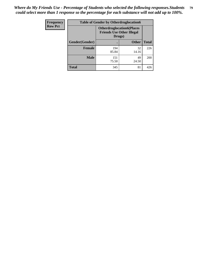| <b>Frequency</b> | <b>Table of Gender by Otherdruglocation6</b> |                                            |                                  |              |
|------------------|----------------------------------------------|--------------------------------------------|----------------------------------|--------------|
| <b>Row Pct</b>   |                                              | <b>Friends Use Other Illegal</b><br>Drugs) | <b>Otherdruglocation6(Places</b> |              |
|                  | Gender(Gender)                               |                                            | <b>Other</b>                     | <b>Total</b> |
|                  | Female                                       | 194<br>85.84                               | 32<br>14.16                      | 226          |
|                  | <b>Male</b>                                  | 151<br>75.50                               | 49<br>24.50                      | 200          |
|                  | <b>Total</b>                                 | 345                                        | 81                               | 426          |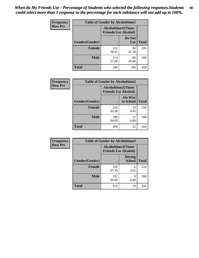| <b>Frequency</b> | <b>Table of Gender by Alcoholtime1</b> |                                                          |                      |              |
|------------------|----------------------------------------|----------------------------------------------------------|----------------------|--------------|
| <b>Row Pct</b>   |                                        | <b>Alcoholtime1(Times</b><br><b>Friends Use Alcohol)</b> |                      |              |
|                  | Gender(Gender)                         | $\bullet$                                                | Do Not<br><b>Use</b> | <b>Total</b> |
|                  | <b>Female</b>                          | 132<br>58.41                                             | 94<br>41.59          | 226          |
|                  | <b>Male</b>                            | 114<br>57.00                                             | 86<br>43.00          | 200          |
|                  | <b>Total</b>                           | 246                                                      | 180                  | 426          |

| Frequency      | <b>Table of Gender by Alcoholtime2</b> |                                                          |                            |              |
|----------------|----------------------------------------|----------------------------------------------------------|----------------------------|--------------|
| <b>Row Pct</b> |                                        | <b>Alcoholtime2(Times</b><br><b>Friends Use Alcohol)</b> |                            |              |
|                | Gender(Gender)                         |                                                          | <b>On Way</b><br>to School | <b>Total</b> |
|                | <b>Female</b>                          | 216<br>95.58                                             | 10<br>4.42                 | 226          |
|                | <b>Male</b>                            | 188<br>94.00                                             | 12<br>6.00                 | 200          |
|                | <b>Total</b>                           | 404                                                      | 22                         | 426          |

| Frequency      | <b>Table of Gender by Alcoholtime3</b> |                                                          |                                |              |
|----------------|----------------------------------------|----------------------------------------------------------|--------------------------------|--------------|
| <b>Row Pct</b> |                                        | <b>Alcoholtime3(Times</b><br><b>Friends Use Alcohol)</b> |                                |              |
|                | Gender(Gender)                         |                                                          | <b>During</b><br><b>School</b> | <b>Total</b> |
|                | Female                                 | 220<br>97.35                                             | 6<br>2.65                      | 226          |
|                | <b>Male</b>                            | 192<br>96.00                                             | 8<br>4.00                      | 200          |
|                | <b>Total</b>                           | 412                                                      | 14                             | 426          |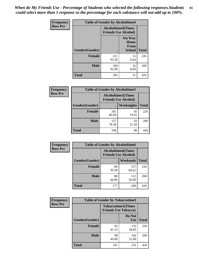*When do My Friends Use - Percentage of Students who selected the following responses.Students could select more than 1 response so the percentage for each substance will not add up to 100%.* **81**

| <b>Frequency</b> | <b>Table of Gender by Alcoholtime4</b> |                                                          |                                                |              |
|------------------|----------------------------------------|----------------------------------------------------------|------------------------------------------------|--------------|
| <b>Row Pct</b>   |                                        | <b>Alcoholtime4(Times</b><br><b>Friends Use Alcohol)</b> |                                                |              |
|                  | Gender(Gender)                         |                                                          | <b>On Way</b><br>Home<br>From<br><b>School</b> | <b>Total</b> |
|                  | <b>Female</b>                          | 211<br>93.36                                             | 15<br>6.64                                     | 226          |
|                  | <b>Male</b>                            | 184<br>92.00                                             | 16<br>8.00                                     | 200          |
|                  | <b>Total</b>                           | 395                                                      | 31                                             | 426          |

| <b>Frequency</b> | <b>Table of Gender by Alcoholtime5</b> |                                                           |                   |              |  |
|------------------|----------------------------------------|-----------------------------------------------------------|-------------------|--------------|--|
| <b>Row Pct</b>   |                                        | <b>Alcoholtime5</b> (Times<br><b>Friends Use Alcohol)</b> |                   |              |  |
|                  | Gender(Gender)                         |                                                           | <b>Weeknights</b> | <b>Total</b> |  |
|                  | <b>Female</b>                          | 181<br>80.09                                              | 45<br>19.91       | 226          |  |
|                  | <b>Male</b>                            | 157<br>78.50                                              | 43<br>21.50       | 200          |  |
|                  | <b>Total</b>                           | 338                                                       | 88                | 426          |  |

| <b>Frequency</b> |                | <b>Table of Gender by Alcoholtime6</b> |                                                           |              |
|------------------|----------------|----------------------------------------|-----------------------------------------------------------|--------------|
| <b>Row Pct</b>   |                |                                        | <b>Alcoholtime6</b> (Times<br><b>Friends Use Alcohol)</b> |              |
|                  | Gender(Gender) |                                        | Weekends                                                  | <b>Total</b> |
|                  | Female         | 89<br>39.38                            | 137<br>60.62                                              | 226          |
|                  | <b>Male</b>    | 88<br>44.00                            | 112<br>56.00                                              | 200          |
|                  | <b>Total</b>   | 177                                    | 249                                                       | 426          |

| <b>Frequency</b> | <b>Table of Gender by Tobaccotime1</b> |                                                          |                      |              |
|------------------|----------------------------------------|----------------------------------------------------------|----------------------|--------------|
| <b>Row Pct</b>   |                                        | <b>Tobaccotime1(Times</b><br><b>Friends Use Tobacco)</b> |                      |              |
|                  | Gender(Gender)                         |                                                          | Do Not<br><b>Use</b> | <b>Total</b> |
|                  | <b>Female</b>                          | 93<br>41.15                                              | 133<br>58.85         | 226          |
|                  | <b>Male</b>                            | 98<br>49.00                                              | 102<br>51.00         | 200          |
|                  | <b>Total</b>                           | 191                                                      | 235                  | 426          |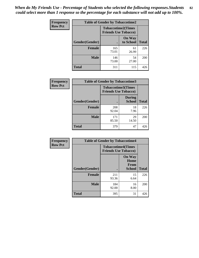*When do My Friends Use - Percentage of Students who selected the following responses.Students could select more than 1 response so the percentage for each substance will not add up to 100%.* **82**

| <b>Frequency</b> | <b>Table of Gender by Tobaccotime2</b> |                                                          |                            |              |
|------------------|----------------------------------------|----------------------------------------------------------|----------------------------|--------------|
| <b>Row Pct</b>   |                                        | <b>Tobaccotime2(Times</b><br><b>Friends Use Tobacco)</b> |                            |              |
|                  | Gender(Gender)                         | $\bullet$                                                | <b>On Way</b><br>to School | <b>Total</b> |
|                  | <b>Female</b>                          | 165<br>73.01                                             | 61<br>26.99                | 226          |
|                  | <b>Male</b>                            | 146<br>73.00                                             | 54<br>27.00                | 200          |
|                  | Total                                  | 311                                                      | 115                        | 426          |

| Frequency      | <b>Table of Gender by Tobaccotime3</b> |                                                          |                                |              |
|----------------|----------------------------------------|----------------------------------------------------------|--------------------------------|--------------|
| <b>Row Pct</b> |                                        | <b>Tobaccotime3(Times</b><br><b>Friends Use Tobacco)</b> |                                |              |
|                | Gender(Gender)                         |                                                          | <b>During</b><br><b>School</b> | <b>Total</b> |
|                | <b>Female</b>                          | 208<br>92.04                                             | 18<br>7.96                     | 226          |
|                | <b>Male</b>                            | 171<br>85.50                                             | 29<br>14.50                    | <b>200</b>   |
|                | <b>Total</b>                           | 379                                                      | 47                             | 426          |

| <b>Frequency</b> | <b>Table of Gender by Tobaccotime4</b> |                                                          |                                                |              |
|------------------|----------------------------------------|----------------------------------------------------------|------------------------------------------------|--------------|
| <b>Row Pct</b>   |                                        | <b>Tobaccotime4(Times</b><br><b>Friends Use Tobacco)</b> |                                                |              |
|                  |                                        |                                                          | <b>On Way</b><br>Home<br><b>From</b><br>School | <b>Total</b> |
|                  | Gender(Gender)                         |                                                          |                                                |              |
|                  | <b>Female</b>                          | 211<br>93.36                                             | 15<br>6.64                                     | 226          |
|                  | <b>Male</b>                            | 184<br>92.00                                             | 16<br>8.00                                     | 200          |
|                  | <b>Total</b>                           | 395                                                      | 31                                             | 426          |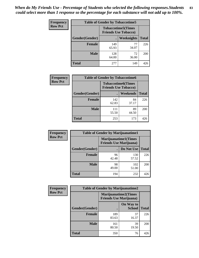| Frequency      | <b>Table of Gender by Tobaccotime5</b> |              |                                                          |              |  |
|----------------|----------------------------------------|--------------|----------------------------------------------------------|--------------|--|
| <b>Row Pct</b> |                                        |              | <b>Tobaccotime5(Times</b><br><b>Friends Use Tobacco)</b> |              |  |
|                | <b>Gender</b> (Gender)                 |              | Weeknights                                               | <b>Total</b> |  |
|                | <b>Female</b>                          | 149<br>65.93 | 77<br>34.07                                              | 226          |  |
|                | <b>Male</b>                            | 128<br>64.00 | 72<br>36.00                                              | 200          |  |
|                | <b>Total</b>                           | 277          | 149                                                      | 426          |  |

| <b>Frequency</b> |                | <b>Table of Gender by Tobaccotime6</b>                   |                 |              |
|------------------|----------------|----------------------------------------------------------|-----------------|--------------|
| <b>Row Pct</b>   |                | <b>Tobaccotime6(Times</b><br><b>Friends Use Tobacco)</b> |                 |              |
|                  | Gender(Gender) |                                                          | <b>Weekends</b> | <b>Total</b> |
|                  | Female         | 142<br>62.83                                             | 84<br>37.17     | 226          |
|                  | <b>Male</b>    | 111<br>55.50                                             | 89<br>44.50     | 200          |
|                  | <b>Total</b>   | 253                                                      | 173             | 426          |

| <b>Frequency</b> | <b>Table of Gender by Marijuanatime1</b> |                                                               |              |              |
|------------------|------------------------------------------|---------------------------------------------------------------|--------------|--------------|
| <b>Row Pct</b>   |                                          | <b>Marijuanatime1(Times</b><br><b>Friends Use Marijuana</b> ) |              |              |
|                  | Gender(Gender)                           |                                                               | Do Not Use   | <b>Total</b> |
|                  | <b>Female</b>                            | 96<br>42.48                                                   | 130<br>57.52 | 226          |
|                  | <b>Male</b>                              | 98<br>49.00                                                   | 102<br>51.00 | 200          |
|                  | <b>Total</b>                             | 194                                                           | 232          | 426          |

| <b>Frequency</b> | <b>Table of Gender by Marijuanatime2</b> |                                                               |                            |              |
|------------------|------------------------------------------|---------------------------------------------------------------|----------------------------|--------------|
| <b>Row Pct</b>   |                                          | <b>Marijuanatime2(Times</b><br><b>Friends Use Marijuana</b> ) |                            |              |
|                  | Gender(Gender)                           |                                                               | On Way to<br><b>School</b> | <b>Total</b> |
|                  | Female                                   | 189<br>83.63                                                  | 37<br>16.37                | 226          |
|                  | <b>Male</b>                              | 161<br>80.50                                                  | 39<br>19.50                | 200          |
|                  | <b>Total</b>                             | 350                                                           | 76                         | 426          |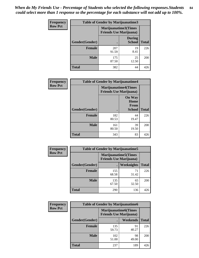*When do My Friends Use - Percentage of Students who selected the following responses.Students could select more than 1 response so the percentage for each substance will not add up to 100%.* **84**

| <b>Frequency</b> | Table of Gender by Marijuanatime3 |                                                        |                                |              |
|------------------|-----------------------------------|--------------------------------------------------------|--------------------------------|--------------|
| <b>Row Pct</b>   |                                   | Marijuanatime3(Times<br><b>Friends Use Marijuana</b> ) |                                |              |
|                  | Gender(Gender)                    |                                                        | <b>During</b><br><b>School</b> | <b>Total</b> |
|                  | <b>Female</b>                     | 207<br>91.59                                           | 19<br>8.41                     | 226          |
|                  | <b>Male</b>                       | 175<br>87.50                                           | 25<br>12.50                    | 200          |
|                  | <b>Total</b>                      | 382                                                    | 44                             | 426          |

| Frequency      | <b>Table of Gender by Marijuanatime4</b> |                                |                                                       |              |
|----------------|------------------------------------------|--------------------------------|-------------------------------------------------------|--------------|
| <b>Row Pct</b> |                                          | <b>Friends Use Marijuana</b> ) | <b>Marijuanatime4</b> (Times                          |              |
|                | <b>Gender</b> (Gender)                   |                                | <b>On Way</b><br>Home<br><b>From</b><br><b>School</b> | <b>Total</b> |
|                | <b>Female</b>                            | 182<br>80.53                   | 44<br>19.47                                           | 226          |
|                | <b>Male</b>                              | 161<br>80.50                   | 39<br>19.50                                           | 200          |
|                | <b>Total</b>                             | 343                            | 83                                                    | 426          |

| Frequency      | <b>Table of Gender by Marijuanatime5</b> |                                                                |             |              |  |
|----------------|------------------------------------------|----------------------------------------------------------------|-------------|--------------|--|
| <b>Row Pct</b> |                                          | <b>Marijuanatime5</b> (Times<br><b>Friends Use Marijuana</b> ) |             |              |  |
|                | Gender(Gender)                           |                                                                | Weeknights  | <b>Total</b> |  |
|                | <b>Female</b>                            | 155<br>68.58                                                   | 71<br>31.42 | 226          |  |
|                | <b>Male</b>                              | 135<br>67.50                                                   | 65<br>32.50 | 200          |  |
|                | <b>Total</b>                             | 290                                                            | 136         | 426          |  |

| Frequency      | <b>Table of Gender by Marijuanatime6</b> |                                                               |                 |              |
|----------------|------------------------------------------|---------------------------------------------------------------|-----------------|--------------|
| <b>Row Pct</b> |                                          | <b>Marijuanatime6(Times</b><br><b>Friends Use Marijuana</b> ) |                 |              |
|                | Gender(Gender)                           |                                                               | <b>Weekends</b> | <b>Total</b> |
|                | <b>Female</b>                            | 135<br>59.73                                                  | 91<br>40.27     | 226          |
|                | <b>Male</b>                              | 102<br>51.00                                                  | 98<br>49.00     | 200          |
|                | <b>Total</b>                             | 237                                                           | 189             | 426          |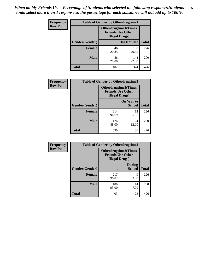| <b>Frequency</b> | <b>Table of Gender by Otherdrugtime1</b> |                                                                                    |                    |     |
|------------------|------------------------------------------|------------------------------------------------------------------------------------|--------------------|-----|
| <b>Row Pct</b>   |                                          | <b>Otherdrugtime1</b> (Times<br><b>Friends Use Other</b><br><b>Illegal Drugs</b> ) |                    |     |
|                  | Gender(Gender)                           |                                                                                    | Do Not Use   Total |     |
|                  | <b>Female</b>                            | 46<br>20.35                                                                        | 180<br>79.65       | 226 |
|                  | <b>Male</b>                              | 56<br>28.00                                                                        | 144<br>72.00       | 200 |
|                  | <b>Total</b>                             | 102                                                                                | 324                | 426 |

| Frequency      | <b>Table of Gender by Otherdrugtime2</b> |                                                                                   |                            |              |
|----------------|------------------------------------------|-----------------------------------------------------------------------------------|----------------------------|--------------|
| <b>Row Pct</b> |                                          | <b>Otherdrugtime2(Times</b><br><b>Friends Use Other</b><br><b>Illegal Drugs</b> ) |                            |              |
|                | Gender(Gender)                           |                                                                                   | On Way to<br><b>School</b> | <b>Total</b> |
|                | <b>Female</b>                            | 214<br>94.69                                                                      | 12<br>5.31                 | 226          |
|                | <b>Male</b>                              | 176<br>88.00                                                                      | 24<br>12.00                | 200          |
|                | <b>Total</b>                             | 390                                                                               | 36                         | 426          |

| Frequency      |                | <b>Table of Gender by Otherdrugtime3</b> |                                                         |              |
|----------------|----------------|------------------------------------------|---------------------------------------------------------|--------------|
| <b>Row Pct</b> |                | <b>Illegal Drugs</b> )                   | <b>Otherdrugtime3(Times</b><br><b>Friends Use Other</b> |              |
|                | Gender(Gender) |                                          | <b>During</b><br><b>School</b>                          | <b>Total</b> |
|                | <b>Female</b>  | 217<br>96.02                             | 9<br>3.98                                               | 226          |
|                | <b>Male</b>    | 186<br>93.00                             | 14<br>7.00                                              | 200          |
|                | <b>Total</b>   | 403                                      | 23                                                      | 426          |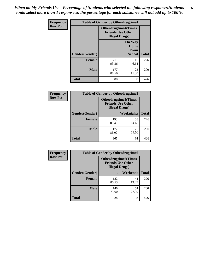*When do My Friends Use - Percentage of Students who selected the following responses.Students could select more than 1 response so the percentage for each substance will not add up to 100%.* **86**

| <b>Frequency</b> | <b>Table of Gender by Otherdrugtime4</b> |                                                    |                                                |              |
|------------------|------------------------------------------|----------------------------------------------------|------------------------------------------------|--------------|
| <b>Row Pct</b>   |                                          | <b>Friends Use Other</b><br><b>Illegal Drugs</b> ) | <b>Otherdrugtime4(Times</b>                    |              |
|                  | Gender(Gender)                           |                                                    | <b>On Way</b><br>Home<br>From<br><b>School</b> | <b>Total</b> |
|                  | Female                                   | 211<br>93.36                                       | 15<br>6.64                                     | 226          |
|                  | <b>Male</b>                              | 177<br>88.50                                       | 23<br>11.50                                    | 200          |
|                  | <b>Total</b>                             | 388                                                | 38                                             | 426          |

| Frequency      | <b>Table of Gender by Otherdrugtime5</b> |                                                                                    |                   |              |
|----------------|------------------------------------------|------------------------------------------------------------------------------------|-------------------|--------------|
| <b>Row Pct</b> |                                          | <b>Otherdrugtime5</b> (Times<br><b>Friends Use Other</b><br><b>Illegal Drugs</b> ) |                   |              |
|                | Gender(Gender)                           |                                                                                    | <b>Weeknights</b> | <b>Total</b> |
|                | <b>Female</b>                            | 193<br>85.40                                                                       | 33<br>14.60       | 226          |
|                | <b>Male</b>                              | 172<br>86.00                                                                       | 28<br>14.00       | 200          |
|                | <b>Total</b>                             | 365                                                                                | 61                | 426          |

| Frequency      | <b>Table of Gender by Otherdrugtime6</b> |                                                                                   |             |              |
|----------------|------------------------------------------|-----------------------------------------------------------------------------------|-------------|--------------|
| <b>Row Pct</b> |                                          | <b>Otherdrugtime6(Times</b><br><b>Friends Use Other</b><br><b>Illegal Drugs</b> ) |             |              |
|                | Gender(Gender)                           |                                                                                   | Weekends    | <b>Total</b> |
|                | <b>Female</b>                            | 182<br>80.53                                                                      | 44<br>19.47 | 226          |
|                | <b>Male</b>                              | 146<br>73.00                                                                      | 54<br>27.00 | 200          |
|                | <b>Total</b>                             | 328                                                                               | 98          | 426          |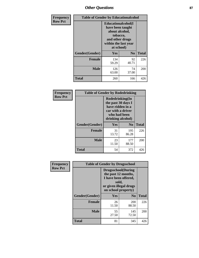# *Other Questions* **87**

| <b>Frequency</b> | <b>Table of Gender by Educationalcohol</b> |                                                                                                                               |                |              |  |
|------------------|--------------------------------------------|-------------------------------------------------------------------------------------------------------------------------------|----------------|--------------|--|
| <b>Row Pct</b>   |                                            | Educationalcohol(I<br>have been taught<br>about alcohol,<br>tobacco,<br>and other drugs<br>within the last year<br>at school) |                |              |  |
|                  | Gender(Gender)                             | <b>Yes</b>                                                                                                                    | N <sub>0</sub> | <b>Total</b> |  |
|                  | <b>Female</b>                              | 134<br>59.29                                                                                                                  | 92<br>40.71    | 226          |  |
|                  | <b>Male</b>                                | 126<br>63.00                                                                                                                  | 74<br>37.00    | 200          |  |
|                  | <b>Total</b>                               | 260                                                                                                                           | 166            | 426          |  |

| Frequency      | <b>Table of Gender by Rodedrinking</b> |                                                                                                                     |              |              |  |
|----------------|----------------------------------------|---------------------------------------------------------------------------------------------------------------------|--------------|--------------|--|
| <b>Row Pct</b> |                                        | Rodedrinking(In<br>the past 30 days I<br>have ridden in a<br>car with a driver<br>who had been<br>drinking alcohol) |              |              |  |
|                | Gender(Gender)                         | Yes                                                                                                                 | $\bf N_0$    | <b>Total</b> |  |
|                | <b>Female</b>                          | 31<br>13.72                                                                                                         | 195<br>86.28 | 226          |  |
|                | <b>Male</b>                            | 23<br>11.50                                                                                                         | 177<br>88.50 | 200          |  |
|                | <b>Total</b>                           | 54                                                                                                                  | 372          | 426          |  |

| Frequency      | <b>Table of Gender by Drugsschool</b> |                                                                                                                                     |                     |              |  |
|----------------|---------------------------------------|-------------------------------------------------------------------------------------------------------------------------------------|---------------------|--------------|--|
| <b>Row Pct</b> |                                       | <b>Drugsschool</b> (During<br>the past 12 months,<br>I have been offered,<br>sold,<br>or given illegal drugs<br>on school property) |                     |              |  |
|                | Gender(Gender)                        | Yes                                                                                                                                 | N <sub>0</sub>      | <b>Total</b> |  |
|                | <b>Female</b>                         | 26<br>11.50                                                                                                                         | <b>200</b><br>88.50 | 226          |  |
|                | <b>Male</b>                           | 55<br>27.50                                                                                                                         | 145<br>72.50        | 200          |  |
|                | <b>Total</b>                          | 81                                                                                                                                  | 345                 | 426          |  |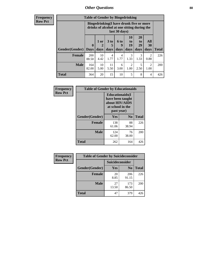## *Other Questions* **88**

**Frequency Row Pct**

| <b>Table of Gender by Bingedrinking</b> |                         |                                                                                                         |                   |                   |                        |                               |                        |              |
|-----------------------------------------|-------------------------|---------------------------------------------------------------------------------------------------------|-------------------|-------------------|------------------------|-------------------------------|------------------------|--------------|
|                                         |                         | Bingedrinking(I have drunk five or more<br>drinks of alcohol at one sitting during the<br>last 30 days) |                   |                   |                        |                               |                        |              |
| <b>Gender</b> (Gender)                  | $\bf{0}$<br><b>Days</b> | 1 or<br>days                                                                                            | 3 to<br>5<br>days | 6 to<br>9<br>days | 10<br>to<br>19<br>days | <b>20</b><br>to<br>29<br>days | All<br>30<br>days      | <b>Total</b> |
| <b>Female</b>                           | 200<br>88.50            | 10<br>4.42                                                                                              | 4<br>1.77         | 4<br>1.77         | 3<br>1.33              | 3<br>1.33                     | $\mathfrak{D}$<br>0.88 | 226          |
| <b>Male</b>                             | 164<br>82.00            | 10<br>5.00                                                                                              | 11<br>5.50        | 6<br>3.00         | 2<br>1.00              | 5<br>2.50                     | $\mathfrak{D}$<br>1.00 | 200          |
| <b>Total</b>                            | 364                     | 20                                                                                                      | 15                | 10                | 5                      | 8                             | 4                      | 426          |

| Frequency      | <b>Table of Gender by Educationaids</b> |                                                                                                 |                |              |
|----------------|-----------------------------------------|-------------------------------------------------------------------------------------------------|----------------|--------------|
| <b>Row Pct</b> |                                         | <b>Educationaids</b> (I<br>have been taught<br>about HIV/AIDS<br>at school in the<br>past year) |                |              |
|                | Gender(Gender)                          | Yes                                                                                             | N <sub>0</sub> | <b>Total</b> |
|                | <b>Female</b>                           | 138<br>61.06                                                                                    | 88<br>38.94    | 226          |
|                | <b>Male</b>                             | 124<br>62.00                                                                                    | 76<br>38.00    | 200          |
|                | <b>Total</b>                            | 262                                                                                             | 164            | 426          |

| <b>Frequency</b> | <b>Table of Gender by Suicideconsider</b> |                 |                |              |  |
|------------------|-------------------------------------------|-----------------|----------------|--------------|--|
| <b>Row Pct</b>   |                                           | Suicideconsider |                |              |  |
|                  | Gender(Gender)                            | Yes             | N <sub>0</sub> | <b>Total</b> |  |
|                  | <b>Female</b>                             | 20<br>8.85      | 206<br>91.15   | 226          |  |
|                  | <b>Male</b>                               | 27<br>13.50     | 173<br>86.50   | 200          |  |
|                  | Total                                     | 47              | 379            | 426          |  |